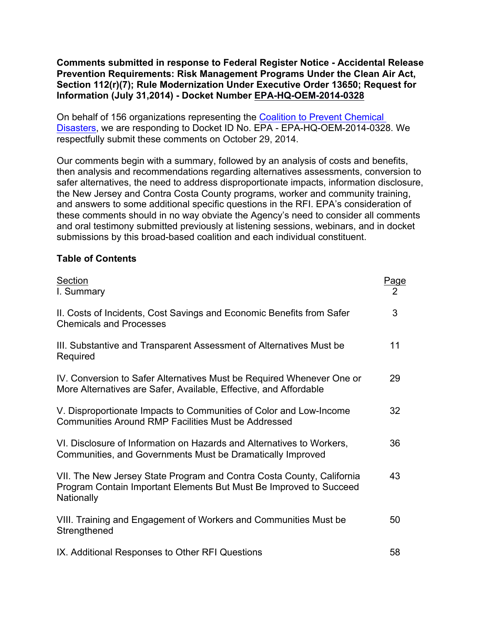**Comments submitted in response to Federal Register Notice - Accidental Release Prevention Requirements: Risk Management Programs Under the Clean Air Act, Section 112(r)(7); Rule Modernization Under Executive Order 13650; Request for Information (July 31,2014) - Docket Number EPA-HQ-OEM-2014-0328**

On behalf of 156 organizations representing the Coalition to Prevent Chemical Disasters, we are responding to Docket ID No. EPA - EPA-HQ-OEM-2014-0328. We respectfully submit these comments on October 29, 2014.

Our comments begin with a summary, followed by an analysis of costs and benefits, then analysis and recommendations regarding alternatives assessments, conversion to safer alternatives, the need to address disproportionate impacts, information disclosure, the New Jersey and Contra Costa County programs, worker and community training, and answers to some additional specific questions in the RFI. EPA's consideration of these comments should in no way obviate the Agency's need to consider all comments and oral testimony submitted previously at listening sessions, webinars, and in docket submissions by this broad-based coalition and each individual constituent.

#### **Table of Contents**

| Section<br>I. Summary                                                                                                                                     | Page<br>$\overline{2}$ |
|-----------------------------------------------------------------------------------------------------------------------------------------------------------|------------------------|
| II. Costs of Incidents, Cost Savings and Economic Benefits from Safer<br><b>Chemicals and Processes</b>                                                   | 3                      |
| III. Substantive and Transparent Assessment of Alternatives Must be<br>Required                                                                           | 11                     |
| IV. Conversion to Safer Alternatives Must be Required Whenever One or<br>More Alternatives are Safer, Available, Effective, and Affordable                | 29                     |
| V. Disproportionate Impacts to Communities of Color and Low-Income<br><b>Communities Around RMP Facilities Must be Addressed</b>                          | 32                     |
| VI. Disclosure of Information on Hazards and Alternatives to Workers,<br>Communities, and Governments Must be Dramatically Improved                       | 36                     |
| VII. The New Jersey State Program and Contra Costa County, California<br>Program Contain Important Elements But Must Be Improved to Succeed<br>Nationally | 43                     |
| VIII. Training and Engagement of Workers and Communities Must be<br>Strengthened                                                                          | 50                     |
| IX. Additional Responses to Other RFI Questions                                                                                                           | 58                     |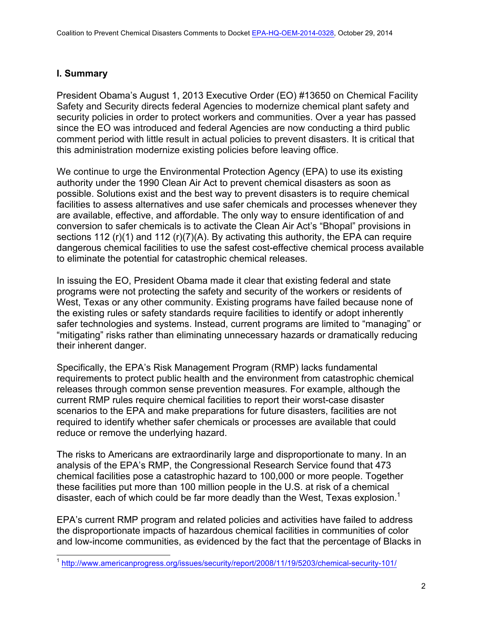# **I. Summary**

President Obama's August 1, 2013 Executive Order (EO) #13650 on Chemical Facility Safety and Security directs federal Agencies to modernize chemical plant safety and security policies in order to protect workers and communities. Over a year has passed since the EO was introduced and federal Agencies are now conducting a third public comment period with little result in actual policies to prevent disasters. It is critical that this administration modernize existing policies before leaving office.

We continue to urge the Environmental Protection Agency (EPA) to use its existing authority under the 1990 Clean Air Act to prevent chemical disasters as soon as possible. Solutions exist and the best way to prevent disasters is to require chemical facilities to assess alternatives and use safer chemicals and processes whenever they are available, effective, and affordable. The only way to ensure identification of and conversion to safer chemicals is to activate the Clean Air Act's "Bhopal" provisions in sections 112 (r)(1) and 112 (r)(7)(A). By activating this authority, the EPA can require dangerous chemical facilities to use the safest cost-effective chemical process available to eliminate the potential for catastrophic chemical releases.

In issuing the EO, President Obama made it clear that existing federal and state programs were not protecting the safety and security of the workers or residents of West, Texas or any other community. Existing programs have failed because none of the existing rules or safety standards require facilities to identify or adopt inherently safer technologies and systems. Instead, current programs are limited to "managing" or "mitigating" risks rather than eliminating unnecessary hazards or dramatically reducing their inherent danger.

Specifically, the EPA's Risk Management Program (RMP) lacks fundamental requirements to protect public health and the environment from catastrophic chemical releases through common sense prevention measures. For example, although the current RMP rules require chemical facilities to report their worst-case disaster scenarios to the EPA and make preparations for future disasters, facilities are not required to identify whether safer chemicals or processes are available that could reduce or remove the underlying hazard.

The risks to Americans are extraordinarily large and disproportionate to many. In an analysis of the EPA's RMP, the Congressional Research Service found that 473 chemical facilities pose a catastrophic hazard to 100,000 or more people. Together these facilities put more than 100 million people in the U.S. at risk of a chemical disaster, each of which could be far more deadly than the West, Texas explosion.<sup>1</sup>

EPA's current RMP program and related policies and activities have failed to address the disproportionate impacts of hazardous chemical facilities in communities of color and low-income communities, as evidenced by the fact that the percentage of Blacks in

<sup>1</sup> http://www.americanprogress.org/issues/security/report/2008/11/19/5203/chemical-security-101/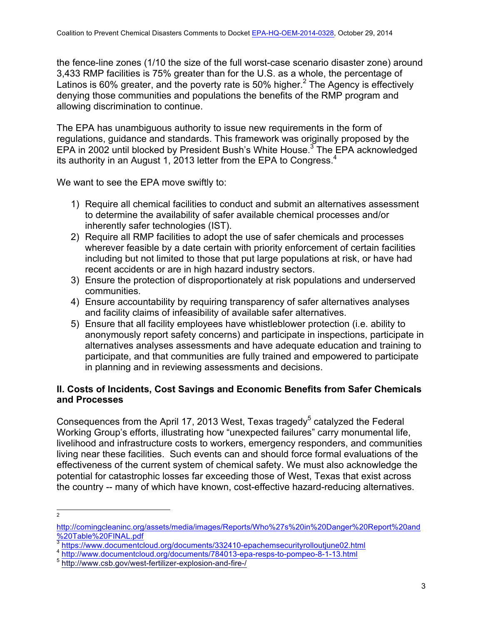the fence-line zones (1/10 the size of the full worst-case scenario disaster zone) around 3,433 RMP facilities is 75% greater than for the U.S. as a whole, the percentage of Latinos is 60% greater, and the poverty rate is 50% higher.<sup>2</sup> The Agency is effectively denying those communities and populations the benefits of the RMP program and allowing discrimination to continue.

The EPA has unambiguous authority to issue new requirements in the form of regulations, guidance and standards. This framework was originally proposed by the EPA in 2002 until blocked by President Bush's White House.<sup>3</sup> The EPA acknowledged its authority in an August 1, 2013 letter from the EPA to Congress.<sup>4</sup>

We want to see the EPA move swiftly to:

- 1) Require all chemical facilities to conduct and submit an alternatives assessment to determine the availability of safer available chemical processes and/or inherently safer technologies (IST).
- 2) Require all RMP facilities to adopt the use of safer chemicals and processes wherever feasible by a date certain with priority enforcement of certain facilities including but not limited to those that put large populations at risk, or have had recent accidents or are in high hazard industry sectors.
- 3) Ensure the protection of disproportionately at risk populations and underserved communities.
- 4) Ensure accountability by requiring transparency of safer alternatives analyses and facility claims of infeasibility of available safer alternatives.
- 5) Ensure that all facility employees have whistleblower protection (i.e. ability to anonymously report safety concerns) and participate in inspections, participate in alternatives analyses assessments and have adequate education and training to participate, and that communities are fully trained and empowered to participate in planning and in reviewing assessments and decisions.

# **II. Costs of Incidents, Cost Savings and Economic Benefits from Safer Chemicals and Processes**

Consequences from the April 17, 2013 West, Texas tragedy<sup>5</sup> catalyzed the Federal Working Group's efforts, illustrating how "unexpected failures" carry monumental life, livelihood and infrastructure costs to workers, emergency responders, and communities living near these facilities. Such events can and should force formal evaluations of the effectiveness of the current system of chemical safety. We must also acknowledge the potential for catastrophic losses far exceeding those of West, Texas that exist across the country -- many of which have known, cost-effective hazard-reducing alternatives.

 $\overline{2}$ 

http://comingcleaninc.org/assets/media/images/Reports/Who%27s%20in%20Danger%20Report%20and %20Table%20FINAL.pdf<br>3 https://www.documentcloud.org/documents/332410-epachemsecurityrolloutjune02.html

<sup>&</sup>lt;sup>4</sup> http://www.documentcloud.org/documents/784013-epa-resps-to-pompeo-8-1-13.html

<sup>5</sup> http://www.csb.gov/west-fertilizer-explosion-and-fire-/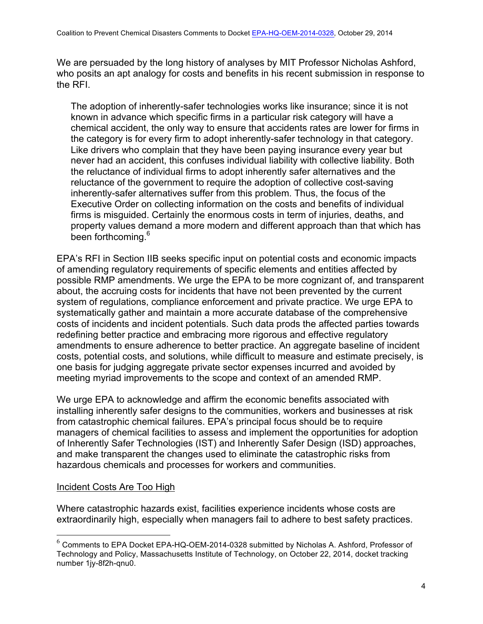We are persuaded by the long history of analyses by MIT Professor Nicholas Ashford, who posits an apt analogy for costs and benefits in his recent submission in response to the RFI.

The adoption of inherently-safer technologies works like insurance; since it is not known in advance which specific firms in a particular risk category will have a chemical accident, the only way to ensure that accidents rates are lower for firms in the category is for every firm to adopt inherently-safer technology in that category. Like drivers who complain that they have been paying insurance every year but never had an accident, this confuses individual liability with collective liability. Both the reluctance of individual firms to adopt inherently safer alternatives and the reluctance of the government to require the adoption of collective cost-saving inherently-safer alternatives suffer from this problem. Thus, the focus of the Executive Order on collecting information on the costs and benefits of individual firms is misguided. Certainly the enormous costs in term of injuries, deaths, and property values demand a more modern and different approach than that which has been forthcoming.<sup>6</sup>

EPA's RFI in Section IIB seeks specific input on potential costs and economic impacts of amending regulatory requirements of specific elements and entities affected by possible RMP amendments. We urge the EPA to be more cognizant of, and transparent about, the accruing costs for incidents that have not been prevented by the current system of regulations, compliance enforcement and private practice. We urge EPA to systematically gather and maintain a more accurate database of the comprehensive costs of incidents and incident potentials. Such data prods the affected parties towards redefining better practice and embracing more rigorous and effective regulatory amendments to ensure adherence to better practice. An aggregate baseline of incident costs, potential costs, and solutions, while difficult to measure and estimate precisely, is one basis for judging aggregate private sector expenses incurred and avoided by meeting myriad improvements to the scope and context of an amended RMP.

We urge EPA to acknowledge and affirm the economic benefits associated with installing inherently safer designs to the communities, workers and businesses at risk from catastrophic chemical failures. EPA's principal focus should be to require managers of chemical facilities to assess and implement the opportunities for adoption of Inherently Safer Technologies (IST) and Inherently Safer Design (ISD) approaches, and make transparent the changes used to eliminate the catastrophic risks from hazardous chemicals and processes for workers and communities.

## Incident Costs Are Too High

Where catastrophic hazards exist, facilities experience incidents whose costs are extraordinarily high, especially when managers fail to adhere to best safety practices.

 $^6$  Comments to EPA Docket EPA-HQ-OEM-2014-0328 submitted by Nicholas A. Ashford, Professor of Technology and Policy, Massachusetts Institute of Technology, on October 22, 2014, docket tracking number 1jy-8f2h-qnu0.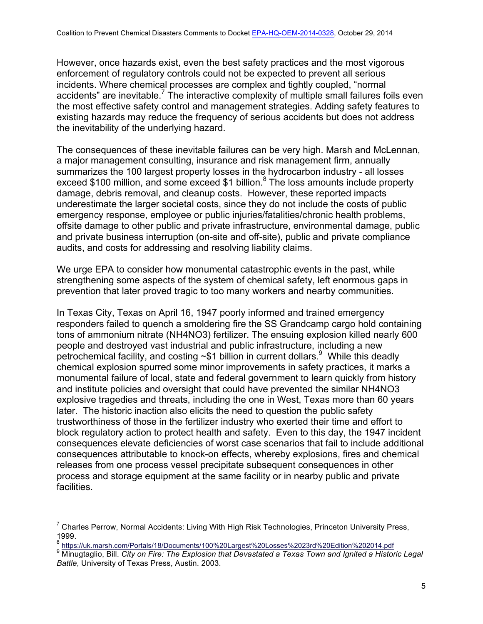However, once hazards exist, even the best safety practices and the most vigorous enforcement of regulatory controls could not be expected to prevent all serious incidents. Where chemical processes are complex and tightly coupled, "normal accidents" are inevitable.<sup> $7$ </sup> The interactive complexity of multiple small failures foils even the most effective safety control and management strategies. Adding safety features to existing hazards may reduce the frequency of serious accidents but does not address the inevitability of the underlying hazard.

The consequences of these inevitable failures can be very high. Marsh and McLennan, a major management consulting, insurance and risk management firm, annually summarizes the 100 largest property losses in the hydrocarbon industry - all losses exceed \$100 million, and some exceed \$1 billion.<sup>8</sup> The loss amounts include property damage, debris removal, and cleanup costs. However, these reported impacts underestimate the larger societal costs, since they do not include the costs of public emergency response, employee or public injuries/fatalities/chronic health problems, offsite damage to other public and private infrastructure, environmental damage, public and private business interruption (on-site and off-site), public and private compliance audits, and costs for addressing and resolving liability claims.

We urge EPA to consider how monumental catastrophic events in the past, while strengthening some aspects of the system of chemical safety, left enormous gaps in prevention that later proved tragic to too many workers and nearby communities.

In Texas City, Texas on April 16, 1947 poorly informed and trained emergency responders failed to quench a smoldering fire the SS Grandcamp cargo hold containing tons of ammonium nitrate (NH4NO3) fertilizer. The ensuing explosion killed nearly 600 people and destroyed vast industrial and public infrastructure, including a new petrochemical facility, and costing  $\sim$ \$1 billion in current dollars.<sup>9</sup> While this deadly chemical explosion spurred some minor improvements in safety practices, it marks a monumental failure of local, state and federal government to learn quickly from history and institute policies and oversight that could have prevented the similar NH4NO3 explosive tragedies and threats, including the one in West, Texas more than 60 years later. The historic inaction also elicits the need to question the public safety trustworthiness of those in the fertilizer industry who exerted their time and effort to block regulatory action to protect health and safety. Even to this day, the 1947 incident consequences elevate deficiencies of worst case scenarios that fail to include additional consequences attributable to knock-on effects, whereby explosions, fires and chemical releases from one process vessel precipitate subsequent consequences in other process and storage equipment at the same facility or in nearby public and private facilities.

<sup>7</sup> Charles Perrow, Normal Accidents: Living With High Risk Technologies, Princeton University Press, 1999.

<sup>8</sup> https://uk.marsh.com/Portals/18/Documents/100%20Largest%20Losses%2023rd%20Edition%202014.pdf

<sup>9</sup> Minugtaglio, Bill. *City on Fire: The Explosion that Devastated a Texas Town and Ignited a Historic Legal Battle*, University of Texas Press, Austin. 2003.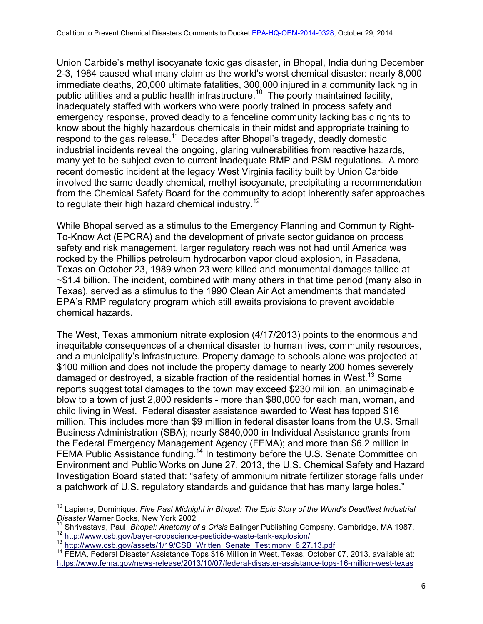Union Carbide's methyl isocyanate toxic gas disaster, in Bhopal, India during December 2-3, 1984 caused what many claim as the world's worst chemical disaster: nearly 8,000 immediate deaths, 20,000 ultimate fatalities, 300,000 injured in a community lacking in public utilities and a public health infrastructure.<sup>10</sup> The poorly maintained facility, inadequately staffed with workers who were poorly trained in process safety and emergency response, proved deadly to a fenceline community lacking basic rights to know about the highly hazardous chemicals in their midst and appropriate training to respond to the gas release.<sup>11</sup> Decades after Bhopal's tragedy, deadly domestic industrial incidents reveal the ongoing, glaring vulnerabilities from reactive hazards, many yet to be subject even to current inadequate RMP and PSM regulations. A more recent domestic incident at the legacy West Virginia facility built by Union Carbide involved the same deadly chemical, methyl isocyanate, precipitating a recommendation from the Chemical Safety Board for the community to adopt inherently safer approaches to regulate their high hazard chemical industry.<sup>12</sup>

While Bhopal served as a stimulus to the Emergency Planning and Community Right-To-Know Act (EPCRA) and the development of private sector guidance on process safety and risk management, larger regulatory reach was not had until America was rocked by the Phillips petroleum hydrocarbon vapor cloud explosion, in Pasadena, Texas on October 23, 1989 when 23 were killed and monumental damages tallied at ~\$1.4 billion. The incident, combined with many others in that time period (many also in Texas), served as a stimulus to the 1990 Clean Air Act amendments that mandated EPA's RMP regulatory program which still awaits provisions to prevent avoidable chemical hazards.

The West, Texas ammonium nitrate explosion (4/17/2013) points to the enormous and inequitable consequences of a chemical disaster to human lives, community resources, and a municipality's infrastructure. Property damage to schools alone was projected at \$100 million and does not include the property damage to nearly 200 homes severely damaged or destroyed, a sizable fraction of the residential homes in West.<sup>13</sup> Some reports suggest total damages to the town may exceed \$230 million, an unimaginable blow to a town of just 2,800 residents - more than \$80,000 for each man, woman, and child living in West. Federal disaster assistance awarded to West has topped \$16 million. This includes more than \$9 million in federal disaster loans from the U.S. Small Business Administration (SBA); nearly \$840,000 in Individual Assistance grants from the Federal Emergency Management Agency (FEMA); and more than \$6.2 million in FEMA Public Assistance funding.<sup>14</sup> In testimony before the U.S. Senate Committee on Environment and Public Works on June 27, 2013, the U.S. Chemical Safety and Hazard Investigation Board stated that: "safety of ammonium nitrate fertilizer storage falls under a patchwork of U.S. regulatory standards and guidance that has many large holes."

<sup>&</sup>lt;sup>10</sup> Lapierre, Dominique. *Five Past Midnight in Bhopal: The Epic Story of the World's Deadliest Industrial Disaster* Warner Books, New York 2002

<sup>&</sup>lt;sup>11</sup> Shrivastava, Paul. *Bhopal: Anatomy of a Crisis* Balinger Publishing Company, Cambridge, MA 1987.<br>
<sup>12</sup> http://www.csb.gov/bayer-cropscience-pesticide-waste-tank-explosion/<br>
<sup>13</sup> http://www.csb.gov/assets/1/19/CSB\_Wri

https://www.fema.gov/news-release/2013/10/07/federal-disaster-assistance-tops-16-million-west-texas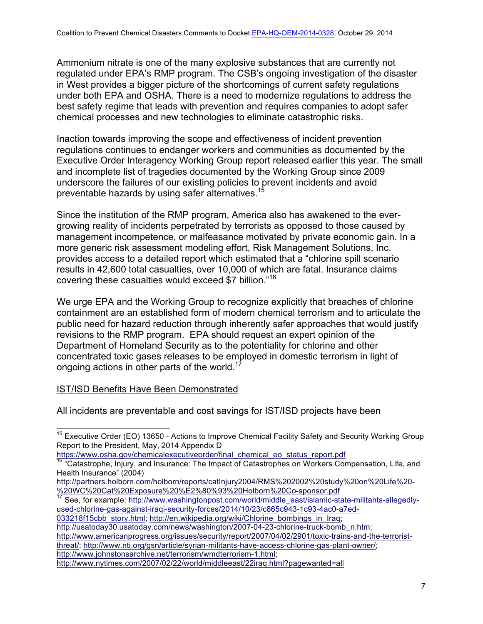Ammonium nitrate is one of the many explosive substances that are currently not regulated under EPA's RMP program. The CSB's ongoing investigation of the disaster in West provides a bigger picture of the shortcomings of current safety regulations under both EPA and OSHA. There is a need to modernize regulations to address the best safety regime that leads with prevention and requires companies to adopt safer chemical processes and new technologies to eliminate catastrophic risks.

Inaction towards improving the scope and effectiveness of incident prevention regulations continues to endanger workers and communities as documented by the Executive Order Interagency Working Group report released earlier this year. The small and incomplete list of tragedies documented by the Working Group since 2009 underscore the failures of our existing policies to prevent incidents and avoid preventable hazards by using safer alternatives.<sup>1</sup>

Since the institution of the RMP program, America also has awakened to the evergrowing reality of incidents perpetrated by terrorists as opposed to those caused by management incompetence, or malfeasance motivated by private economic gain. In a more generic risk assessment modeling effort, Risk Management Solutions, Inc. provides access to a detailed report which estimated that a "chlorine spill scenario results in 42,600 total casualties, over 10,000 of which are fatal. Insurance claims covering these casualties would exceed \$7 billion."<sup>16</sup>

We urge EPA and the Working Group to recognize explicitly that breaches of chlorine containment are an established form of modern chemical terrorism and to articulate the public need for hazard reduction through inherently safer approaches that would justify revisions to the RMP program. EPA should request an expert opinion of the Department of Homeland Security as to the potentiality for chlorine and other concentrated toxic gases releases to be employed in domestic terrorism in light of ongoing actions in other parts of the world.<sup>17</sup>

## IST/ISD Benefits Have Been Demonstrated

All incidents are preventable and cost savings for IST/ISD projects have been

WE WE BE SERVE EXPOSITIZE POSITION INTERNATION INTERNATION IN THE SERVIS AND THE SERVIS AND THE SERVIS SOLUTION SERVIS SERVIS AND THE SERVIS SERVIS AND THE SERVIS AND THE SERVIS AND THE SERVIS AND THE SERVIS AND THE SERVIS used-chlorine-gas-against-iraqi-security-forces/2014/10/23/c865c943-1c93-4ac0-a7ed-

033218f15cbb\_story.html; http://en.wikipedia.org/wiki/Chlorine\_bombings\_in\_Iraq;

http://usatoday30.usatoday.com/news/washington/2007-04-23-chlorine-truck-bomb\_n.htm;

http://www.americanprogress.org/issues/security/report/2007/04/02/2901/toxic-trains-and-the-terroristthreat/; http://www.nti.org/gsn/article/syrian-militants-have-access-chlorine-gas-plant-owner/; http://www.johnstonsarchive.net/terrorism/wmdterrorism-1.html;

<sup>&</sup>lt;sup>15</sup> Executive Order (EO) 13650 - Actions to Improve Chemical Facility Safety and Security Working Group Report to the President, May, 2014 Appendix D<br>https://www.osha.gov/chemicalexecutiveorder/final\_chemical\_eo\_status\_report.pdf

<sup>&</sup>lt;sup>16</sup> "Catastrophe, Injury, and Insurance: The Impact of Catastrophes on Workers Compensation, Life, and Health Insurance" (2004)

http://partners.holborn.com/holborn/reports/catInjury2004/RMS%202002%20study%20on%20Life%20-<br>%20WC%20Cat%20Exposure%20%E2%80%93%20Holborn%20Co-sponsor.pdf

http://www.nytimes.com/2007/02/22/world/middleeast/22iraq.html?pagewanted=all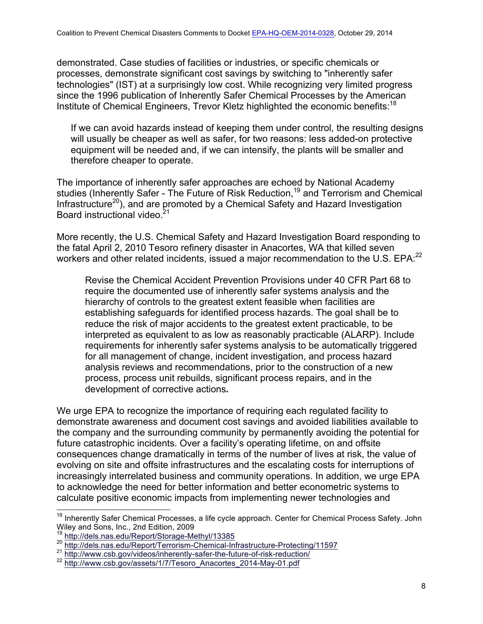demonstrated. Case studies of facilities or industries, or specific chemicals or processes, demonstrate significant cost savings by switching to "inherently safer technologies" (IST) at a surprisingly low cost. While recognizing very limited progress since the 1996 publication of Inherently Safer Chemical Processes by the American Institute of Chemical Engineers, Trevor Kletz highlighted the economic benefits:<sup>18</sup>

If we can avoid hazards instead of keeping them under control, the resulting designs will usually be cheaper as well as safer, for two reasons: less added-on protective equipment will be needed and, if we can intensify, the plants will be smaller and therefore cheaper to operate.

The importance of inherently safer approaches are echoed by National Academy studies (Inherently Safer - The Future of Risk Reduction, <sup>19</sup> and Terrorism and Chemical Infrastructure<sup>20</sup>), and are promoted by a Chemical Safety and Hazard Investigation Board instructional video.<sup>21</sup>

More recently, the U.S. Chemical Safety and Hazard Investigation Board responding to the fatal April 2, 2010 Tesoro refinery disaster in Anacortes, WA that killed seven workers and other related incidents, issued a major recommendation to the U.S. EPA:<sup>22</sup>

Revise the Chemical Accident Prevention Provisions under 40 CFR Part 68 to require the documented use of inherently safer systems analysis and the hierarchy of controls to the greatest extent feasible when facilities are establishing safeguards for identified process hazards. The goal shall be to reduce the risk of major accidents to the greatest extent practicable, to be interpreted as equivalent to as low as reasonably practicable (ALARP). Include requirements for inherently safer systems analysis to be automatically triggered for all management of change, incident investigation, and process hazard analysis reviews and recommendations, prior to the construction of a new process, process unit rebuilds, significant process repairs, and in the development of corrective actions*.*

We urge EPA to recognize the importance of requiring each regulated facility to demonstrate awareness and document cost savings and avoided liabilities available to the company and the surrounding community by permanently avoiding the potential for future catastrophic incidents. Over a facility's operating lifetime, on and offsite consequences change dramatically in terms of the number of lives at risk, the value of evolving on site and offsite infrastructures and the escalating costs for interruptions of increasingly interrelated business and community operations. In addition, we urge EPA to acknowledge the need for better information and better econometric systems to calculate positive economic impacts from implementing newer technologies and

<sup>&</sup>lt;sup>18</sup> Inherently Safer Chemical Processes, a life cycle approach. Center for Chemical Process Safety. John Wiley and Sons, Inc., 2nd Edition, 2009<br><sup>19</sup> http://dels.nas.edu/Report/Storage-Methyl/13385

<sup>&</sup>lt;sup>20</sup> http://dels.nas.edu/Report/Terrorism-Chemical-Infrastructure-Protecting/11597<br><sup>21</sup> http://www.csb.gov/videos/inherently-safer-the-future-of-risk-reduction/

<sup>22</sup> http://www.csb.gov/assets/1/7/Tesoro\_Anacortes\_2014-May-01.pdf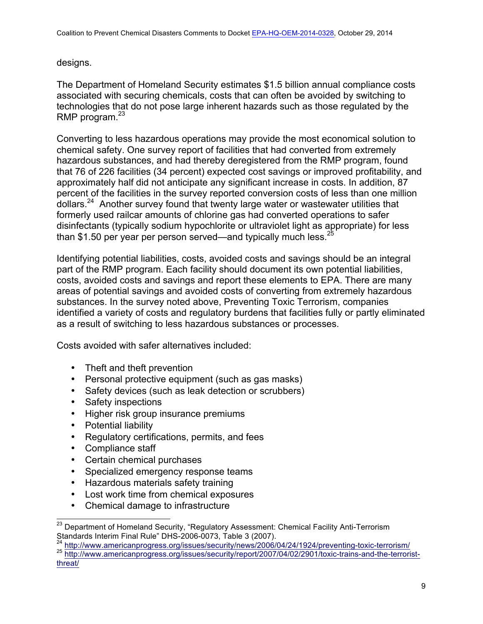designs.

The Department of Homeland Security estimates \$1.5 billion annual compliance costs associated with securing chemicals, costs that can often be avoided by switching to technologies that do not pose large inherent hazards such as those regulated by the RMP program. $^{23}$ 

Converting to less hazardous operations may provide the most economical solution to chemical safety. One survey report of facilities that had converted from extremely hazardous substances, and had thereby deregistered from the RMP program, found that 76 of 226 facilities (34 percent) expected cost savings or improved profitability, and approximately half did not anticipate any significant increase in costs. In addition, 87 percent of the facilities in the survey reported conversion costs of less than one million dollars.<sup>24</sup> Another survey found that twenty large water or wastewater utilities that formerly used railcar amounts of chlorine gas had converted operations to safer disinfectants (typically sodium hypochlorite or ultraviolet light as appropriate) for less than \$1.50 per year per person served—and typically much less.  $25$ 

Identifying potential liabilities, costs, avoided costs and savings should be an integral part of the RMP program. Each facility should document its own potential liabilities, costs, avoided costs and savings and report these elements to EPA. There are many areas of potential savings and avoided costs of converting from extremely hazardous substances. In the survey noted above, Preventing Toxic Terrorism, companies identified a variety of costs and regulatory burdens that facilities fully or partly eliminated as a result of switching to less hazardous substances or processes.

Costs avoided with safer alternatives included:

- Theft and theft prevention
- Personal protective equipment (such as gas masks)
- Safety devices (such as leak detection or scrubbers)
- Safety inspections
- Higher risk group insurance premiums
- Potential liability
- Regulatory certifications, permits, and fees
- Compliance staff
- Certain chemical purchases
- Specialized emergency response teams
- Hazardous materials safety training
- Lost work time from chemical exposures
- Chemical damage to infrastructure

<sup>&</sup>lt;sup>23</sup> Department of Homeland Security, "Regulatory Assessment: Chemical Facility Anti-Terrorism Standards Interim Final Rule" DHS-2006-0073, Table 3 (2007).<br><sup>24</sup> http://www.americanprogress.org/issues/security/news/2006/04/24/1924/preventing-toxic-terrorism/

<sup>25</sup> http://www.americanprogress.org/issues/security/report/2007/04/02/2901/toxic-trains-and-the-terroristthreat/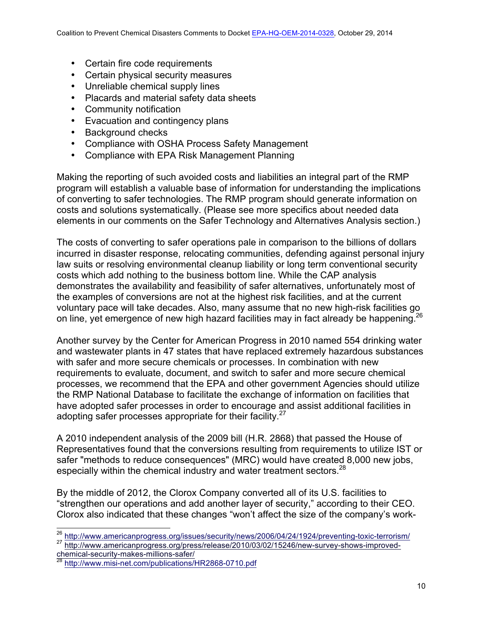- Certain fire code requirements
- Certain physical security measures
- Unreliable chemical supply lines
- Placards and material safety data sheets
- Community notification
- Evacuation and contingency plans
- Background checks
- Compliance with OSHA Process Safety Management
- Compliance with EPA Risk Management Planning

Making the reporting of such avoided costs and liabilities an integral part of the RMP program will establish a valuable base of information for understanding the implications of converting to safer technologies. The RMP program should generate information on costs and solutions systematically. (Please see more specifics about needed data elements in our comments on the Safer Technology and Alternatives Analysis section.)

The costs of converting to safer operations pale in comparison to the billions of dollars incurred in disaster response, relocating communities, defending against personal injury law suits or resolving environmental cleanup liability or long term conventional security costs which add nothing to the business bottom line. While the CAP analysis demonstrates the availability and feasibility of safer alternatives, unfortunately most of the examples of conversions are not at the highest risk facilities, and at the current voluntary pace will take decades. Also, many assume that no new high-risk facilities go on line, yet emergence of new high hazard facilities may in fact already be happening.<sup>26</sup>

Another survey by the Center for American Progress in 2010 named 554 drinking water and wastewater plants in 47 states that have replaced extremely hazardous substances with safer and more secure chemicals or processes. In combination with new requirements to evaluate, document, and switch to safer and more secure chemical processes, we recommend that the EPA and other government Agencies should utilize the RMP National Database to facilitate the exchange of information on facilities that have adopted safer processes in order to encourage and assist additional facilities in adopting safer processes appropriate for their facility.<sup>27</sup>

A 2010 independent analysis of the 2009 bill (H.R. 2868) that passed the House of Representatives found that the conversions resulting from requirements to utilize IST or safer "methods to reduce consequences" (MRC) would have created 8,000 new jobs, especially within the chemical industry and water treatment sectors.<sup>28</sup>

By the middle of 2012, the Clorox Company converted all of its U.S. facilities to "strengthen our operations and add another layer of security," according to their CEO. Clorox also indicated that these changes "won't affect the size of the company's work-

<sup>26</sup> http://www.americanprogress.org/issues/security/news/2006/04/24/1924/preventing-toxic-terrorism/

<sup>27</sup> http://www.americanprogress.org/press/release/2010/03/02/15246/new-survey-shows-improvedchemical-security-makes-millions-safer/

http://www.misi-net.com/publications/HR2868-0710.pdf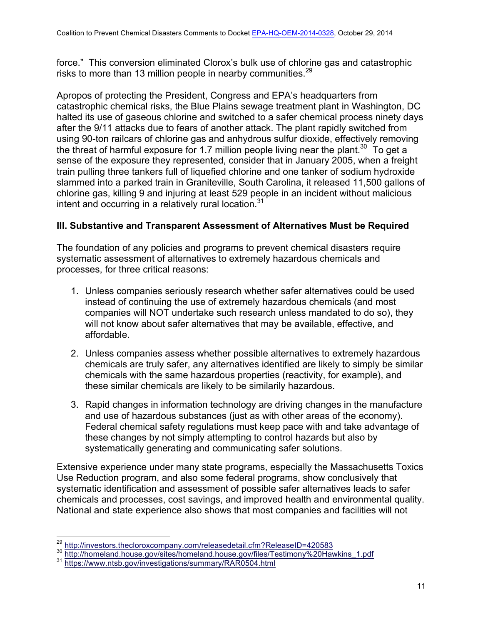force." This conversion eliminated Clorox's bulk use of chlorine gas and catastrophic risks to more than 13 million people in nearby communities.<sup>29</sup>

Apropos of protecting the President, Congress and EPA's headquarters from catastrophic chemical risks, the Blue Plains sewage treatment plant in Washington, DC halted its use of gaseous chlorine and switched to a safer chemical process ninety days after the 9/11 attacks due to fears of another attack. The plant rapidly switched from using 90-ton railcars of chlorine gas and anhydrous sulfur dioxide, effectively removing the threat of harmful exposure for 1.7 million people living near the plant.<sup>30</sup> To get a sense of the exposure they represented, consider that in January 2005, when a freight train pulling three tankers full of liquefied chlorine and one tanker of sodium hydroxide slammed into a parked train in Graniteville, South Carolina, it released 11,500 gallons of chlorine gas, killing 9 and injuring at least 529 people in an incident without malicious intent and occurring in a relatively rural location.<sup>31</sup>

# **III. Substantive and Transparent Assessment of Alternatives Must be Required**

The foundation of any policies and programs to prevent chemical disasters require systematic assessment of alternatives to extremely hazardous chemicals and processes, for three critical reasons:

- 1. Unless companies seriously research whether safer alternatives could be used instead of continuing the use of extremely hazardous chemicals (and most companies will NOT undertake such research unless mandated to do so), they will not know about safer alternatives that may be available, effective, and affordable.
- 2. Unless companies assess whether possible alternatives to extremely hazardous chemicals are truly safer, any alternatives identified are likely to simply be similar chemicals with the same hazardous properties (reactivity, for example), and these similar chemicals are likely to be similarily hazardous.
- 3. Rapid changes in information technology are driving changes in the manufacture and use of hazardous substances (just as with other areas of the economy). Federal chemical safety regulations must keep pace with and take advantage of these changes by not simply attempting to control hazards but also by systematically generating and communicating safer solutions.

Extensive experience under many state programs, especially the Massachusetts Toxics Use Reduction program, and also some federal programs, show conclusively that systematic identification and assessment of possible safer alternatives leads to safer chemicals and processes, cost savings, and improved health and environmental quality. National and state experience also shows that most companies and facilities will not

 $\frac{^{29}}{^{30}}$  http://investors.thecloroxcompany.com/releasedetail.cfm?ReleaseID=420583<br> $\frac{^{30}}{^{31}}$  https://homeland.house.gov/sites/homeland.house.gov/files/Testimony%20Hawkins\_1.pdf<br> $\frac{^{31}}{^{31}}$  https://www.ntsb.go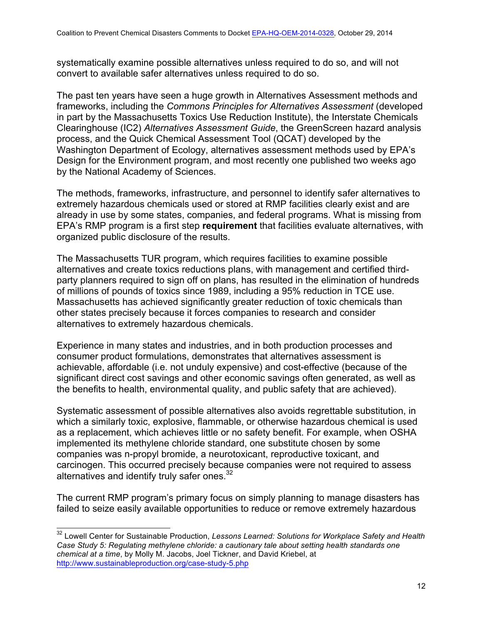systematically examine possible alternatives unless required to do so, and will not convert to available safer alternatives unless required to do so.

The past ten years have seen a huge growth in Alternatives Assessment methods and frameworks, including the *Commons Principles for Alternatives Assessment* (developed in part by the Massachusetts Toxics Use Reduction Institute), the Interstate Chemicals Clearinghouse (IC2) *Alternatives Assessment Guide*, the GreenScreen hazard analysis process, and the Quick Chemical Assessment Tool (QCAT) developed by the Washington Department of Ecology, alternatives assessment methods used by EPA's Design for the Environment program, and most recently one published two weeks ago by the National Academy of Sciences.

The methods, frameworks, infrastructure, and personnel to identify safer alternatives to extremely hazardous chemicals used or stored at RMP facilities clearly exist and are already in use by some states, companies, and federal programs. What is missing from EPA's RMP program is a first step **requirement** that facilities evaluate alternatives, with organized public disclosure of the results.

The Massachusetts TUR program, which requires facilities to examine possible alternatives and create toxics reductions plans, with management and certified thirdparty planners required to sign off on plans, has resulted in the elimination of hundreds of millions of pounds of toxics since 1989, including a 95% reduction in TCE use. Massachusetts has achieved significantly greater reduction of toxic chemicals than other states precisely because it forces companies to research and consider alternatives to extremely hazardous chemicals.

Experience in many states and industries, and in both production processes and consumer product formulations, demonstrates that alternatives assessment is achievable, affordable (i.e. not unduly expensive) and cost-effective (because of the significant direct cost savings and other economic savings often generated, as well as the benefits to health, environmental quality, and public safety that are achieved).

Systematic assessment of possible alternatives also avoids regrettable substitution, in which a similarly toxic, explosive, flammable, or otherwise hazardous chemical is used as a replacement, which achieves little or no safety benefit. For example, when OSHA implemented its methylene chloride standard, one substitute chosen by some companies was n-propyl bromide, a neurotoxicant, reproductive toxicant, and carcinogen. This occurred precisely because companies were not required to assess alternatives and identify truly safer ones. $32$ 

The current RMP program's primary focus on simply planning to manage disasters has failed to seize easily available opportunities to reduce or remove extremely hazardous

<sup>32</sup> Lowell Center for Sustainable Production, *Lessons Learned: Solutions for Workplace Safety and Health Case Study 5: Regulating methylene chloride: a cautionary tale about setting health standards one chemical at a time*, by Molly M. Jacobs, Joel Tickner, and David Kriebel, at http://www.sustainableproduction.org/case-study-5.php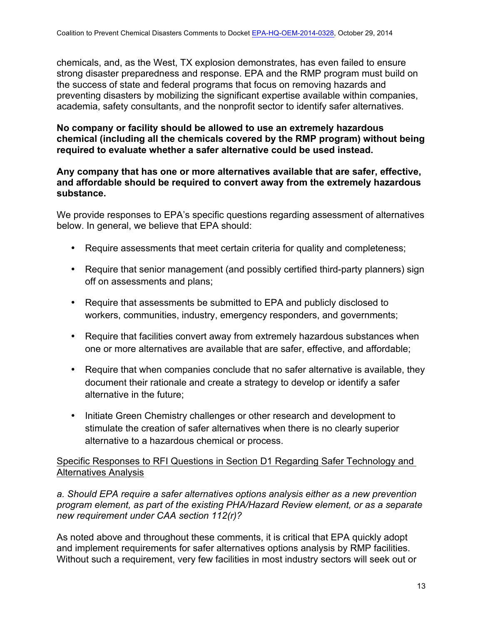chemicals, and, as the West, TX explosion demonstrates, has even failed to ensure strong disaster preparedness and response. EPA and the RMP program must build on the success of state and federal programs that focus on removing hazards and preventing disasters by mobilizing the significant expertise available within companies, academia, safety consultants, and the nonprofit sector to identify safer alternatives.

# **No company or facility should be allowed to use an extremely hazardous chemical (including all the chemicals covered by the RMP program) without being required to evaluate whether a safer alternative could be used instead.**

#### **Any company that has one or more alternatives available that are safer, effective, and affordable should be required to convert away from the extremely hazardous substance.**

We provide responses to EPA's specific questions regarding assessment of alternatives below. In general, we believe that EPA should:

- Require assessments that meet certain criteria for quality and completeness;
- Require that senior management (and possibly certified third-party planners) sign off on assessments and plans;
- Require that assessments be submitted to EPA and publicly disclosed to workers, communities, industry, emergency responders, and governments;
- Require that facilities convert away from extremely hazardous substances when one or more alternatives are available that are safer, effective, and affordable;
- Require that when companies conclude that no safer alternative is available, they document their rationale and create a strategy to develop or identify a safer alternative in the future;
- Initiate Green Chemistry challenges or other research and development to stimulate the creation of safer alternatives when there is no clearly superior alternative to a hazardous chemical or process.

# Specific Responses to RFI Questions in Section D1 Regarding Safer Technology and Alternatives Analysis

*a. Should EPA require a safer alternatives options analysis either as a new prevention program element, as part of the existing PHA/Hazard Review element, or as a separate new requirement under CAA section 112(r)?*

As noted above and throughout these comments, it is critical that EPA quickly adopt and implement requirements for safer alternatives options analysis by RMP facilities. Without such a requirement, very few facilities in most industry sectors will seek out or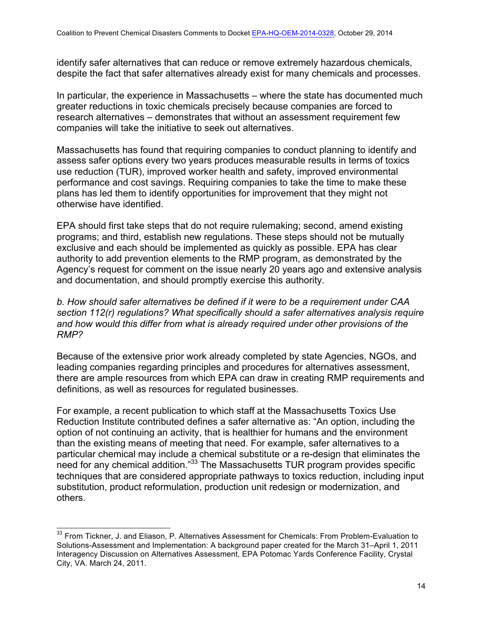identify safer alternatives that can reduce or remove extremely hazardous chemicals, despite the fact that safer alternatives already exist for many chemicals and processes.

In particular, the experience in Massachusetts – where the state has documented much greater reductions in toxic chemicals precisely because companies are forced to research alternatives – demonstrates that without an assessment requirement few companies will take the initiative to seek out alternatives.

Massachusetts has found that requiring companies to conduct planning to identify and assess safer options every two years produces measurable results in terms of toxics use reduction (TUR), improved worker health and safety, improved environmental performance and cost savings. Requiring companies to take the time to make these plans has led them to identify opportunities for improvement that they might not otherwise have identified.

EPA should first take steps that do not require rulemaking; second, amend existing programs; and third, establish new regulations. These steps should not be mutually exclusive and each should be implemented as quickly as possible. EPA has clear authority to add prevention elements to the RMP program, as demonstrated by the Agency's request for comment on the issue nearly 20 years ago and extensive analysis and documentation, and should promptly exercise this authority.

#### *b. How should safer alternatives be defined if it were to be a requirement under CAA section 112(r) regulations? What specifically should a safer alternatives analysis require and how would this differ from what is already required under other provisions of the RMP?*

Because of the extensive prior work already completed by state Agencies, NGOs, and leading companies regarding principles and procedures for alternatives assessment, there are ample resources from which EPA can draw in creating RMP requirements and definitions, as well as resources for regulated businesses.

For example, a recent publication to which staff at the Massachusetts Toxics Use Reduction Institute contributed defines a safer alternative as: "An option, including the option of not continuing an activity, that is healthier for humans and the environment than the existing means of meeting that need. For example, safer alternatives to a particular chemical may include a chemical substitute or a re-design that eliminates the need for any chemical addition."<sup>33</sup> The Massachusetts TUR program provides specific techniques that are considered appropriate pathways to toxics reduction, including input substitution, product reformulation, production unit redesign or modernization, and others.

<sup>&</sup>lt;sup>33</sup> From Tickner, J. and Eliason, P. Alternatives Assessment for Chemicals: From Problem-Evaluation to Solutions-Assessment and Implementation: A background paper created for the March 31–April 1, 2011 Interagency Discussion on Alternatives Assessment, EPA Potomac Yards Conference Facility, Crystal City, VA. March 24, 2011.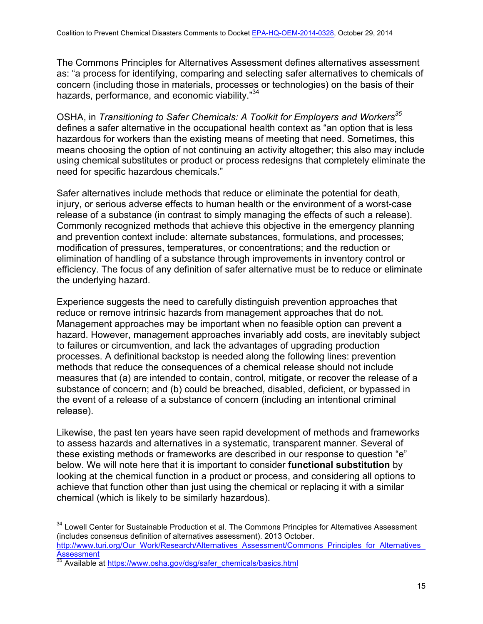The Commons Principles for Alternatives Assessment defines alternatives assessment as: "a process for identifying, comparing and selecting safer alternatives to chemicals of concern (including those in materials, processes or technologies) on the basis of their hazards, performance, and economic viability."<sup>34</sup>

OSHA, in *Transitioning to Safer Chemicals: A Toolkit for Employers and Workers<sup>35</sup>* defines a safer alternative in the occupational health context as "an option that is less hazardous for workers than the existing means of meeting that need. Sometimes, this means choosing the option of not continuing an activity altogether; this also may include using chemical substitutes or product or process redesigns that completely eliminate the need for specific hazardous chemicals."

Safer alternatives include methods that reduce or eliminate the potential for death, injury, or serious adverse effects to human health or the environment of a worst-case release of a substance (in contrast to simply managing the effects of such a release). Commonly recognized methods that achieve this objective in the emergency planning and prevention context include: alternate substances, formulations, and processes; modification of pressures, temperatures, or concentrations; and the reduction or elimination of handling of a substance through improvements in inventory control or efficiency. The focus of any definition of safer alternative must be to reduce or eliminate the underlying hazard.

Experience suggests the need to carefully distinguish prevention approaches that reduce or remove intrinsic hazards from management approaches that do not. Management approaches may be important when no feasible option can prevent a hazard. However, management approaches invariably add costs, are inevitably subject to failures or circumvention, and lack the advantages of upgrading production processes. A definitional backstop is needed along the following lines: prevention methods that reduce the consequences of a chemical release should not include measures that (a) are intended to contain, control, mitigate, or recover the release of a substance of concern; and (b) could be breached, disabled, deficient, or bypassed in the event of a release of a substance of concern (including an intentional criminal release).

Likewise, the past ten years have seen rapid development of methods and frameworks to assess hazards and alternatives in a systematic, transparent manner. Several of these existing methods or frameworks are described in our response to question "e" below. We will note here that it is important to consider **functional substitution** by looking at the chemical function in a product or process, and considering all options to achieve that function other than just using the chemical or replacing it with a similar chemical (which is likely to be similarly hazardous).

<sup>&</sup>lt;sup>34</sup> Lowell Center for Sustainable Production et al. The Commons Principles for Alternatives Assessment (includes consensus definition of alternatives assessment). 2013 October. http://www.turi.org/Our\_Work/Research/Alternatives\_Assessment/Commons\_Principles\_for\_Alternatives\_ Assessment

Available at https://www.osha.gov/dsg/safer\_chemicals/basics.html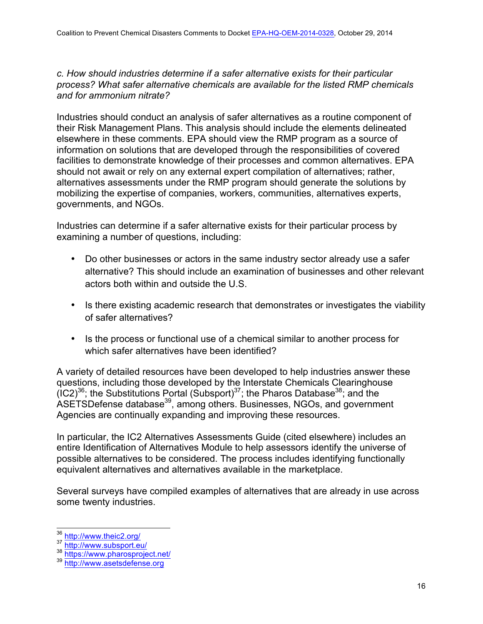*c. How should industries determine if a safer alternative exists for their particular process? What safer alternative chemicals are available for the listed RMP chemicals and for ammonium nitrate?*

Industries should conduct an analysis of safer alternatives as a routine component of their Risk Management Plans. This analysis should include the elements delineated elsewhere in these comments. EPA should view the RMP program as a source of information on solutions that are developed through the responsibilities of covered facilities to demonstrate knowledge of their processes and common alternatives. EPA should not await or rely on any external expert compilation of alternatives; rather, alternatives assessments under the RMP program should generate the solutions by mobilizing the expertise of companies, workers, communities, alternatives experts, governments, and NGOs.

Industries can determine if a safer alternative exists for their particular process by examining a number of questions, including:

- Do other businesses or actors in the same industry sector already use a safer alternative? This should include an examination of businesses and other relevant actors both within and outside the U.S.
- Is there existing academic research that demonstrates or investigates the viability of safer alternatives?
- Is the process or functional use of a chemical similar to another process for which safer alternatives have been identified?

A variety of detailed resources have been developed to help industries answer these questions, including those developed by the Interstate Chemicals Clearinghouse  $(IC2)^{36}$ ; the Substitutions Portal (Subsport)<sup>37</sup>; the Pharos Database<sup>38</sup>; and the ASETSDefense database<sup>39</sup>, among others. Businesses, NGOs, and government Agencies are continually expanding and improving these resources.

In particular, the IC2 Alternatives Assessments Guide (cited elsewhere) includes an entire Identification of Alternatives Module to help assessors identify the universe of possible alternatives to be considered. The process includes identifying functionally equivalent alternatives and alternatives available in the marketplace.

Several surveys have compiled examples of alternatives that are already in use across some twenty industries.

<sup>&</sup>lt;sup>36</sup> http://www.theic2.org/<br><sup>37</sup> http://www.subsport.eu/<br><sup>38</sup> https://www.pharosproject.net/<br><sup>39</sup> http://www.asetsdefense.org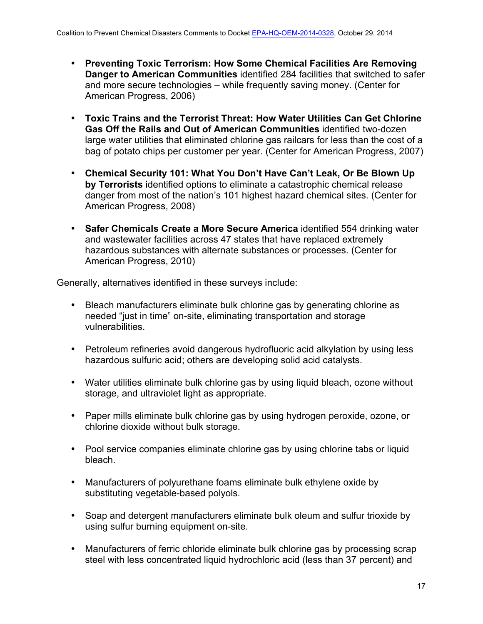- **Preventing Toxic Terrorism: How Some Chemical Facilities Are Removing Danger to American Communities** identified 284 facilities that switched to safer and more secure technologies – while frequently saving money. (Center for American Progress, 2006)
- **Toxic Trains and the Terrorist Threat: How Water Utilities Can Get Chlorine Gas Off the Rails and Out of American Communities** identified two-dozen large water utilities that eliminated chlorine gas railcars for less than the cost of a bag of potato chips per customer per year. (Center for American Progress, 2007)
- **Chemical Security 101: What You Don't Have Can't Leak, Or Be Blown Up by Terrorists** identified options to eliminate a catastrophic chemical release danger from most of the nation's 101 highest hazard chemical sites. (Center for American Progress, 2008)
- **Safer Chemicals Create a More Secure America** identified 554 drinking water and wastewater facilities across 47 states that have replaced extremely hazardous substances with alternate substances or processes. (Center for American Progress, 2010)

Generally, alternatives identified in these surveys include:

- Bleach manufacturers eliminate bulk chlorine gas by generating chlorine as needed "just in time" on-site, eliminating transportation and storage vulnerabilities.
- Petroleum refineries avoid dangerous hydrofluoric acid alkylation by using less hazardous sulfuric acid; others are developing solid acid catalysts.
- Water utilities eliminate bulk chlorine gas by using liquid bleach, ozone without storage, and ultraviolet light as appropriate.
- Paper mills eliminate bulk chlorine gas by using hydrogen peroxide, ozone, or chlorine dioxide without bulk storage.
- Pool service companies eliminate chlorine gas by using chlorine tabs or liquid bleach.
- Manufacturers of polyurethane foams eliminate bulk ethylene oxide by substituting vegetable-based polyols.
- Soap and detergent manufacturers eliminate bulk oleum and sulfur trioxide by using sulfur burning equipment on-site.
- Manufacturers of ferric chloride eliminate bulk chlorine gas by processing scrap steel with less concentrated liquid hydrochloric acid (less than 37 percent) and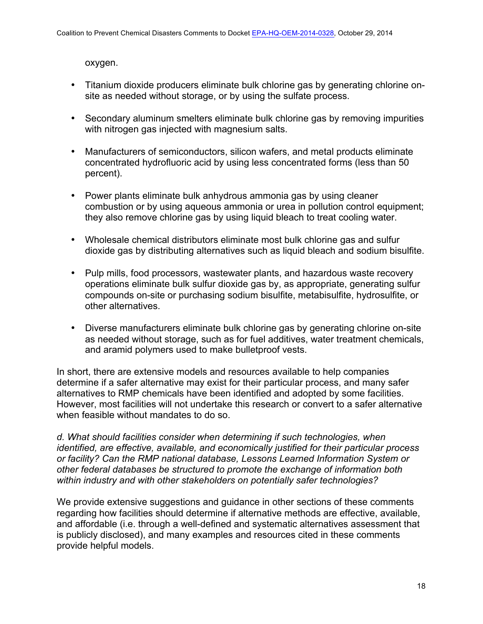oxygen.

- Titanium dioxide producers eliminate bulk chlorine gas by generating chlorine onsite as needed without storage, or by using the sulfate process.
- Secondary aluminum smelters eliminate bulk chlorine gas by removing impurities with nitrogen gas injected with magnesium salts.
- Manufacturers of semiconductors, silicon wafers, and metal products eliminate concentrated hydrofluoric acid by using less concentrated forms (less than 50 percent).
- Power plants eliminate bulk anhydrous ammonia gas by using cleaner combustion or by using aqueous ammonia or urea in pollution control equipment; they also remove chlorine gas by using liquid bleach to treat cooling water.
- Wholesale chemical distributors eliminate most bulk chlorine gas and sulfur dioxide gas by distributing alternatives such as liquid bleach and sodium bisulfite.
- Pulp mills, food processors, wastewater plants, and hazardous waste recovery operations eliminate bulk sulfur dioxide gas by, as appropriate, generating sulfur compounds on-site or purchasing sodium bisulfite, metabisulfite, hydrosulfite, or other alternatives.
- Diverse manufacturers eliminate bulk chlorine gas by generating chlorine on-site as needed without storage, such as for fuel additives, water treatment chemicals, and aramid polymers used to make bulletproof vests.

In short, there are extensive models and resources available to help companies determine if a safer alternative may exist for their particular process, and many safer alternatives to RMP chemicals have been identified and adopted by some facilities. However, most facilities will not undertake this research or convert to a safer alternative when feasible without mandates to do so.

*d. What should facilities consider when determining if such technologies, when identified, are effective, available, and economically justified for their particular process or facility? Can the RMP national database, Lessons Learned Information System or other federal databases be structured to promote the exchange of information both within industry and with other stakeholders on potentially safer technologies?*

We provide extensive suggestions and guidance in other sections of these comments regarding how facilities should determine if alternative methods are effective, available, and affordable (i.e. through a well-defined and systematic alternatives assessment that is publicly disclosed), and many examples and resources cited in these comments provide helpful models.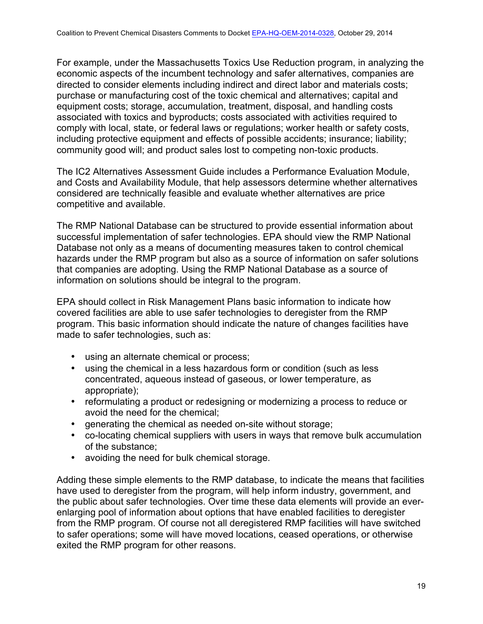For example, under the Massachusetts Toxics Use Reduction program, in analyzing the economic aspects of the incumbent technology and safer alternatives, companies are directed to consider elements including indirect and direct labor and materials costs; purchase or manufacturing cost of the toxic chemical and alternatives; capital and equipment costs; storage, accumulation, treatment, disposal, and handling costs associated with toxics and byproducts; costs associated with activities required to comply with local, state, or federal laws or regulations; worker health or safety costs, including protective equipment and effects of possible accidents; insurance; liability; community good will; and product sales lost to competing non-toxic products.

The IC2 Alternatives Assessment Guide includes a Performance Evaluation Module, and Costs and Availability Module, that help assessors determine whether alternatives considered are technically feasible and evaluate whether alternatives are price competitive and available.

The RMP National Database can be structured to provide essential information about successful implementation of safer technologies. EPA should view the RMP National Database not only as a means of documenting measures taken to control chemical hazards under the RMP program but also as a source of information on safer solutions that companies are adopting. Using the RMP National Database as a source of information on solutions should be integral to the program.

EPA should collect in Risk Management Plans basic information to indicate how covered facilities are able to use safer technologies to deregister from the RMP program. This basic information should indicate the nature of changes facilities have made to safer technologies, such as:

- using an alternate chemical or process;
- using the chemical in a less hazardous form or condition (such as less concentrated, aqueous instead of gaseous, or lower temperature, as appropriate);
- reformulating a product or redesigning or modernizing a process to reduce or avoid the need for the chemical;
- generating the chemical as needed on-site without storage;
- co-locating chemical suppliers with users in ways that remove bulk accumulation of the substance;
- avoiding the need for bulk chemical storage.

Adding these simple elements to the RMP database, to indicate the means that facilities have used to deregister from the program, will help inform industry, government, and the public about safer technologies. Over time these data elements will provide an everenlarging pool of information about options that have enabled facilities to deregister from the RMP program. Of course not all deregistered RMP facilities will have switched to safer operations; some will have moved locations, ceased operations, or otherwise exited the RMP program for other reasons.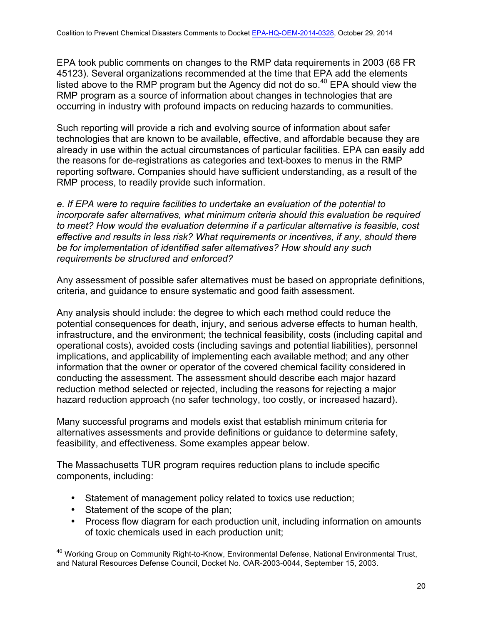EPA took public comments on changes to the RMP data requirements in 2003 (68 FR 45123). Several organizations recommended at the time that EPA add the elements listed above to the RMP program but the Agency did not do so. $40$  EPA should view the RMP program as a source of information about changes in technologies that are occurring in industry with profound impacts on reducing hazards to communities.

Such reporting will provide a rich and evolving source of information about safer technologies that are known to be available, effective, and affordable because they are already in use within the actual circumstances of particular facilities. EPA can easily add the reasons for de-registrations as categories and text-boxes to menus in the RMP reporting software. Companies should have sufficient understanding, as a result of the RMP process, to readily provide such information.

*e. If EPA were to require facilities to undertake an evaluation of the potential to incorporate safer alternatives, what minimum criteria should this evaluation be required to meet? How would the evaluation determine if a particular alternative is feasible, cost effective and results in less risk? What requirements or incentives, if any, should there be for implementation of identified safer alternatives? How should any such requirements be structured and enforced?*

Any assessment of possible safer alternatives must be based on appropriate definitions, criteria, and guidance to ensure systematic and good faith assessment.

Any analysis should include: the degree to which each method could reduce the potential consequences for death, injury, and serious adverse effects to human health, infrastructure, and the environment; the technical feasibility, costs (including capital and operational costs), avoided costs (including savings and potential liabilities), personnel implications, and applicability of implementing each available method; and any other information that the owner or operator of the covered chemical facility considered in conducting the assessment. The assessment should describe each major hazard reduction method selected or rejected, including the reasons for rejecting a major hazard reduction approach (no safer technology, too costly, or increased hazard).

Many successful programs and models exist that establish minimum criteria for alternatives assessments and provide definitions or guidance to determine safety, feasibility, and effectiveness. Some examples appear below.

The Massachusetts TUR program requires reduction plans to include specific components, including:

- Statement of management policy related to toxics use reduction;
- Statement of the scope of the plan;
- Process flow diagram for each production unit, including information on amounts of toxic chemicals used in each production unit;

<sup>&</sup>lt;sup>40</sup> Working Group on Community Right-to-Know, Environmental Defense, National Environmental Trust, and Natural Resources Defense Council, Docket No. OAR-2003-0044, September 15, 2003.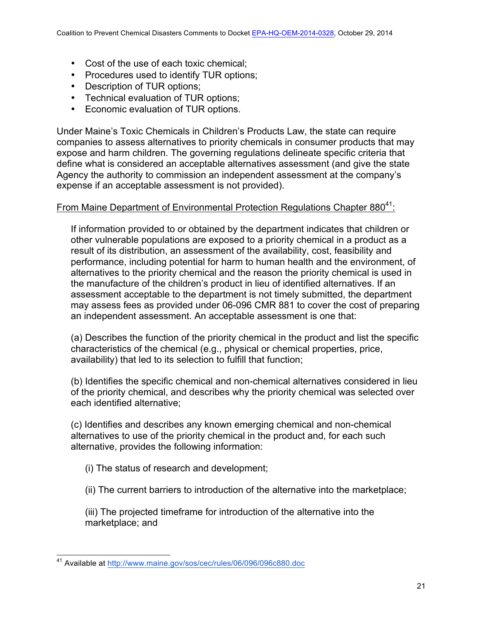- Cost of the use of each toxic chemical;
- Procedures used to identify TUR options;
- Description of TUR options;
- Technical evaluation of TUR options;
- Economic evaluation of TUR options.

Under Maine's Toxic Chemicals in Children's Products Law, the state can require companies to assess alternatives to priority chemicals in consumer products that may expose and harm children. The governing regulations delineate specific criteria that define what is considered an acceptable alternatives assessment (and give the state Agency the authority to commission an independent assessment at the company's expense if an acceptable assessment is not provided).

## From Maine Department of Environmental Protection Regulations Chapter  $880^{41}$ :

If information provided to or obtained by the department indicates that children or other vulnerable populations are exposed to a priority chemical in a product as a result of its distribution, an assessment of the availability, cost, feasibility and performance, including potential for harm to human health and the environment, of alternatives to the priority chemical and the reason the priority chemical is used in the manufacture of the children's product in lieu of identified alternatives. If an assessment acceptable to the department is not timely submitted, the department may assess fees as provided under 06-096 CMR 881 to cover the cost of preparing an independent assessment. An acceptable assessment is one that:

(a) Describes the function of the priority chemical in the product and list the specific characteristics of the chemical (e.g., physical or chemical properties, price, availability) that led to its selection to fulfill that function;

(b) Identifies the specific chemical and non-chemical alternatives considered in lieu of the priority chemical, and describes why the priority chemical was selected over each identified alternative;

(c) Identifies and describes any known emerging chemical and non-chemical alternatives to use of the priority chemical in the product and, for each such alternative, provides the following information:

- (i) The status of research and development;
- (ii) The current barriers to introduction of the alternative into the marketplace;

(iii) The projected timeframe for introduction of the alternative into the marketplace; and

<sup>41</sup> Available at http://www.maine.gov/sos/cec/rules/06/096/096c880.doc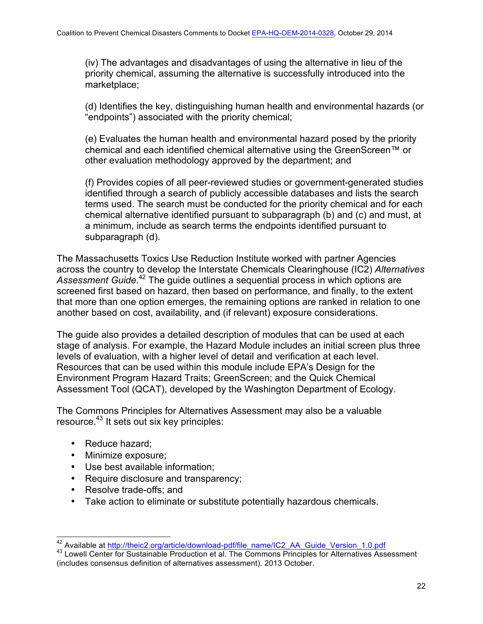(iv) The advantages and disadvantages of using the alternative in lieu of the priority chemical, assuming the alternative is successfully introduced into the marketplace;

(d) Identifies the key, distinguishing human health and environmental hazards (or "endpoints") associated with the priority chemical;

(e) Evaluates the human health and environmental hazard posed by the priority chemical and each identified chemical alternative using the GreenScreen™ or other evaluation methodology approved by the department; and

(f) Provides copies of all peer-reviewed studies or government-generated studies identified through a search of publicly accessible databases and lists the search terms used. The search must be conducted for the priority chemical and for each chemical alternative identified pursuant to subparagraph (b) and (c) and must, at a minimum, include as search terms the endpoints identified pursuant to subparagraph (d).

The Massachusetts Toxics Use Reduction Institute worked with partner Agencies across the country to develop the Interstate Chemicals Clearinghouse (IC2) *Alternatives*  Assessment Guide.<sup>42</sup> The guide outlines a sequential process in which options are screened first based on hazard, then based on performance, and finally, to the extent that more than one option emerges, the remaining options are ranked in relation to one another based on cost, availability, and (if relevant) exposure considerations.

The guide also provides a detailed description of modules that can be used at each stage of analysis. For example, the Hazard Module includes an initial screen plus three levels of evaluation, with a higher level of detail and verification at each level. Resources that can be used within this module include EPA's Design for the Environment Program Hazard Traits; GreenScreen; and the Quick Chemical Assessment Tool (QCAT), developed by the Washington Department of Ecology.

The Commons Principles for Alternatives Assessment may also be a valuable resource.<sup>43</sup> It sets out six key principles:

- Reduce hazard;
- Minimize exposure;
- Use best available information;
- Require disclosure and transparency;
- Resolve trade-offs; and
- Take action to eliminate or substitute potentially hazardous chemicals.

<sup>&</sup>lt;sup>42</sup> Available at http://theic2.org/article/download-pdf/file\_name/IC2\_AA\_Guide\_Version\_1.0.pdf<br><sup>43</sup> Lowell Center for Sustainable Production et al. The Commons Principles for Alternatives Assessment (includes consensus definition of alternatives assessment). 2013 October.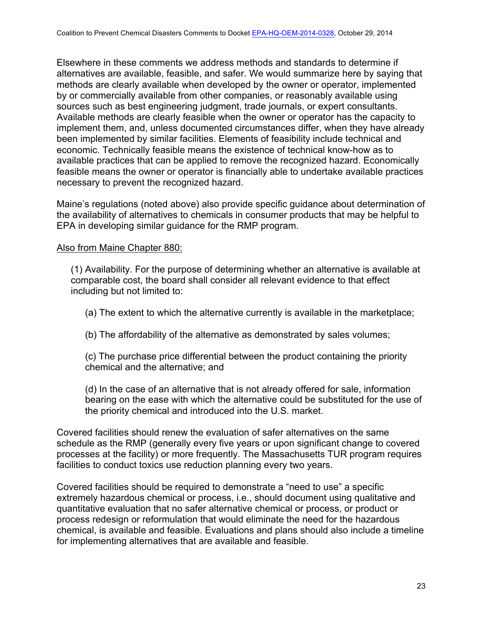Elsewhere in these comments we address methods and standards to determine if alternatives are available, feasible, and safer. We would summarize here by saying that methods are clearly available when developed by the owner or operator, implemented by or commercially available from other companies, or reasonably available using sources such as best engineering judgment, trade journals, or expert consultants. Available methods are clearly feasible when the owner or operator has the capacity to implement them, and, unless documented circumstances differ, when they have already been implemented by similar facilities. Elements of feasibility include technical and economic. Technically feasible means the existence of technical know-how as to available practices that can be applied to remove the recognized hazard. Economically feasible means the owner or operator is financially able to undertake available practices necessary to prevent the recognized hazard.

Maine's regulations (noted above) also provide specific guidance about determination of the availability of alternatives to chemicals in consumer products that may be helpful to EPA in developing similar guidance for the RMP program.

#### Also from Maine Chapter 880:

(1) Availability. For the purpose of determining whether an alternative is available at comparable cost, the board shall consider all relevant evidence to that effect including but not limited to:

(a) The extent to which the alternative currently is available in the marketplace;

(b) The affordability of the alternative as demonstrated by sales volumes;

(c) The purchase price differential between the product containing the priority chemical and the alternative; and

(d) In the case of an alternative that is not already offered for sale, information bearing on the ease with which the alternative could be substituted for the use of the priority chemical and introduced into the U.S. market.

Covered facilities should renew the evaluation of safer alternatives on the same schedule as the RMP (generally every five years or upon significant change to covered processes at the facility) or more frequently. The Massachusetts TUR program requires facilities to conduct toxics use reduction planning every two years.

Covered facilities should be required to demonstrate a "need to use" a specific extremely hazardous chemical or process, i.e., should document using qualitative and quantitative evaluation that no safer alternative chemical or process, or product or process redesign or reformulation that would eliminate the need for the hazardous chemical, is available and feasible. Evaluations and plans should also include a timeline for implementing alternatives that are available and feasible.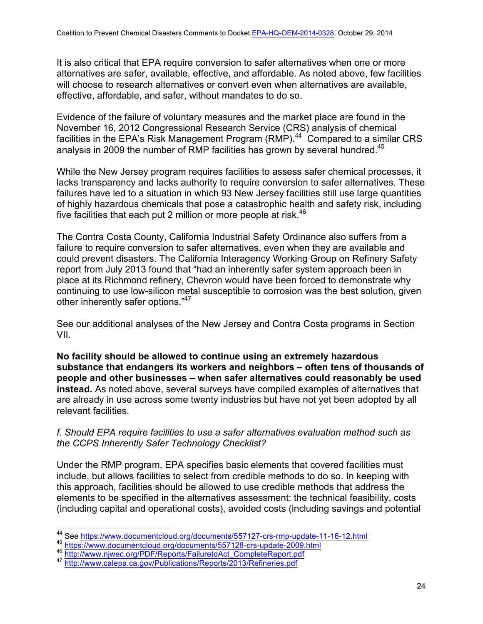It is also critical that EPA require conversion to safer alternatives when one or more alternatives are safer, available, effective, and affordable. As noted above, few facilities will choose to research alternatives or convert even when alternatives are available, effective, affordable, and safer, without mandates to do so.

Evidence of the failure of voluntary measures and the market place are found in the November 16, 2012 Congressional Research Service (CRS) analysis of chemical facilities in the EPA's Risk Management Program (RMP).44 Compared to a similar CRS analysis in 2009 the number of RMP facilities has grown by several hundred.<sup>45</sup>

While the New Jersey program requires facilities to assess safer chemical processes, it lacks transparency and lacks authority to require conversion to safer alternatives. These failures have led to a situation in which 93 New Jersey facilities still use large quantities of highly hazardous chemicals that pose a catastrophic health and safety risk, including five facilities that each put 2 million or more people at risk. $46$ 

The Contra Costa County, California Industrial Safety Ordinance also suffers from a failure to require conversion to safer alternatives, even when they are available and could prevent disasters. The California Interagency Working Group on Refinery Safety report from July 2013 found that "had an inherently safer system approach been in place at its Richmond refinery, Chevron would have been forced to demonstrate why continuing to use low-silicon metal susceptible to corrosion was the best solution, given other inherently safer options."47

See our additional analyses of the New Jersey and Contra Costa programs in Section VII.

**No facility should be allowed to continue using an extremely hazardous substance that endangers its workers and neighbors – often tens of thousands of people and other businesses – when safer alternatives could reasonably be used instead.** As noted above, several surveys have compiled examples of alternatives that are already in use across some twenty industries but have not yet been adopted by all relevant facilities.

#### *f. Should EPA require facilities to use a safer alternatives evaluation method such as the CCPS Inherently Safer Technology Checklist?*

Under the RMP program, EPA specifies basic elements that covered facilities must include, but allows facilities to select from credible methods to do so. In keeping with this approach, facilities should be allowed to use credible methods that address the elements to be specified in the alternatives assessment: the technical feasibility, costs (including capital and operational costs), avoided costs (including savings and potential

<sup>&</sup>lt;sup>44</sup> See https://www.documentcloud.org/documents/557127-crs-rmp-update-11-16-12.html <sup>45</sup> https://www.documentcloud.org/documents/557128-crs-update-2009.html

<sup>46&</sup>lt;br>http://www.njwec.org/PDF/Reports/FailuretoAct\_CompleteReport.pdf<br> $^{47}$  http://www.calepa.ca.gov/Publications/Reports/2013/Refineries.pdf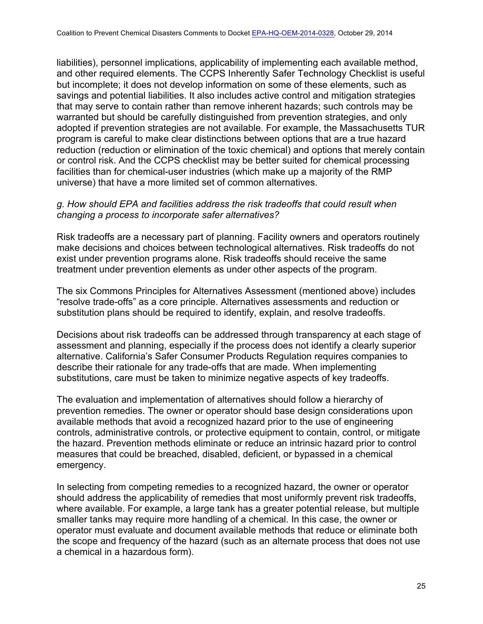liabilities), personnel implications, applicability of implementing each available method, and other required elements. The CCPS Inherently Safer Technology Checklist is useful but incomplete; it does not develop information on some of these elements, such as savings and potential liabilities. It also includes active control and mitigation strategies that may serve to contain rather than remove inherent hazards; such controls may be warranted but should be carefully distinguished from prevention strategies, and only adopted if prevention strategies are not available. For example, the Massachusetts TUR program is careful to make clear distinctions between options that are a true hazard reduction (reduction or elimination of the toxic chemical) and options that merely contain or control risk. And the CCPS checklist may be better suited for chemical processing facilities than for chemical-user industries (which make up a majority of the RMP universe) that have a more limited set of common alternatives.

## *g. How should EPA and facilities address the risk tradeoffs that could result when changing a process to incorporate safer alternatives?*

Risk tradeoffs are a necessary part of planning. Facility owners and operators routinely make decisions and choices between technological alternatives. Risk tradeoffs do not exist under prevention programs alone. Risk tradeoffs should receive the same treatment under prevention elements as under other aspects of the program.

The six Commons Principles for Alternatives Assessment (mentioned above) includes "resolve trade-offs" as a core principle. Alternatives assessments and reduction or substitution plans should be required to identify, explain, and resolve tradeoffs.

Decisions about risk tradeoffs can be addressed through transparency at each stage of assessment and planning, especially if the process does not identify a clearly superior alternative. California's Safer Consumer Products Regulation requires companies to describe their rationale for any trade-offs that are made. When implementing substitutions, care must be taken to minimize negative aspects of key tradeoffs.

The evaluation and implementation of alternatives should follow a hierarchy of prevention remedies. The owner or operator should base design considerations upon available methods that avoid a recognized hazard prior to the use of engineering controls, administrative controls, or protective equipment to contain, control, or mitigate the hazard. Prevention methods eliminate or reduce an intrinsic hazard prior to control measures that could be breached, disabled, deficient, or bypassed in a chemical emergency.

In selecting from competing remedies to a recognized hazard, the owner or operator should address the applicability of remedies that most uniformly prevent risk tradeoffs, where available. For example, a large tank has a greater potential release, but multiple smaller tanks may require more handling of a chemical. In this case, the owner or operator must evaluate and document available methods that reduce or eliminate both the scope and frequency of the hazard (such as an alternate process that does not use a chemical in a hazardous form).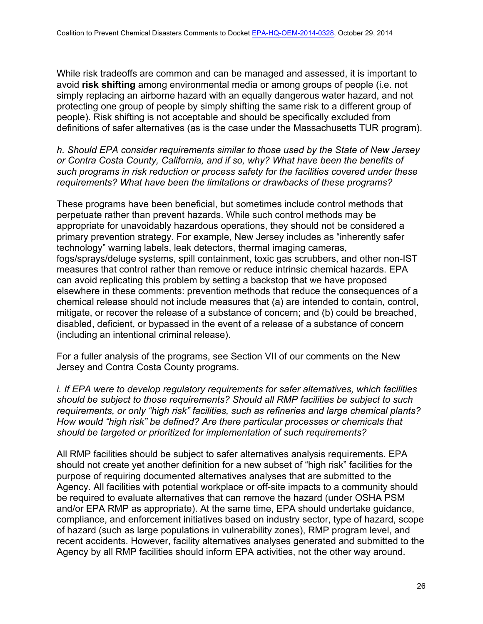While risk tradeoffs are common and can be managed and assessed, it is important to avoid **risk shifting** among environmental media or among groups of people (i.e. not simply replacing an airborne hazard with an equally dangerous water hazard, and not protecting one group of people by simply shifting the same risk to a different group of people). Risk shifting is not acceptable and should be specifically excluded from definitions of safer alternatives (as is the case under the Massachusetts TUR program).

*h. Should EPA consider requirements similar to those used by the State of New Jersey or Contra Costa County, California, and if so, why? What have been the benefits of such programs in risk reduction or process safety for the facilities covered under these requirements? What have been the limitations or drawbacks of these programs?*

These programs have been beneficial, but sometimes include control methods that perpetuate rather than prevent hazards. While such control methods may be appropriate for unavoidably hazardous operations, they should not be considered a primary prevention strategy. For example, New Jersey includes as "inherently safer technology" warning labels, leak detectors, thermal imaging cameras, fogs/sprays/deluge systems, spill containment, toxic gas scrubbers, and other non-IST measures that control rather than remove or reduce intrinsic chemical hazards. EPA can avoid replicating this problem by setting a backstop that we have proposed elsewhere in these comments: prevention methods that reduce the consequences of a chemical release should not include measures that (a) are intended to contain, control, mitigate, or recover the release of a substance of concern; and (b) could be breached, disabled, deficient, or bypassed in the event of a release of a substance of concern (including an intentional criminal release).

For a fuller analysis of the programs, see Section VII of our comments on the New Jersey and Contra Costa County programs.

*i. If EPA were to develop regulatory requirements for safer alternatives, which facilities should be subject to those requirements? Should all RMP facilities be subject to such requirements, or only "high risk" facilities, such as refineries and large chemical plants? How would "high risk" be defined? Are there particular processes or chemicals that should be targeted or prioritized for implementation of such requirements?*

All RMP facilities should be subject to safer alternatives analysis requirements. EPA should not create yet another definition for a new subset of "high risk" facilities for the purpose of requiring documented alternatives analyses that are submitted to the Agency. All facilities with potential workplace or off-site impacts to a community should be required to evaluate alternatives that can remove the hazard (under OSHA PSM and/or EPA RMP as appropriate). At the same time, EPA should undertake guidance, compliance, and enforcement initiatives based on industry sector, type of hazard, scope of hazard (such as large populations in vulnerability zones), RMP program level, and recent accidents. However, facility alternatives analyses generated and submitted to the Agency by all RMP facilities should inform EPA activities, not the other way around.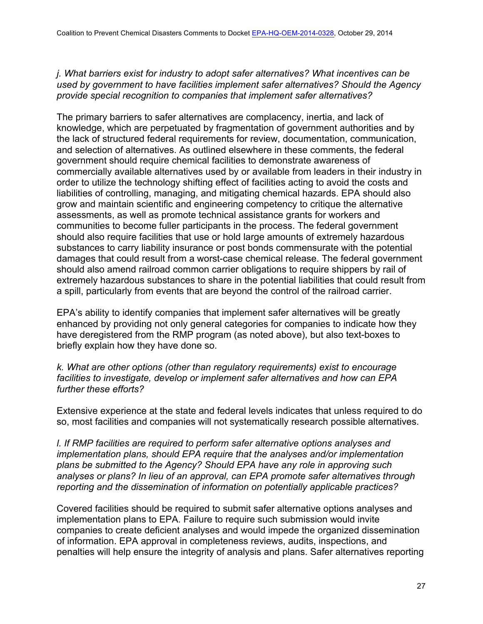*j. What barriers exist for industry to adopt safer alternatives? What incentives can be used by government to have facilities implement safer alternatives? Should the Agency provide special recognition to companies that implement safer alternatives?*

The primary barriers to safer alternatives are complacency, inertia, and lack of knowledge, which are perpetuated by fragmentation of government authorities and by the lack of structured federal requirements for review, documentation, communication, and selection of alternatives. As outlined elsewhere in these comments, the federal government should require chemical facilities to demonstrate awareness of commercially available alternatives used by or available from leaders in their industry in order to utilize the technology shifting effect of facilities acting to avoid the costs and liabilities of controlling, managing, and mitigating chemical hazards. EPA should also grow and maintain scientific and engineering competency to critique the alternative assessments, as well as promote technical assistance grants for workers and communities to become fuller participants in the process. The federal government should also require facilities that use or hold large amounts of extremely hazardous substances to carry liability insurance or post bonds commensurate with the potential damages that could result from a worst-case chemical release. The federal government should also amend railroad common carrier obligations to require shippers by rail of extremely hazardous substances to share in the potential liabilities that could result from a spill, particularly from events that are beyond the control of the railroad carrier.

EPA's ability to identify companies that implement safer alternatives will be greatly enhanced by providing not only general categories for companies to indicate how they have deregistered from the RMP program (as noted above), but also text-boxes to briefly explain how they have done so.

*k. What are other options (other than regulatory requirements) exist to encourage facilities to investigate, develop or implement safer alternatives and how can EPA further these efforts?*

Extensive experience at the state and federal levels indicates that unless required to do so, most facilities and companies will not systematically research possible alternatives.

*l. If RMP facilities are required to perform safer alternative options analyses and implementation plans, should EPA require that the analyses and/or implementation plans be submitted to the Agency? Should EPA have any role in approving such analyses or plans? In lieu of an approval, can EPA promote safer alternatives through reporting and the dissemination of information on potentially applicable practices?*

Covered facilities should be required to submit safer alternative options analyses and implementation plans to EPA. Failure to require such submission would invite companies to create deficient analyses and would impede the organized dissemination of information. EPA approval in completeness reviews, audits, inspections, and penalties will help ensure the integrity of analysis and plans. Safer alternatives reporting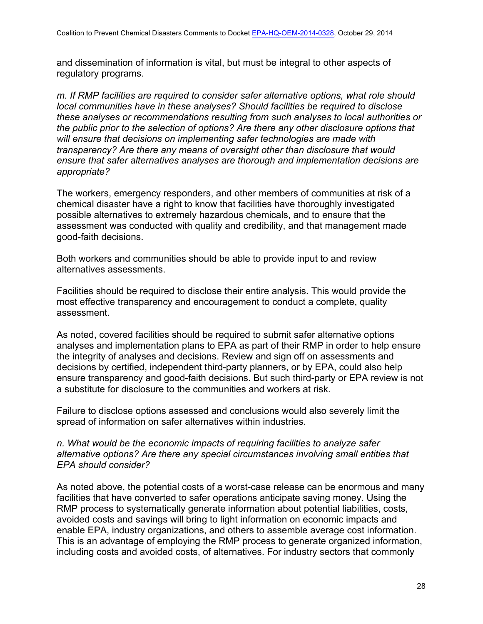and dissemination of information is vital, but must be integral to other aspects of regulatory programs.

*m. If RMP facilities are required to consider safer alternative options, what role should local communities have in these analyses? Should facilities be required to disclose these analyses or recommendations resulting from such analyses to local authorities or the public prior to the selection of options? Are there any other disclosure options that will ensure that decisions on implementing safer technologies are made with transparency? Are there any means of oversight other than disclosure that would ensure that safer alternatives analyses are thorough and implementation decisions are appropriate?*

The workers, emergency responders, and other members of communities at risk of a chemical disaster have a right to know that facilities have thoroughly investigated possible alternatives to extremely hazardous chemicals, and to ensure that the assessment was conducted with quality and credibility, and that management made good-faith decisions.

Both workers and communities should be able to provide input to and review alternatives assessments.

Facilities should be required to disclose their entire analysis. This would provide the most effective transparency and encouragement to conduct a complete, quality assessment.

As noted, covered facilities should be required to submit safer alternative options analyses and implementation plans to EPA as part of their RMP in order to help ensure the integrity of analyses and decisions. Review and sign off on assessments and decisions by certified, independent third-party planners, or by EPA, could also help ensure transparency and good-faith decisions. But such third-party or EPA review is not a substitute for disclosure to the communities and workers at risk.

Failure to disclose options assessed and conclusions would also severely limit the spread of information on safer alternatives within industries.

## *n. What would be the economic impacts of requiring facilities to analyze safer alternative options? Are there any special circumstances involving small entities that EPA should consider?*

As noted above, the potential costs of a worst-case release can be enormous and many facilities that have converted to safer operations anticipate saving money. Using the RMP process to systematically generate information about potential liabilities, costs, avoided costs and savings will bring to light information on economic impacts and enable EPA, industry organizations, and others to assemble average cost information. This is an advantage of employing the RMP process to generate organized information, including costs and avoided costs, of alternatives. For industry sectors that commonly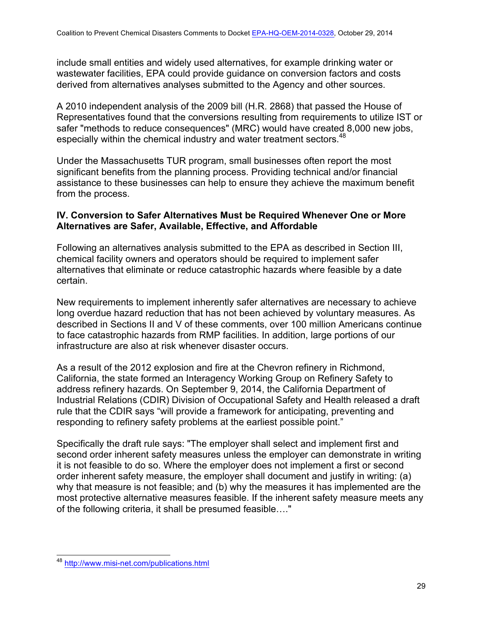include small entities and widely used alternatives, for example drinking water or wastewater facilities, EPA could provide guidance on conversion factors and costs derived from alternatives analyses submitted to the Agency and other sources.

A 2010 independent analysis of the 2009 bill (H.R. 2868) that passed the House of Representatives found that the conversions resulting from requirements to utilize IST or safer "methods to reduce consequences" (MRC) would have created 8,000 new jobs, especially within the chemical industry and water treatment sectors.<sup>48</sup>

Under the Massachusetts TUR program, small businesses often report the most significant benefits from the planning process. Providing technical and/or financial assistance to these businesses can help to ensure they achieve the maximum benefit from the process.

#### **IV. Conversion to Safer Alternatives Must be Required Whenever One or More Alternatives are Safer, Available, Effective, and Affordable**

Following an alternatives analysis submitted to the EPA as described in Section III, chemical facility owners and operators should be required to implement safer alternatives that eliminate or reduce catastrophic hazards where feasible by a date certain.

New requirements to implement inherently safer alternatives are necessary to achieve long overdue hazard reduction that has not been achieved by voluntary measures. As described in Sections II and V of these comments, over 100 million Americans continue to face catastrophic hazards from RMP facilities. In addition, large portions of our infrastructure are also at risk whenever disaster occurs.

As a result of the 2012 explosion and fire at the Chevron refinery in Richmond, California, the state formed an Interagency Working Group on Refinery Safety to address refinery hazards. On September 9, 2014, the California Department of Industrial Relations (CDIR) Division of Occupational Safety and Health released a draft rule that the CDIR says "will provide a framework for anticipating, preventing and responding to refinery safety problems at the earliest possible point."

Specifically the draft rule says: "The employer shall select and implement first and second order inherent safety measures unless the employer can demonstrate in writing it is not feasible to do so. Where the employer does not implement a first or second order inherent safety measure, the employer shall document and justify in writing: (a) why that measure is not feasible; and (b) why the measures it has implemented are the most protective alternative measures feasible. If the inherent safety measure meets any of the following criteria, it shall be presumed feasible…."

<sup>48</sup> http://www.misi-net.com/publications.html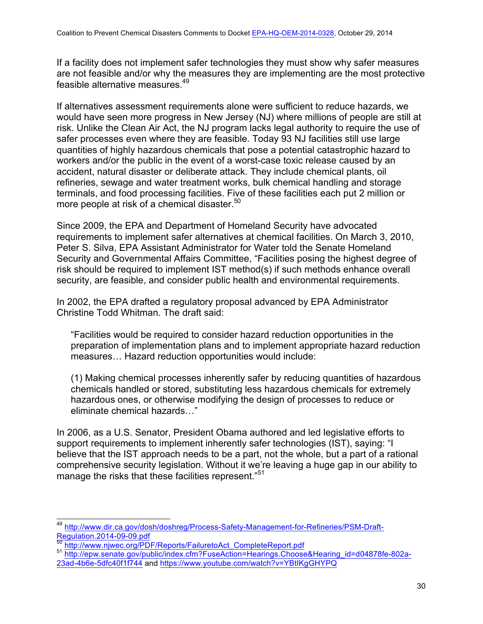If a facility does not implement safer technologies they must show why safer measures are not feasible and/or why the measures they are implementing are the most protective feasible alternative measures.49

If alternatives assessment requirements alone were sufficient to reduce hazards, we would have seen more progress in New Jersey (NJ) where millions of people are still at risk. Unlike the Clean Air Act, the NJ program lacks legal authority to require the use of safer processes even where they are feasible. Today 93 NJ facilities still use large quantities of highly hazardous chemicals that pose a potential catastrophic hazard to workers and/or the public in the event of a worst-case toxic release caused by an accident, natural disaster or deliberate attack. They include chemical plants, oil refineries, sewage and water treatment works, bulk chemical handling and storage terminals, and food processing facilities. Five of these facilities each put 2 million or more people at risk of a chemical disaster.<sup>50</sup>

Since 2009, the EPA and Department of Homeland Security have advocated requirements to implement safer alternatives at chemical facilities. On March 3, 2010, Peter S. Silva, EPA Assistant Administrator for Water told the Senate Homeland Security and Governmental Affairs Committee, "Facilities posing the highest degree of risk should be required to implement IST method(s) if such methods enhance overall security, are feasible, and consider public health and environmental requirements.

In 2002, the EPA drafted a regulatory proposal advanced by EPA Administrator Christine Todd Whitman. The draft said:

"Facilities would be required to consider hazard reduction opportunities in the preparation of implementation plans and to implement appropriate hazard reduction measures… Hazard reduction opportunities would include:

(1) Making chemical processes inherently safer by reducing quantities of hazardous chemicals handled or stored, substituting less hazardous chemicals for extremely hazardous ones, or otherwise modifying the design of processes to reduce or eliminate chemical hazards…"

In 2006, as a U.S. Senator, President Obama authored and led legislative efforts to support requirements to implement inherently safer technologies (IST), saying: "I believe that the IST approach needs to be a part, not the whole, but a part of a rational comprehensive security legislation. Without it we're leaving a huge gap in our ability to manage the risks that these facilities represent."<sup>51</sup>

<sup>49</sup> http://www.dir.ca.gov/dosh/doshreg/Process-Safety-Management-for-Refineries/PSM-Draft-<br>Regulation.2014-09-09.pdf<br>50 http://www.nives.com/DDF/D

<sup>&</sup>lt;sup>50</sup> http://www.njwec.org/PDF/Reports/FailuretoAct\_CompleteReport.pdf<br><sup>51</sup> http<u>://epw.senate.gov/public/index.cfm?FuseAction=Hearings.Choose&Hearing\_id=d04878fe-802a-</u> 23ad-4b6e-5dfc40f1f744 and https://www.youtube.com/watch?v=YBtIKgGHYPQ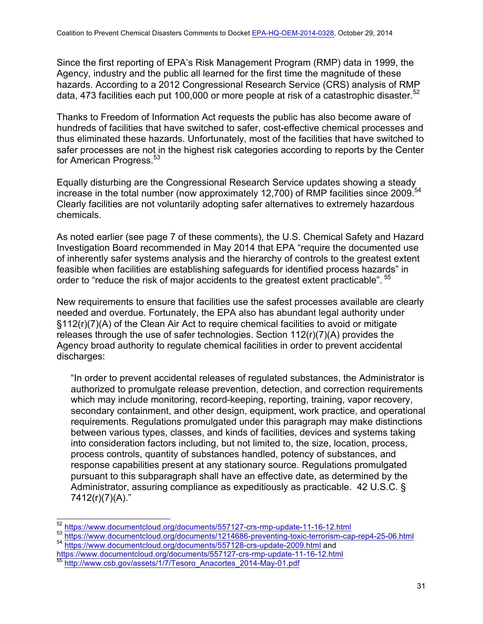Since the first reporting of EPA's Risk Management Program (RMP) data in 1999, the Agency, industry and the public all learned for the first time the magnitude of these hazards. According to a 2012 Congressional Research Service (CRS) analysis of RMP data, 473 facilities each put 100,000 or more people at risk of a catastrophic disaster.<sup>52</sup>

Thanks to Freedom of Information Act requests the public has also become aware of hundreds of facilities that have switched to safer, cost-effective chemical processes and thus eliminated these hazards. Unfortunately, most of the facilities that have switched to safer processes are not in the highest risk categories according to reports by the Center for American Progress.<sup>53</sup>

Equally disturbing are the Congressional Research Service updates showing a steady increase in the total number (now approximately 12,700) of RMP facilities since 2009.<sup>54</sup> Clearly facilities are not voluntarily adopting safer alternatives to extremely hazardous chemicals.

As noted earlier (see page 7 of these comments), the U.S. Chemical Safety and Hazard Investigation Board recommended in May 2014 that EPA "require the documented use of inherently safer systems analysis and the hierarchy of controls to the greatest extent feasible when facilities are establishing safeguards for identified process hazards" in order to "reduce the risk of major accidents to the greatest extent practicable". <sup>55</sup>

New requirements to ensure that facilities use the safest processes available are clearly needed and overdue. Fortunately, the EPA also has abundant legal authority under §112(r)(7)(A) of the Clean Air Act to require chemical facilities to avoid or mitigate releases through the use of safer technologies. Section 112(r)(7)(A) provides the Agency broad authority to regulate chemical facilities in order to prevent accidental discharges:

"In order to prevent accidental releases of regulated substances, the Administrator is authorized to promulgate release prevention, detection, and correction requirements which may include monitoring, record-keeping, reporting, training, vapor recovery, secondary containment, and other design, equipment, work practice, and operational requirements. Regulations promulgated under this paragraph may make distinctions between various types, classes, and kinds of facilities, devices and systems taking into consideration factors including, but not limited to, the size, location, process, process controls, quantity of substances handled, potency of substances, and response capabilities present at any stationary source. Regulations promulgated pursuant to this subparagraph shall have an effective date, as determined by the Administrator, assuring compliance as expeditiously as practicable. 42 U.S.C. § 7412(r)(7)(A)."

<sup>52</sup> https://www.documentcloud.org/documents/557127-crs-rmp-update-11-16-12.html

<sup>53</sup> https://www.documentcloud.org/documents/1214686-preventing-toxic-terrorism-cap-rep4-25-06.html <sup>54</sup> https://www.documentcloud.org/documents/557128-crs-update-2009.html and

https://www.documentcloud.org/documents/557127-crs-rmp-update-11-16-12.html

<sup>55</sup> http://www.csb.gov/assets/1/7/Tesoro\_Anacortes\_2014-May-01.pdf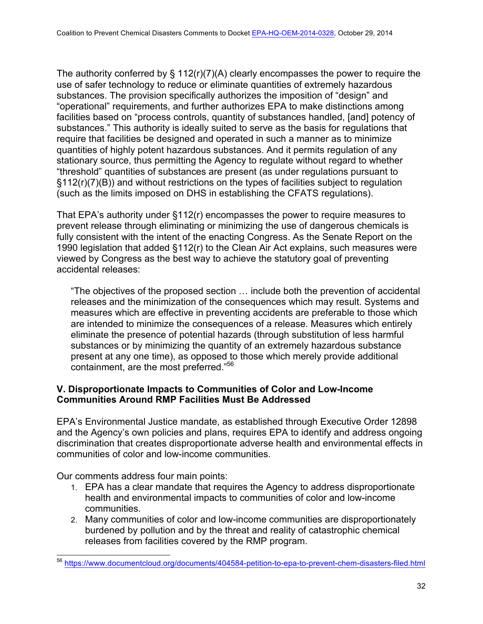The authority conferred by  $\S$  112(r)(7)(A) clearly encompasses the power to require the use of safer technology to reduce or eliminate quantities of extremely hazardous substances. The provision specifically authorizes the imposition of "design" and "operational" requirements, and further authorizes EPA to make distinctions among facilities based on "process controls, quantity of substances handled, [and] potency of substances." This authority is ideally suited to serve as the basis for regulations that require that facilities be designed and operated in such a manner as to minimize quantities of highly potent hazardous substances. And it permits regulation of any stationary source, thus permitting the Agency to regulate without regard to whether "threshold" quantities of substances are present (as under regulations pursuant to §112(r)(7)(B)) and without restrictions on the types of facilities subject to regulation (such as the limits imposed on DHS in establishing the CFATS regulations).

That EPA's authority under §112(r) encompasses the power to require measures to prevent release through eliminating or minimizing the use of dangerous chemicals is fully consistent with the intent of the enacting Congress. As the Senate Report on the 1990 legislation that added §112(r) to the Clean Air Act explains, such measures were viewed by Congress as the best way to achieve the statutory goal of preventing accidental releases:

"The objectives of the proposed section … include both the prevention of accidental releases and the minimization of the consequences which may result. Systems and measures which are effective in preventing accidents are preferable to those which are intended to minimize the consequences of a release. Measures which entirely eliminate the presence of potential hazards (through substitution of less harmful substances or by minimizing the quantity of an extremely hazardous substance present at any one time), as opposed to those which merely provide additional containment, are the most preferred."56

# **V. Disproportionate Impacts to Communities of Color and Low-Income Communities Around RMP Facilities Must Be Addressed**

EPA's Environmental Justice mandate, as established through Executive Order 12898 and the Agency's own policies and plans, requires EPA to identify and address ongoing discrimination that creates disproportionate adverse health and environmental effects in communities of color and low-income communities.

Our comments address four main points:

- 1. EPA has a clear mandate that requires the Agency to address disproportionate health and environmental impacts to communities of color and low-income communities.
- 2. Many communities of color and low-income communities are disproportionately burdened by pollution and by the threat and reality of catastrophic chemical releases from facilities covered by the RMP program.

<sup>56</sup> https://www.documentcloud.org/documents/404584-petition-to-epa-to-prevent-chem-disasters-filed.html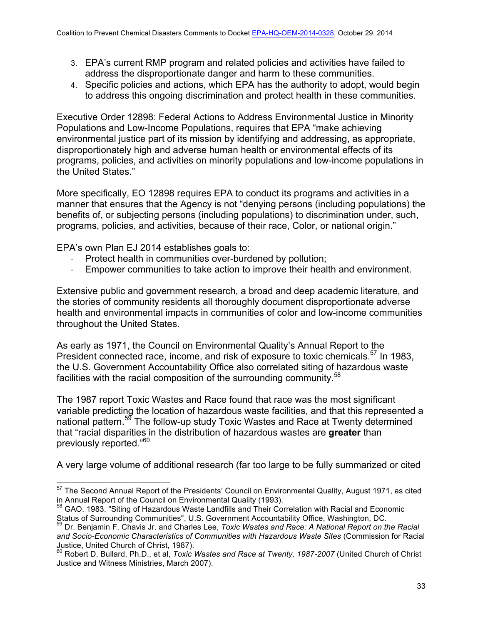- 3. EPA's current RMP program and related policies and activities have failed to address the disproportionate danger and harm to these communities.
- 4. Specific policies and actions, which EPA has the authority to adopt, would begin to address this ongoing discrimination and protect health in these communities.

Executive Order 12898: Federal Actions to Address Environmental Justice in Minority Populations and Low-Income Populations, requires that EPA "make achieving environmental justice part of its mission by identifying and addressing, as appropriate, disproportionately high and adverse human health or environmental effects of its programs, policies, and activities on minority populations and low-income populations in the United States."

More specifically, EO 12898 requires EPA to conduct its programs and activities in a manner that ensures that the Agency is not "denying persons (including populations) the benefits of, or subjecting persons (including populations) to discrimination under, such, programs, policies, and activities, because of their race, Color, or national origin."

EPA's own Plan EJ 2014 establishes goals to:

- Protect health in communities over-burdened by pollution;
- · Empower communities to take action to improve their health and environment.

Extensive public and government research, a broad and deep academic literature, and the stories of community residents all thoroughly document disproportionate adverse health and environmental impacts in communities of color and low-income communities throughout the United States.

As early as 1971, the Council on Environmental Quality's Annual Report to the President connected race, income, and risk of exposure to toxic chemicals.<sup>57</sup> In 1983, the U.S. Government Accountability Office also correlated siting of hazardous waste facilities with the racial composition of the surrounding community.<sup>58</sup>

The 1987 report Toxic Wastes and Race found that race was the most significant variable predicting the location of hazardous waste facilities, and that this represented a national pattern.<sup>59</sup> The follow-up study Toxic Wastes and Race at Twenty determined that "racial disparities in the distribution of hazardous wastes are **greater** than previously reported."<sup>60</sup>

A very large volume of additional research (far too large to be fully summarized or cited

<sup>&</sup>lt;sup>57</sup> The Second Annual Report of the Presidents' Council on Environmental Quality, August 1971, as cited in Annual Report of the Council on Environmental Quality (1993).<br><sup>58</sup> GAO. 1983. "Siting of Hazardous Waste Landfills and Their Correlation with Racial and Economic

Status of Surrounding Communities", U.S. Government Accountability Office, Washington, DC.<br><sup>59</sup> Dr. Benjamin F. Chavis Jr. and Charles Lee, *Toxic Wastes and Race: A National Report on the Racial* 

*and Socio-Economic Characteristics of Communities with Hazardous Waste Sites* (Commission for Racial Justice, United Church of Christ, 1987).

<sup>60</sup> Robert D. Bullard, Ph.D., et al, *Toxic Wastes and Race at Twenty, 1987-2007* (United Church of Christ Justice and Witness Ministries, March 2007).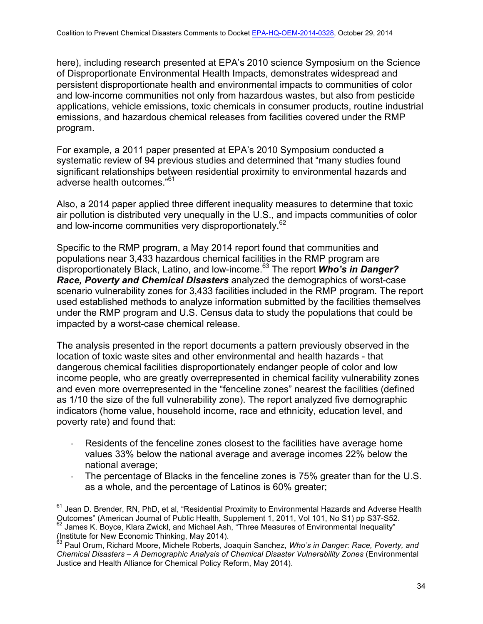here), including research presented at EPA's 2010 science Symposium on the Science of Disproportionate Environmental Health Impacts, demonstrates widespread and persistent disproportionate health and environmental impacts to communities of color and low-income communities not only from hazardous wastes, but also from pesticide applications, vehicle emissions, toxic chemicals in consumer products, routine industrial emissions, and hazardous chemical releases from facilities covered under the RMP program.

For example, a 2011 paper presented at EPA's 2010 Symposium conducted a systematic review of 94 previous studies and determined that "many studies found significant relationships between residential proximity to environmental hazards and adverse health outcomes."61

Also, a 2014 paper applied three different inequality measures to determine that toxic air pollution is distributed very unequally in the U.S., and impacts communities of color and low-income communities very disproportionately.<sup>62</sup>

Specific to the RMP program, a May 2014 report found that communities and populations near 3,433 hazardous chemical facilities in the RMP program are disproportionately Black, Latino, and low-income.<sup>63</sup> The report *Who's in Danger? Race, Poverty and Chemical Disasters* analyzed the demographics of worst-case scenario vulnerability zones for 3,433 facilities included in the RMP program. The report used established methods to analyze information submitted by the facilities themselves under the RMP program and U.S. Census data to study the populations that could be impacted by a worst-case chemical release.

The analysis presented in the report documents a pattern previously observed in the location of toxic waste sites and other environmental and health hazards - that dangerous chemical facilities disproportionately endanger people of color and low income people, who are greatly overrepresented in chemical facility vulnerability zones and even more overrepresented in the "fenceline zones" nearest the facilities (defined as 1/10 the size of the full vulnerability zone). The report analyzed five demographic indicators (home value, household income, race and ethnicity, education level, and poverty rate) and found that:

- Residents of the fenceline zones closest to the facilities have average home values 33% below the national average and average incomes 22% below the national average;
- · The percentage of Blacks in the fenceline zones is 75% greater than for the U.S. as a whole, and the percentage of Latinos is 60% greater;

(Institute for New Economic Thinking, May 2014).

 $61$  Jean D. Brender, RN, PhD, et al, "Residential Proximity to Environmental Hazards and Adverse Health Outcomes" (American Journal of Public Health, Supplement 1, 2011, Vol 101, No S1) pp S37-S52. James K. Boyce, Klara Zwickl, and Michael Ash, "Three Measures of Environmental Inequality"

<sup>63</sup> Paul Orum, Richard Moore, Michele Roberts, Joaquin Sanchez, *Who's in Danger: Race, Poverty, and Chemical Disasters – A Demographic Analysis of Chemical Disaster Vulnerability Zones* (Environmental Justice and Health Alliance for Chemical Policy Reform, May 2014).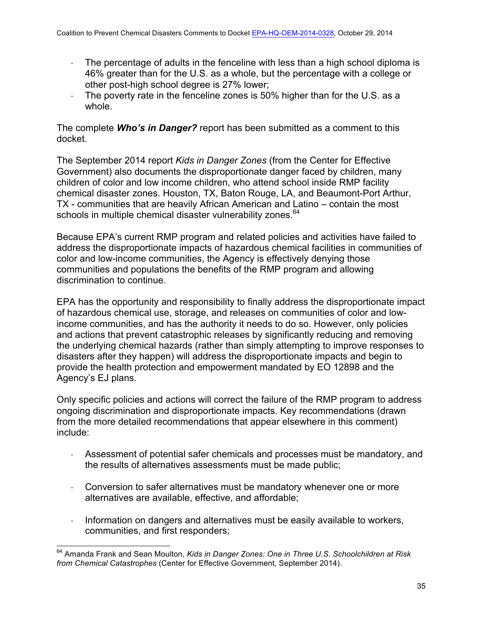- · The percentage of adults in the fenceline with less than a high school diploma is 46% greater than for the U.S. as a whole, but the percentage with a college or other post-high school degree is 27% lower;
- $\cdot$  The poverty rate in the fenceline zones is 50% higher than for the U.S. as a whole.

The complete *Who's in Danger?* report has been submitted as a comment to this docket.

The September 2014 report *Kids in Danger Zones* (from the Center for Effective Government) also documents the disproportionate danger faced by children, many children of color and low income children, who attend school inside RMP facility chemical disaster zones. Houston, TX, Baton Rouge, LA, and Beaumont-Port Arthur, TX - communities that are heavily African American and Latino – contain the most schools in multiple chemical disaster vulnerability zones.<sup>64</sup>

Because EPA's current RMP program and related policies and activities have failed to address the disproportionate impacts of hazardous chemical facilities in communities of color and low-income communities, the Agency is effectively denying those communities and populations the benefits of the RMP program and allowing discrimination to continue.

EPA has the opportunity and responsibility to finally address the disproportionate impact of hazardous chemical use, storage, and releases on communities of color and lowincome communities, and has the authority it needs to do so. However, only policies and actions that prevent catastrophic releases by significantly reducing and removing the underlying chemical hazards (rather than simply attempting to improve responses to disasters after they happen) will address the disproportionate impacts and begin to provide the health protection and empowerment mandated by EO 12898 and the Agency's EJ plans.

Only specific policies and actions will correct the failure of the RMP program to address ongoing discrimination and disproportionate impacts. Key recommendations (drawn from the more detailed recommendations that appear elsewhere in this comment) include:

- · Assessment of potential safer chemicals and processes must be mandatory, and the results of alternatives assessments must be made public;
- · Conversion to safer alternatives must be mandatory whenever one or more alternatives are available, effective, and affordable;
- Information on dangers and alternatives must be easily available to workers, communities, and first responders;

<sup>64</sup> Amanda Frank and Sean Moulton, *Kids in Danger Zones: One in Three U.S. Schoolchildren at Risk from Chemical Catastrophes* (Center for Effective Government, September 2014).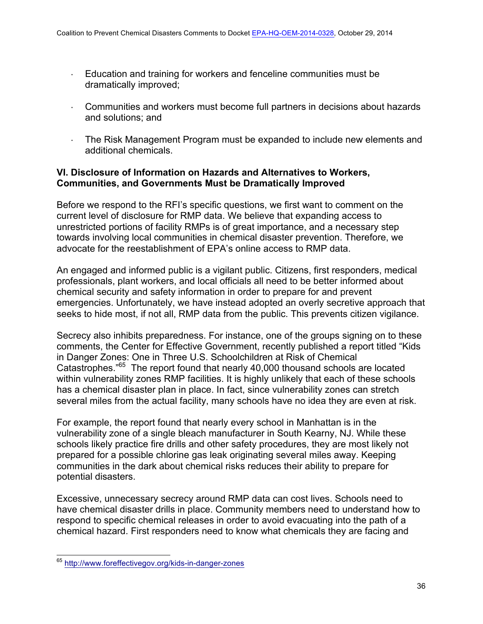- · Education and training for workers and fenceline communities must be dramatically improved;
- · Communities and workers must become full partners in decisions about hazards and solutions; and
- The Risk Management Program must be expanded to include new elements and additional chemicals.

# **VI. Disclosure of Information on Hazards and Alternatives to Workers, Communities, and Governments Must be Dramatically Improved**

Before we respond to the RFI's specific questions, we first want to comment on the current level of disclosure for RMP data. We believe that expanding access to unrestricted portions of facility RMPs is of great importance, and a necessary step towards involving local communities in chemical disaster prevention. Therefore, we advocate for the reestablishment of EPA's online access to RMP data.

An engaged and informed public is a vigilant public. Citizens, first responders, medical professionals, plant workers, and local officials all need to be better informed about chemical security and safety information in order to prepare for and prevent emergencies. Unfortunately, we have instead adopted an overly secretive approach that seeks to hide most, if not all, RMP data from the public. This prevents citizen vigilance.

Secrecy also inhibits preparedness. For instance, one of the groups signing on to these comments, the Center for Effective Government, recently published a report titled "Kids in Danger Zones: One in Three U.S. Schoolchildren at Risk of Chemical Catastrophes."65 The report found that nearly 40,000 thousand schools are located within vulnerability zones RMP facilities. It is highly unlikely that each of these schools has a chemical disaster plan in place. In fact, since vulnerability zones can stretch several miles from the actual facility, many schools have no idea they are even at risk.

For example, the report found that nearly every school in Manhattan is in the vulnerability zone of a single bleach manufacturer in South Kearny, NJ. While these schools likely practice fire drills and other safety procedures, they are most likely not prepared for a possible chlorine gas leak originating several miles away. Keeping communities in the dark about chemical risks reduces their ability to prepare for potential disasters.

Excessive, unnecessary secrecy around RMP data can cost lives. Schools need to have chemical disaster drills in place. Community members need to understand how to respond to specific chemical releases in order to avoid evacuating into the path of a chemical hazard. First responders need to know what chemicals they are facing and

<sup>65</sup> http://www.foreffectivegov.org/kids-in-danger-zones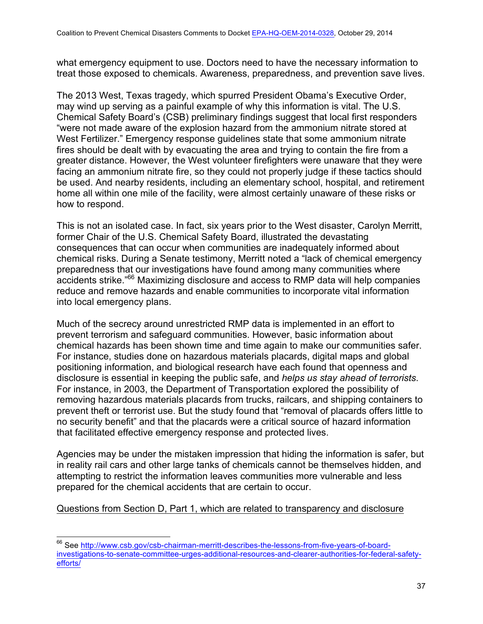what emergency equipment to use. Doctors need to have the necessary information to treat those exposed to chemicals. Awareness, preparedness, and prevention save lives.

The 2013 West, Texas tragedy, which spurred President Obama's Executive Order, may wind up serving as a painful example of why this information is vital. The U.S. Chemical Safety Board's (CSB) preliminary findings suggest that local first responders "were not made aware of the explosion hazard from the ammonium nitrate stored at West Fertilizer." Emergency response guidelines state that some ammonium nitrate fires should be dealt with by evacuating the area and trying to contain the fire from a greater distance. However, the West volunteer firefighters were unaware that they were facing an ammonium nitrate fire, so they could not properly judge if these tactics should be used. And nearby residents, including an elementary school, hospital, and retirement home all within one mile of the facility, were almost certainly unaware of these risks or how to respond.

This is not an isolated case. In fact, six years prior to the West disaster, Carolyn Merritt, former Chair of the U.S. Chemical Safety Board, illustrated the devastating consequences that can occur when communities are inadequately informed about chemical risks. During a Senate testimony, Merritt noted a "lack of chemical emergency preparedness that our investigations have found among many communities where accidents strike.<sup>"66</sup> Maximizing disclosure and access to RMP data will help companies reduce and remove hazards and enable communities to incorporate vital information into local emergency plans.

Much of the secrecy around unrestricted RMP data is implemented in an effort to prevent terrorism and safeguard communities. However, basic information about chemical hazards has been shown time and time again to make our communities safer. For instance, studies done on hazardous materials placards, digital maps and global positioning information, and biological research have each found that openness and disclosure is essential in keeping the public safe, and *helps us stay ahead of terrorists*. For instance, in 2003, the Department of Transportation explored the possibility of removing hazardous materials placards from trucks, railcars, and shipping containers to prevent theft or terrorist use. But the study found that "removal of placards offers little to no security benefit" and that the placards were a critical source of hazard information that facilitated effective emergency response and protected lives.

Agencies may be under the mistaken impression that hiding the information is safer, but in reality rail cars and other large tanks of chemicals cannot be themselves hidden, and attempting to restrict the information leaves communities more vulnerable and less prepared for the chemical accidents that are certain to occur.

Questions from Section D, Part 1, which are related to transparency and disclosure

<sup>66</sup> See http://www.csb.gov/csb-chairman-merritt-describes-the-lessons-from-five-years-of-boardinvestigations-to-senate-committee-urges-additional-resources-and-clearer-authorities-for-federal-safetyefforts/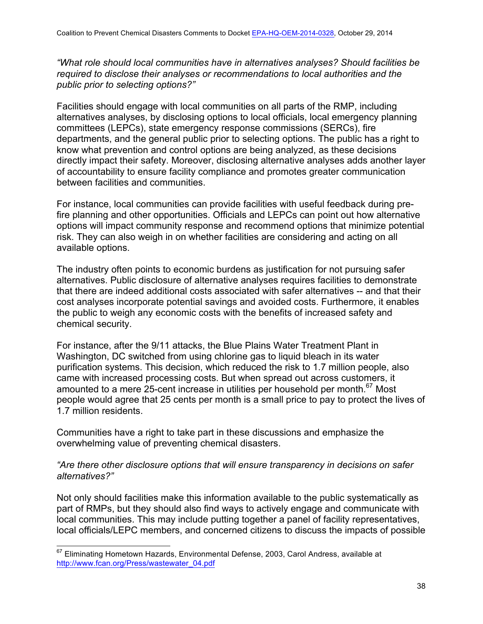*"What role should local communities have in alternatives analyses? Should facilities be required to disclose their analyses or recommendations to local authorities and the public prior to selecting options?"* 

Facilities should engage with local communities on all parts of the RMP, including alternatives analyses, by disclosing options to local officials, local emergency planning committees (LEPCs), state emergency response commissions (SERCs), fire departments, and the general public prior to selecting options. The public has a right to know what prevention and control options are being analyzed, as these decisions directly impact their safety. Moreover, disclosing alternative analyses adds another layer of accountability to ensure facility compliance and promotes greater communication between facilities and communities.

For instance, local communities can provide facilities with useful feedback during prefire planning and other opportunities. Officials and LEPCs can point out how alternative options will impact community response and recommend options that minimize potential risk. They can also weigh in on whether facilities are considering and acting on all available options.

The industry often points to economic burdens as justification for not pursuing safer alternatives. Public disclosure of alternative analyses requires facilities to demonstrate that there are indeed additional costs associated with safer alternatives -- and that their cost analyses incorporate potential savings and avoided costs. Furthermore, it enables the public to weigh any economic costs with the benefits of increased safety and chemical security.

For instance, after the 9/11 attacks, the Blue Plains Water Treatment Plant in Washington, DC switched from using chlorine gas to liquid bleach in its water purification systems. This decision, which reduced the risk to 1.7 million people, also came with increased processing costs. But when spread out across customers, it amounted to a mere 25-cent increase in utilities per household per month. $67$  Most people would agree that 25 cents per month is a small price to pay to protect the lives of 1.7 million residents.

Communities have a right to take part in these discussions and emphasize the overwhelming value of preventing chemical disasters.

## *"Are there other disclosure options that will ensure transparency in decisions on safer alternatives?"*

Not only should facilities make this information available to the public systematically as part of RMPs, but they should also find ways to actively engage and communicate with local communities. This may include putting together a panel of facility representatives, local officials/LEPC members, and concerned citizens to discuss the impacts of possible

<sup>&</sup>lt;sup>67</sup> Eliminating Hometown Hazards, Environmental Defense, 2003, Carol Andress, available at http://www.fcan.org/Press/wastewater\_04.pdf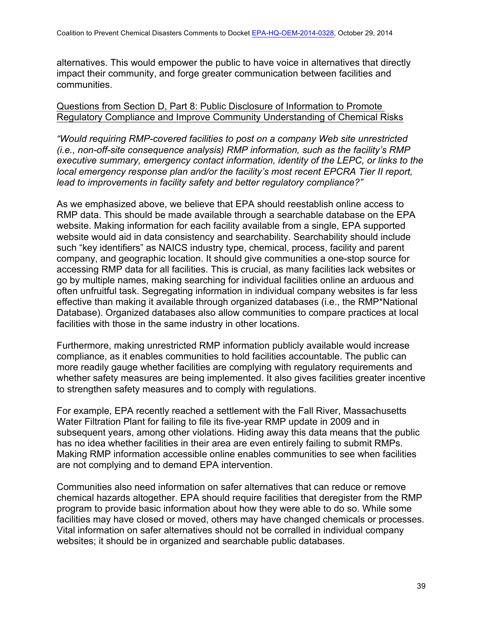alternatives. This would empower the public to have voice in alternatives that directly impact their community, and forge greater communication between facilities and communities.

### Questions from Section D, Part 8: Public Disclosure of Information to Promote Regulatory Compliance and Improve Community Understanding of Chemical Risks

*"Would requiring RMP-covered facilities to post on a company Web site unrestricted (i.e., non-off-site consequence analysis) RMP information, such as the facility's RMP executive summary, emergency contact information, identity of the LEPC, or links to the local emergency response plan and/or the facility's most recent EPCRA Tier II report, lead to improvements in facility safety and better regulatory compliance?"*

As we emphasized above, we believe that EPA should reestablish online access to RMP data. This should be made available through a searchable database on the EPA website. Making information for each facility available from a single, EPA supported website would aid in data consistency and searchability. Searchability should include such "key identifiers" as NAICS industry type, chemical, process, facility and parent company, and geographic location. It should give communities a one-stop source for accessing RMP data for all facilities. This is crucial, as many facilities lack websites or go by multiple names, making searching for individual facilities online an arduous and often unfruitful task. Segregating information in individual company websites is far less effective than making it available through organized databases (i.e., the RMP\*National Database). Organized databases also allow communities to compare practices at local facilities with those in the same industry in other locations.

Furthermore, making unrestricted RMP information publicly available would increase compliance, as it enables communities to hold facilities accountable. The public can more readily gauge whether facilities are complying with regulatory requirements and whether safety measures are being implemented. It also gives facilities greater incentive to strengthen safety measures and to comply with regulations.

For example, EPA recently reached a settlement with the Fall River, Massachusetts Water Filtration Plant for failing to file its five-year RMP update in 2009 and in subsequent years, among other violations. Hiding away this data means that the public has no idea whether facilities in their area are even entirely failing to submit RMPs. Making RMP information accessible online enables communities to see when facilities are not complying and to demand EPA intervention.

Communities also need information on safer alternatives that can reduce or remove chemical hazards altogether. EPA should require facilities that deregister from the RMP program to provide basic information about how they were able to do so. While some facilities may have closed or moved, others may have changed chemicals or processes. Vital information on safer alternatives should not be corralled in individual company websites; it should be in organized and searchable public databases.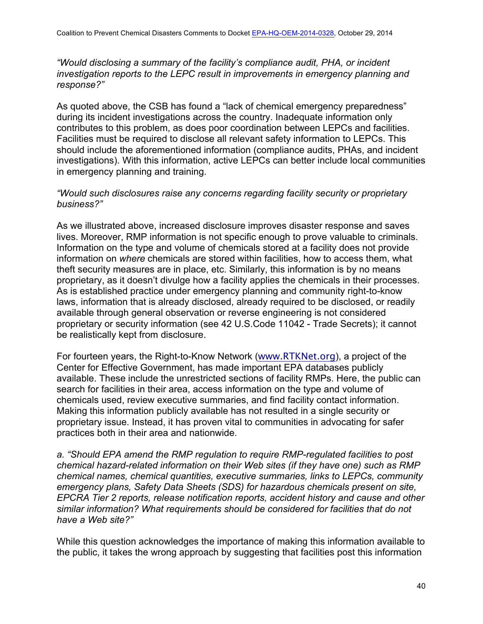*"Would disclosing a summary of the facility's compliance audit, PHA, or incident investigation reports to the LEPC result in improvements in emergency planning and response?"*

As quoted above, the CSB has found a "lack of chemical emergency preparedness" during its incident investigations across the country. Inadequate information only contributes to this problem, as does poor coordination between LEPCs and facilities. Facilities must be required to disclose all relevant safety information to LEPCs. This should include the aforementioned information (compliance audits, PHAs, and incident investigations). With this information, active LEPCs can better include local communities in emergency planning and training.

### *"Would such disclosures raise any concerns regarding facility security or proprietary business?"*

As we illustrated above, increased disclosure improves disaster response and saves lives. Moreover, RMP information is not specific enough to prove valuable to criminals. Information on the type and volume of chemicals stored at a facility does not provide information on *where* chemicals are stored within facilities, how to access them, what theft security measures are in place, etc. Similarly, this information is by no means proprietary, as it doesn't divulge how a facility applies the chemicals in their processes. As is established practice under emergency planning and community right-to-know laws, information that is already disclosed, already required to be disclosed, or readily available through general observation or reverse engineering is not considered proprietary or security information (see 42 U.S.Code 11042 - Trade Secrets); it cannot be realistically kept from disclosure.

For fourteen years, the Right-to-Know Network (www.RTKNet.org), a project of the Center for Effective Government, has made important EPA databases publicly available. These include the unrestricted sections of facility RMPs. Here, the public can search for facilities in their area, access information on the type and volume of chemicals used, review executive summaries, and find facility contact information. Making this information publicly available has not resulted in a single security or proprietary issue. Instead, it has proven vital to communities in advocating for safer practices both in their area and nationwide.

*a. "Should EPA amend the RMP regulation to require RMP-regulated facilities to post chemical hazard-related information on their Web sites (if they have one) such as RMP chemical names, chemical quantities, executive summaries, links to LEPCs, community emergency plans, Safety Data Sheets (SDS) for hazardous chemicals present on site, EPCRA Tier 2 reports, release notification reports, accident history and cause and other similar information? What requirements should be considered for facilities that do not have a Web site?"*

While this question acknowledges the importance of making this information available to the public, it takes the wrong approach by suggesting that facilities post this information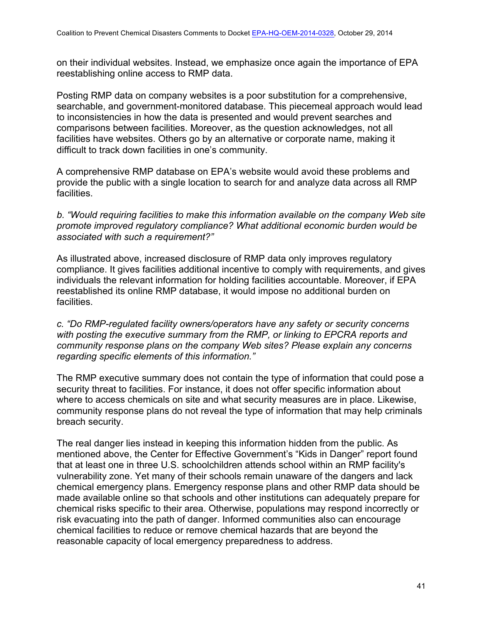on their individual websites. Instead, we emphasize once again the importance of EPA reestablishing online access to RMP data.

Posting RMP data on company websites is a poor substitution for a comprehensive, searchable, and government-monitored database. This piecemeal approach would lead to inconsistencies in how the data is presented and would prevent searches and comparisons between facilities. Moreover, as the question acknowledges, not all facilities have websites. Others go by an alternative or corporate name, making it difficult to track down facilities in one's community.

A comprehensive RMP database on EPA's website would avoid these problems and provide the public with a single location to search for and analyze data across all RMP facilities.

*b. "Would requiring facilities to make this information available on the company Web site promote improved regulatory compliance? What additional economic burden would be associated with such a requirement?"*

As illustrated above, increased disclosure of RMP data only improves regulatory compliance. It gives facilities additional incentive to comply with requirements, and gives individuals the relevant information for holding facilities accountable. Moreover, if EPA reestablished its online RMP database, it would impose no additional burden on facilities.

*c. "Do RMP-regulated facility owners/operators have any safety or security concerns with posting the executive summary from the RMP, or linking to EPCRA reports and community response plans on the company Web sites? Please explain any concerns regarding specific elements of this information."*

The RMP executive summary does not contain the type of information that could pose a security threat to facilities. For instance, it does not offer specific information about where to access chemicals on site and what security measures are in place. Likewise, community response plans do not reveal the type of information that may help criminals breach security.

The real danger lies instead in keeping this information hidden from the public. As mentioned above, the Center for Effective Government's "Kids in Danger" report found that at least one in three U.S. schoolchildren attends school within an RMP facility's vulnerability zone. Yet many of their schools remain unaware of the dangers and lack chemical emergency plans. Emergency response plans and other RMP data should be made available online so that schools and other institutions can adequately prepare for chemical risks specific to their area. Otherwise, populations may respond incorrectly or risk evacuating into the path of danger. Informed communities also can encourage chemical facilities to reduce or remove chemical hazards that are beyond the reasonable capacity of local emergency preparedness to address.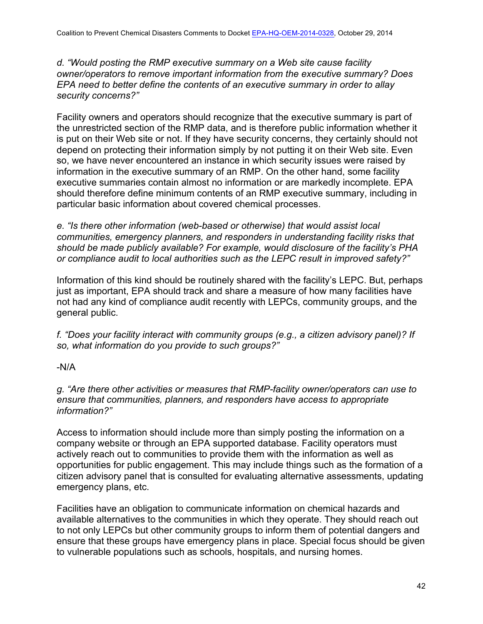*d. "Would posting the RMP executive summary on a Web site cause facility owner/operators to remove important information from the executive summary? Does EPA need to better define the contents of an executive summary in order to allay security concerns?"*

Facility owners and operators should recognize that the executive summary is part of the unrestricted section of the RMP data, and is therefore public information whether it is put on their Web site or not. If they have security concerns, they certainly should not depend on protecting their information simply by not putting it on their Web site. Even so, we have never encountered an instance in which security issues were raised by information in the executive summary of an RMP. On the other hand, some facility executive summaries contain almost no information or are markedly incomplete. EPA should therefore define minimum contents of an RMP executive summary, including in particular basic information about covered chemical processes.

*e. "Is there other information (web-based or otherwise) that would assist local communities, emergency planners, and responders in understanding facility risks that should be made publicly available? For example, would disclosure of the facility's PHA or compliance audit to local authorities such as the LEPC result in improved safety?"*

Information of this kind should be routinely shared with the facility's LEPC. But, perhaps just as important, EPA should track and share a measure of how many facilities have not had any kind of compliance audit recently with LEPCs, community groups, and the general public.

*f. "Does your facility interact with community groups (e.g., a citizen advisory panel)? If so, what information do you provide to such groups?"*

## -N/A

*g. "Are there other activities or measures that RMP-facility owner/operators can use to ensure that communities, planners, and responders have access to appropriate information?"*

Access to information should include more than simply posting the information on a company website or through an EPA supported database. Facility operators must actively reach out to communities to provide them with the information as well as opportunities for public engagement. This may include things such as the formation of a citizen advisory panel that is consulted for evaluating alternative assessments, updating emergency plans, etc.

Facilities have an obligation to communicate information on chemical hazards and available alternatives to the communities in which they operate. They should reach out to not only LEPCs but other community groups to inform them of potential dangers and ensure that these groups have emergency plans in place. Special focus should be given to vulnerable populations such as schools, hospitals, and nursing homes.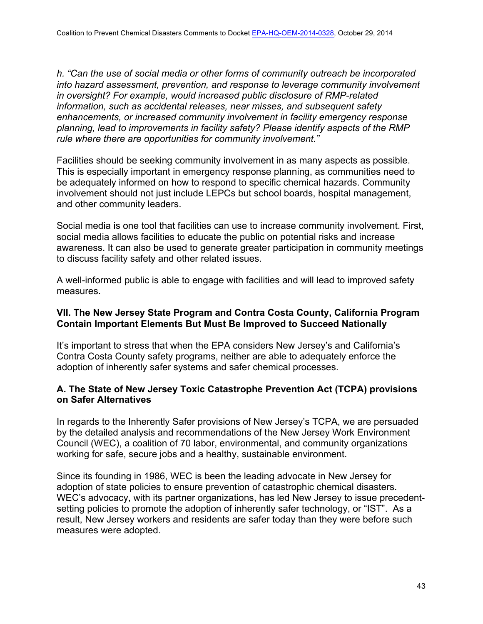*h. "Can the use of social media or other forms of community outreach be incorporated into hazard assessment, prevention, and response to leverage community involvement in oversight? For example, would increased public disclosure of RMP-related information, such as accidental releases, near misses, and subsequent safety enhancements, or increased community involvement in facility emergency response planning, lead to improvements in facility safety? Please identify aspects of the RMP rule where there are opportunities for community involvement."*

Facilities should be seeking community involvement in as many aspects as possible. This is especially important in emergency response planning, as communities need to be adequately informed on how to respond to specific chemical hazards. Community involvement should not just include LEPCs but school boards, hospital management, and other community leaders.

Social media is one tool that facilities can use to increase community involvement. First, social media allows facilities to educate the public on potential risks and increase awareness. It can also be used to generate greater participation in community meetings to discuss facility safety and other related issues.

A well-informed public is able to engage with facilities and will lead to improved safety measures.

# **VII. The New Jersey State Program and Contra Costa County, California Program Contain Important Elements But Must Be Improved to Succeed Nationally**

It's important to stress that when the EPA considers New Jersey's and California's Contra Costa County safety programs, neither are able to adequately enforce the adoption of inherently safer systems and safer chemical processes.

## **A. The State of New Jersey Toxic Catastrophe Prevention Act (TCPA) provisions on Safer Alternatives**

In regards to the Inherently Safer provisions of New Jersey's TCPA, we are persuaded by the detailed analysis and recommendations of the New Jersey Work Environment Council (WEC), a coalition of 70 labor, environmental, and community organizations working for safe, secure jobs and a healthy, sustainable environment.

Since its founding in 1986, WEC is been the leading advocate in New Jersey for adoption of state policies to ensure prevention of catastrophic chemical disasters. WEC's advocacy, with its partner organizations, has led New Jersey to issue precedentsetting policies to promote the adoption of inherently safer technology, or "IST". As a result, New Jersey workers and residents are safer today than they were before such measures were adopted.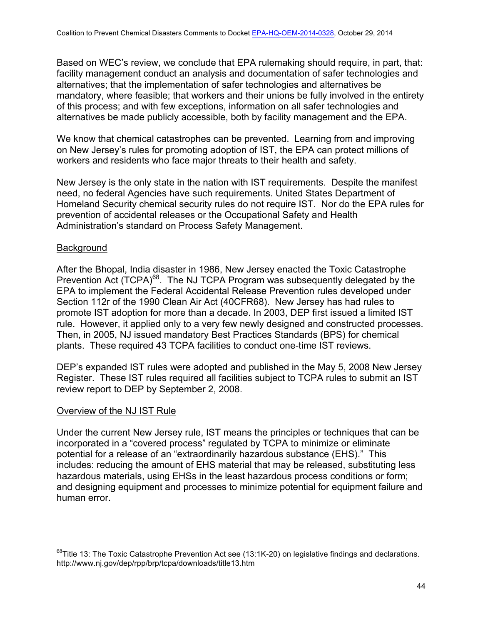Based on WEC's review, we conclude that EPA rulemaking should require, in part, that: facility management conduct an analysis and documentation of safer technologies and alternatives; that the implementation of safer technologies and alternatives be mandatory, where feasible; that workers and their unions be fully involved in the entirety of this process; and with few exceptions, information on all safer technologies and alternatives be made publicly accessible, both by facility management and the EPA.

We know that chemical catastrophes can be prevented. Learning from and improving on New Jersey's rules for promoting adoption of IST, the EPA can protect millions of workers and residents who face major threats to their health and safety.

New Jersey is the only state in the nation with IST requirements. Despite the manifest need, no federal Agencies have such requirements. United States Department of Homeland Security chemical security rules do not require IST. Nor do the EPA rules for prevention of accidental releases or the Occupational Safety and Health Administration's standard on Process Safety Management.

### **Background**

After the Bhopal, India disaster in 1986, New Jersey enacted the Toxic Catastrophe Prevention Act (TCPA)<sup>68</sup>. The NJ TCPA Program was subsequently delegated by the EPA to implement the Federal Accidental Release Prevention rules developed under Section 112r of the 1990 Clean Air Act (40CFR68). New Jersey has had rules to promote IST adoption for more than a decade. In 2003, DEP first issued a limited IST rule. However, it applied only to a very few newly designed and constructed processes. Then, in 2005, NJ issued mandatory Best Practices Standards (BPS) for chemical plants. These required 43 TCPA facilities to conduct one-time IST reviews.

DEP's expanded IST rules were adopted and published in the May 5, 2008 New Jersey Register. These IST rules required all facilities subject to TCPA rules to submit an IST review report to DEP by September 2, 2008.

## Overview of the NJ IST Rule

Under the current New Jersey rule, IST means the principles or techniques that can be incorporated in a "covered process" regulated by TCPA to minimize or eliminate potential for a release of an "extraordinarily hazardous substance (EHS)." This includes: reducing the amount of EHS material that may be released, substituting less hazardous materials, using EHSs in the least hazardous process conditions or form; and designing equipment and processes to minimize potential for equipment failure and human error.

 $^{68}$ Title 13: The Toxic Catastrophe Prevention Act see (13:1K-20) on legislative findings and declarations. http://www.nj.gov/dep/rpp/brp/tcpa/downloads/title13.htm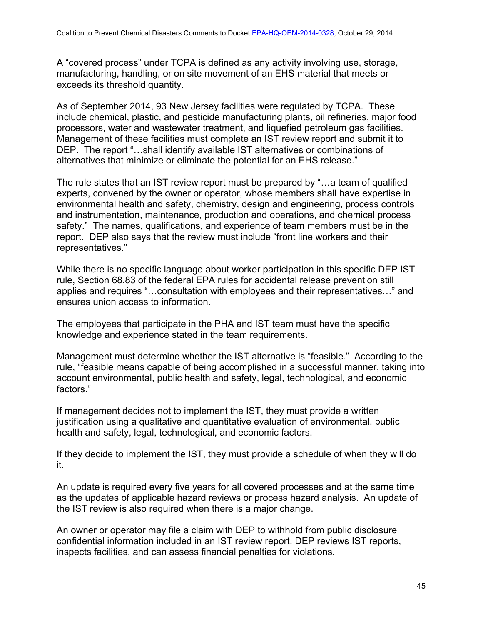A "covered process" under TCPA is defined as any activity involving use, storage, manufacturing, handling, or on site movement of an EHS material that meets or exceeds its threshold quantity.

As of September 2014, 93 New Jersey facilities were regulated by TCPA. These include chemical, plastic, and pesticide manufacturing plants, oil refineries, major food processors, water and wastewater treatment, and liquefied petroleum gas facilities. Management of these facilities must complete an IST review report and submit it to DEP. The report "…shall identify available IST alternatives or combinations of alternatives that minimize or eliminate the potential for an EHS release."

The rule states that an IST review report must be prepared by "…a team of qualified experts, convened by the owner or operator, whose members shall have expertise in environmental health and safety, chemistry, design and engineering, process controls and instrumentation, maintenance, production and operations, and chemical process safety." The names, qualifications, and experience of team members must be in the report. DEP also says that the review must include "front line workers and their representatives."

While there is no specific language about worker participation in this specific DEP IST rule, Section 68.83 of the federal EPA rules for accidental release prevention still applies and requires "…consultation with employees and their representatives…" and ensures union access to information.

The employees that participate in the PHA and IST team must have the specific knowledge and experience stated in the team requirements.

Management must determine whether the IST alternative is "feasible." According to the rule, "feasible means capable of being accomplished in a successful manner, taking into account environmental, public health and safety, legal, technological, and economic factors."

If management decides not to implement the IST, they must provide a written justification using a qualitative and quantitative evaluation of environmental, public health and safety, legal, technological, and economic factors.

If they decide to implement the IST, they must provide a schedule of when they will do it.

An update is required every five years for all covered processes and at the same time as the updates of applicable hazard reviews or process hazard analysis. An update of the IST review is also required when there is a major change.

An owner or operator may file a claim with DEP to withhold from public disclosure confidential information included in an IST review report. DEP reviews IST reports, inspects facilities, and can assess financial penalties for violations.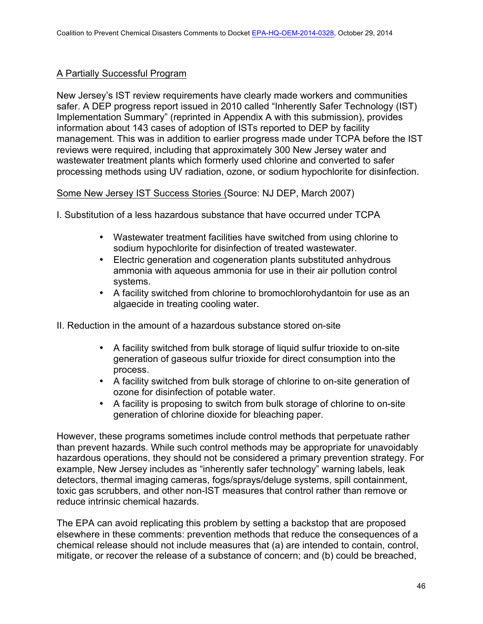# A Partially Successful Program

New Jersey's IST review requirements have clearly made workers and communities safer. A DEP progress report issued in 2010 called "Inherently Safer Technology (IST) Implementation Summary" (reprinted in Appendix A with this submission), provides information about 143 cases of adoption of ISTs reported to DEP by facility management. This was in addition to earlier progress made under TCPA before the IST reviews were required, including that approximately 300 New Jersey water and wastewater treatment plants which formerly used chlorine and converted to safer processing methods using UV radiation, ozone, or sodium hypochlorite for disinfection.

Some New Jersey IST Success Stories (Source: NJ DEP, March 2007)

- I. Substitution of a less hazardous substance that have occurred under TCPA
	- Wastewater treatment facilities have switched from using chlorine to sodium hypochlorite for disinfection of treated wastewater.
	- Electric generation and cogeneration plants substituted anhydrous ammonia with aqueous ammonia for use in their air pollution control systems.
	- A facility switched from chlorine to bromochlorohydantoin for use as an algaecide in treating cooling water.

II. Reduction in the amount of a hazardous substance stored on-site

- A facility switched from bulk storage of liquid sulfur trioxide to on-site generation of gaseous sulfur trioxide for direct consumption into the process.
- A facility switched from bulk storage of chlorine to on-site generation of ozone for disinfection of potable water.
- A facility is proposing to switch from bulk storage of chlorine to on-site generation of chlorine dioxide for bleaching paper.

However, these programs sometimes include control methods that perpetuate rather than prevent hazards. While such control methods may be appropriate for unavoidably hazardous operations, they should not be considered a primary prevention strategy. For example, New Jersey includes as "inherently safer technology" warning labels, leak detectors, thermal imaging cameras, fogs/sprays/deluge systems, spill containment, toxic gas scrubbers, and other non-IST measures that control rather than remove or reduce intrinsic chemical hazards.

The EPA can avoid replicating this problem by setting a backstop that are proposed elsewhere in these comments: prevention methods that reduce the consequences of a chemical release should not include measures that (a) are intended to contain, control, mitigate, or recover the release of a substance of concern; and (b) could be breached,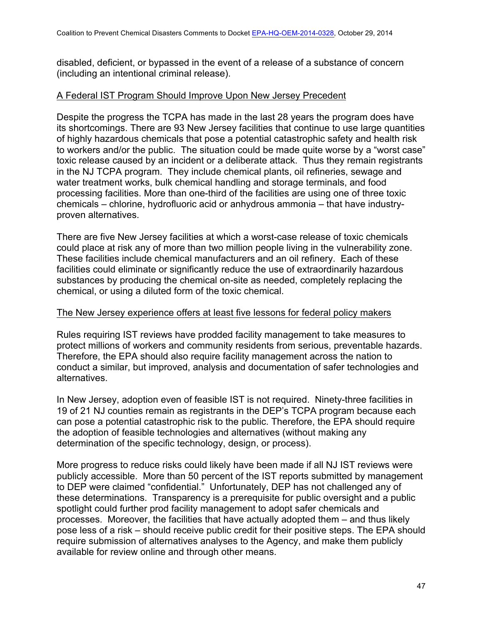disabled, deficient, or bypassed in the event of a release of a substance of concern (including an intentional criminal release).

### A Federal IST Program Should Improve Upon New Jersey Precedent

Despite the progress the TCPA has made in the last 28 years the program does have its shortcomings. There are 93 New Jersey facilities that continue to use large quantities of highly hazardous chemicals that pose a potential catastrophic safety and health risk to workers and/or the public. The situation could be made quite worse by a "worst case" toxic release caused by an incident or a deliberate attack. Thus they remain registrants in the NJ TCPA program. They include chemical plants, oil refineries, sewage and water treatment works, bulk chemical handling and storage terminals, and food processing facilities. More than one-third of the facilities are using one of three toxic chemicals – chlorine, hydrofluoric acid or anhydrous ammonia – that have industryproven alternatives.

There are five New Jersey facilities at which a worst-case release of toxic chemicals could place at risk any of more than two million people living in the vulnerability zone. These facilities include chemical manufacturers and an oil refinery. Each of these facilities could eliminate or significantly reduce the use of extraordinarily hazardous substances by producing the chemical on-site as needed, completely replacing the chemical, or using a diluted form of the toxic chemical.

#### The New Jersey experience offers at least five lessons for federal policy makers

Rules requiring IST reviews have prodded facility management to take measures to protect millions of workers and community residents from serious, preventable hazards. Therefore, the EPA should also require facility management across the nation to conduct a similar, but improved, analysis and documentation of safer technologies and alternatives.

In New Jersey, adoption even of feasible IST is not required. Ninety-three facilities in 19 of 21 NJ counties remain as registrants in the DEP's TCPA program because each can pose a potential catastrophic risk to the public. Therefore, the EPA should require the adoption of feasible technologies and alternatives (without making any determination of the specific technology, design, or process).

More progress to reduce risks could likely have been made if all NJ IST reviews were publicly accessible. More than 50 percent of the IST reports submitted by management to DEP were claimed "confidential." Unfortunately, DEP has not challenged any of these determinations. Transparency is a prerequisite for public oversight and a public spotlight could further prod facility management to adopt safer chemicals and processes. Moreover, the facilities that have actually adopted them – and thus likely pose less of a risk – should receive public credit for their positive steps. The EPA should require submission of alternatives analyses to the Agency, and make them publicly available for review online and through other means.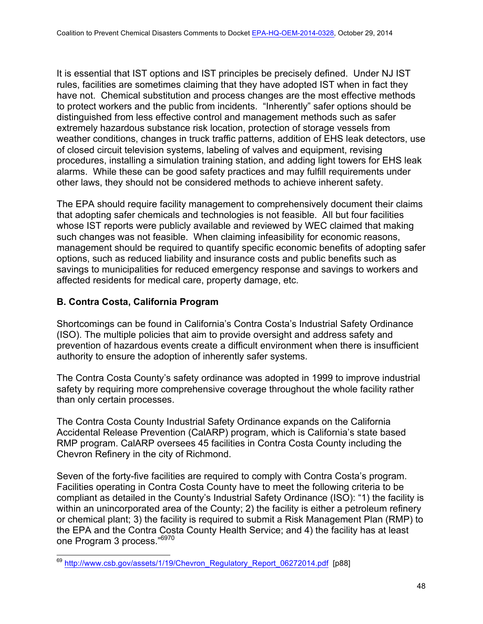It is essential that IST options and IST principles be precisely defined. Under NJ IST rules, facilities are sometimes claiming that they have adopted IST when in fact they have not. Chemical substitution and process changes are the most effective methods to protect workers and the public from incidents. "Inherently" safer options should be distinguished from less effective control and management methods such as safer extremely hazardous substance risk location, protection of storage vessels from weather conditions, changes in truck traffic patterns, addition of EHS leak detectors, use of closed circuit television systems, labeling of valves and equipment, revising procedures, installing a simulation training station, and adding light towers for EHS leak alarms. While these can be good safety practices and may fulfill requirements under other laws, they should not be considered methods to achieve inherent safety.

The EPA should require facility management to comprehensively document their claims that adopting safer chemicals and technologies is not feasible. All but four facilities whose IST reports were publicly available and reviewed by WEC claimed that making such changes was not feasible. When claiming infeasibility for economic reasons, management should be required to quantify specific economic benefits of adopting safer options, such as reduced liability and insurance costs and public benefits such as savings to municipalities for reduced emergency response and savings to workers and affected residents for medical care, property damage, etc.

# **B. Contra Costa, California Program**

Shortcomings can be found in California's Contra Costa's Industrial Safety Ordinance (ISO). The multiple policies that aim to provide oversight and address safety and prevention of hazardous events create a difficult environment when there is insufficient authority to ensure the adoption of inherently safer systems.

The Contra Costa County's safety ordinance was adopted in 1999 to improve industrial safety by requiring more comprehensive coverage throughout the whole facility rather than only certain processes.

The Contra Costa County Industrial Safety Ordinance expands on the California Accidental Release Prevention (CalARP) program, which is California's state based RMP program. CalARP oversees 45 facilities in Contra Costa County including the Chevron Refinery in the city of Richmond.

Seven of the forty-five facilities are required to comply with Contra Costa's program. Facilities operating in Contra Costa County have to meet the following criteria to be compliant as detailed in the County's Industrial Safety Ordinance (ISO): "1) the facility is within an unincorporated area of the County; 2) the facility is either a petroleum refinery or chemical plant; 3) the facility is required to submit a Risk Management Plan (RMP) to the EPA and the Contra Costa County Health Service; and 4) the facility has at least one Program 3 process."<sup>6970</sup>

<sup>&</sup>lt;sup>69</sup> http://www.csb.gov/assets/1/19/Chevron\_Regulatory\_Report\_06272014.pdf [p88]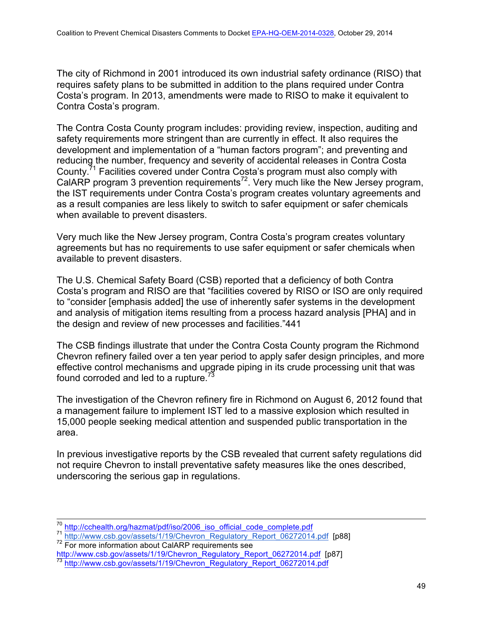The city of Richmond in 2001 introduced its own industrial safety ordinance (RISO) that requires safety plans to be submitted in addition to the plans required under Contra Costa's program. In 2013, amendments were made to RISO to make it equivalent to Contra Costa's program.

The Contra Costa County program includes: providing review, inspection, auditing and safety requirements more stringent than are currently in effect. It also requires the development and implementation of a "human factors program"; and preventing and reducing the number, frequency and severity of accidental releases in Contra Costa County.71 Facilities covered under Contra Costa's program must also comply with CalARP program 3 prevention requirements<sup>72</sup>. Very much like the New Jersey program, the IST requirements under Contra Costa's program creates voluntary agreements and as a result companies are less likely to switch to safer equipment or safer chemicals when available to prevent disasters.

Very much like the New Jersey program, Contra Costa's program creates voluntary agreements but has no requirements to use safer equipment or safer chemicals when available to prevent disasters.

The U.S. Chemical Safety Board (CSB) reported that a deficiency of both Contra Costa's program and RISO are that "facilities covered by RISO or ISO are only required to "consider [emphasis added] the use of inherently safer systems in the development and analysis of mitigation items resulting from a process hazard analysis [PHA] and in the design and review of new processes and facilities."441

The CSB findings illustrate that under the Contra Costa County program the Richmond Chevron refinery failed over a ten year period to apply safer design principles, and more effective control mechanisms and upgrade piping in its crude processing unit that was found corroded and led to a rupture.<sup>73</sup>

The investigation of the Chevron refinery fire in Richmond on August 6, 2012 found that a management failure to implement IST led to a massive explosion which resulted in 15,000 people seeking medical attention and suspended public transportation in the area.

In previous investigative reports by the CSB revealed that current safety regulations did not require Chevron to install preventative safety measures like the ones described, underscoring the serious gap in regulations.

<sup>&</sup>lt;sup>70</sup> http://cchealth.org/hazmat/pdf/iso/2006\_iso\_official\_code\_complete.pdf<br>
<sup>71</sup> http://www.csb.gov/assets/1/19/Chevron\_Regulatory\_Report\_06272014.pdf [p88]<br>
<sup>72</sup> For more information about CalARP requirements see

http://www.csb.gov/assets/1/19/Chevron\_Regulatory\_Report\_06272014.pdf [p87]<br><sup>73</sup> http://www.csb.gov/assets/1/19/Chevron\_Regulatory\_Report\_06272014.pdf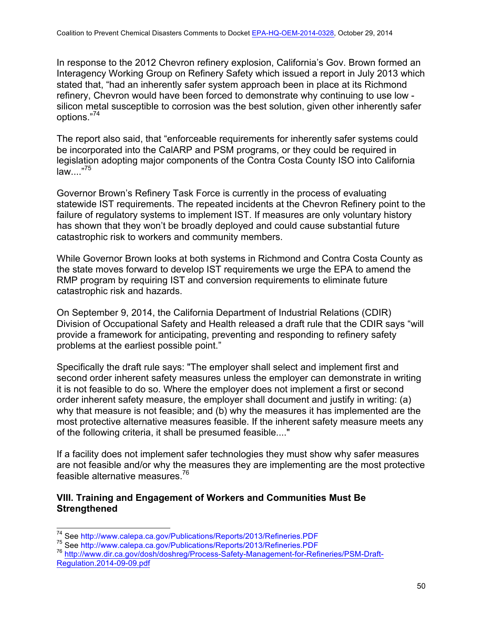In response to the 2012 Chevron refinery explosion, California's Gov. Brown formed an Interagency Working Group on Refinery Safety which issued a report in July 2013 which stated that, "had an inherently safer system approach been in place at its Richmond refinery, Chevron would have been forced to demonstrate why continuing to use low silicon metal susceptible to corrosion was the best solution, given other inherently safer options."<sup>74</sup>

The report also said, that "enforceable requirements for inherently safer systems could be incorporated into the CalARP and PSM programs, or they could be required in legislation adopting major components of the Contra Costa County ISO into California  $law...$ <sup>75</sup>

Governor Brown's Refinery Task Force is currently in the process of evaluating statewide IST requirements. The repeated incidents at the Chevron Refinery point to the failure of regulatory systems to implement IST. If measures are only voluntary history has shown that they won't be broadly deployed and could cause substantial future catastrophic risk to workers and community members.

While Governor Brown looks at both systems in Richmond and Contra Costa County as the state moves forward to develop IST requirements we urge the EPA to amend the RMP program by requiring IST and conversion requirements to eliminate future catastrophic risk and hazards.

On September 9, 2014, the California Department of Industrial Relations (CDIR) Division of Occupational Safety and Health released a draft rule that the CDIR says "will provide a framework for anticipating, preventing and responding to refinery safety problems at the earliest possible point."

Specifically the draft rule says: "The employer shall select and implement first and second order inherent safety measures unless the employer can demonstrate in writing it is not feasible to do so. Where the employer does not implement a first or second order inherent safety measure, the employer shall document and justify in writing: (a) why that measure is not feasible; and (b) why the measures it has implemented are the most protective alternative measures feasible. If the inherent safety measure meets any of the following criteria, it shall be presumed feasible...."

If a facility does not implement safer technologies they must show why safer measures are not feasible and/or why the measures they are implementing are the most protective feasible alternative measures.76

## **VIII. Training and Engagement of Workers and Communities Must Be Strengthened**

<sup>&</sup>lt;sup>74</sup> See http://www.calepa.ca.gov/Publications/Reports/2013/Refineries.PDF<br><sup>75</sup> See http://www.calepa.ca.gov/Publications/Reports/2013/Refineries.PDF<br><sup>76</sup> http://www.dir.ca.gov/dosh/doshreg/Process-Safety-Management-for-Re Regulation.2014-09-09.pdf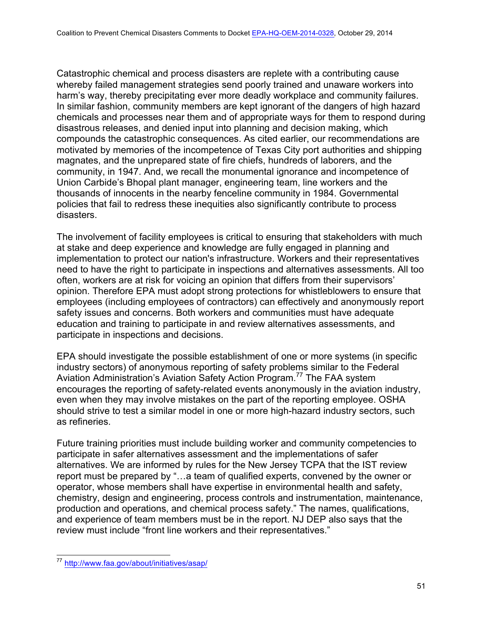Catastrophic chemical and process disasters are replete with a contributing cause whereby failed management strategies send poorly trained and unaware workers into harm's way, thereby precipitating ever more deadly workplace and community failures. In similar fashion, community members are kept ignorant of the dangers of high hazard chemicals and processes near them and of appropriate ways for them to respond during disastrous releases, and denied input into planning and decision making, which compounds the catastrophic consequences. As cited earlier, our recommendations are motivated by memories of the incompetence of Texas City port authorities and shipping magnates, and the unprepared state of fire chiefs, hundreds of laborers, and the community, in 1947. And, we recall the monumental ignorance and incompetence of Union Carbide's Bhopal plant manager, engineering team, line workers and the thousands of innocents in the nearby fenceline community in 1984. Governmental policies that fail to redress these inequities also significantly contribute to process disasters.

The involvement of facility employees is critical to ensuring that stakeholders with much at stake and deep experience and knowledge are fully engaged in planning and implementation to protect our nation's infrastructure. Workers and their representatives need to have the right to participate in inspections and alternatives assessments. All too often, workers are at risk for voicing an opinion that differs from their supervisors' opinion. Therefore EPA must adopt strong protections for whistleblowers to ensure that employees (including employees of contractors) can effectively and anonymously report safety issues and concerns. Both workers and communities must have adequate education and training to participate in and review alternatives assessments, and participate in inspections and decisions.

EPA should investigate the possible establishment of one or more systems (in specific industry sectors) of anonymous reporting of safety problems similar to the Federal Aviation Administration's Aviation Safety Action Program.<sup>77</sup> The FAA system encourages the reporting of safety-related events anonymously in the aviation industry, even when they may involve mistakes on the part of the reporting employee. OSHA should strive to test a similar model in one or more high-hazard industry sectors, such as refineries.

Future training priorities must include building worker and community competencies to participate in safer alternatives assessment and the implementations of safer alternatives. We are informed by rules for the New Jersey TCPA that the IST review report must be prepared by "…a team of qualified experts, convened by the owner or operator, whose members shall have expertise in environmental health and safety, chemistry, design and engineering, process controls and instrumentation, maintenance, production and operations, and chemical process safety." The names, qualifications, and experience of team members must be in the report. NJ DEP also says that the review must include "front line workers and their representatives."

<sup>77</sup> http://www.faa.gov/about/initiatives/asap/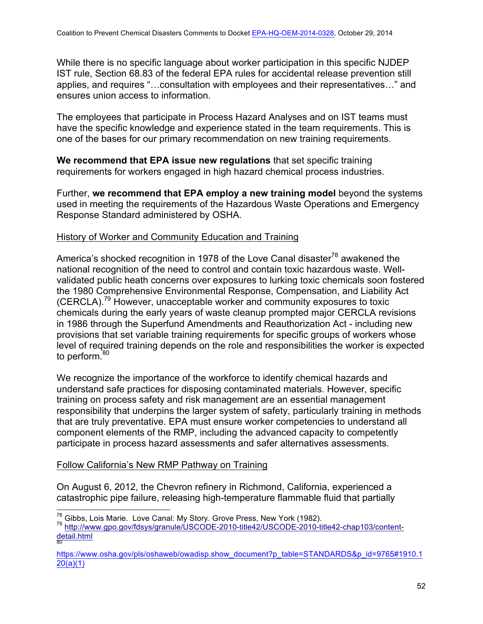While there is no specific language about worker participation in this specific NJDEP IST rule, Section 68.83 of the federal EPA rules for accidental release prevention still applies, and requires "…consultation with employees and their representatives…" and ensures union access to information.

The employees that participate in Process Hazard Analyses and on IST teams must have the specific knowledge and experience stated in the team requirements. This is one of the bases for our primary recommendation on new training requirements.

**We recommend that EPA issue new regulations** that set specific training requirements for workers engaged in high hazard chemical process industries.

Further, **we recommend that EPA employ a new training model** beyond the systems used in meeting the requirements of the Hazardous Waste Operations and Emergency Response Standard administered by OSHA.

# History of Worker and Community Education and Training

America's shocked recognition in 1978 of the Love Canal disaster<sup>78</sup> awakened the national recognition of the need to control and contain toxic hazardous waste. Wellvalidated public heath concerns over exposures to lurking toxic chemicals soon fostered the 1980 Comprehensive Environmental Response, Compensation, and Liability Act (CERCLA). <sup>79</sup> However, unacceptable worker and community exposures to toxic chemicals during the early years of waste cleanup prompted major CERCLA revisions in 1986 through the Superfund Amendments and Reauthorization Act - including new provisions that set variable training requirements for specific groups of workers whose level of required training depends on the role and responsibilities the worker is expected to perform.<sup>80</sup>

We recognize the importance of the workforce to identify chemical hazards and understand safe practices for disposing contaminated materials. However, specific training on process safety and risk management are an essential management responsibility that underpins the larger system of safety, particularly training in methods that are truly preventative. EPA must ensure worker competencies to understand all component elements of the RMP, including the advanced capacity to competently participate in process hazard assessments and safer alternatives assessments.

# Follow California's New RMP Pathway on Training

On August 6, 2012, the Chevron refinery in Richmond, California, experienced a catastrophic pipe failure, releasing high-temperature flammable fluid that partially

<sup>&</sup>lt;sup>78</sup> Gibbs, Lois Marie. Love Canal: My Story. Grove Press, New York (1982).<br><sup>79</sup> http://www.gpo.gov/fdsys/granule/USCODE-2010-title42/USCODE-2010-title42-chap103/content-<mark>detail.html</mark>

https://www.osha.gov/pls/oshaweb/owadisp.show\_document?p\_table=STANDARDS&p\_id=9765#1910.1 20(a)(1)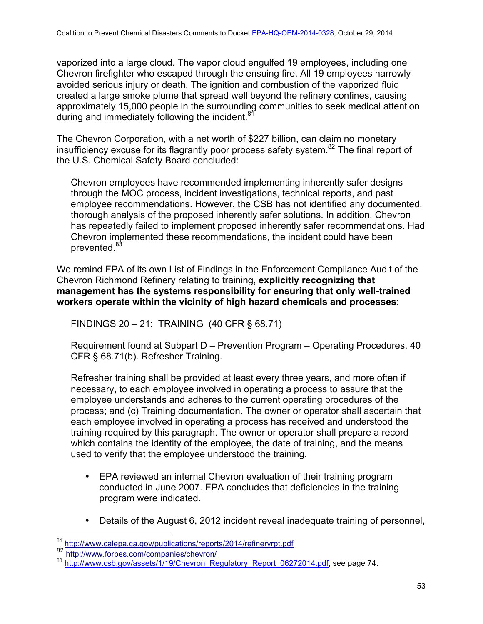vaporized into a large cloud. The vapor cloud engulfed 19 employees, including one Chevron firefighter who escaped through the ensuing fire. All 19 employees narrowly avoided serious injury or death. The ignition and combustion of the vaporized fluid created a large smoke plume that spread well beyond the refinery confines, causing approximately 15,000 people in the surrounding communities to seek medical attention during and immediately following the incident. $8<sup>8</sup>$ 

The Chevron Corporation, with a net worth of \$227 billion, can claim no monetary insufficiency excuse for its flagrantly poor process safety system.82 The final report of the U.S. Chemical Safety Board concluded:

Chevron employees have recommended implementing inherently safer designs through the MOC process, incident investigations, technical reports, and past employee recommendations. However, the CSB has not identified any documented, thorough analysis of the proposed inherently safer solutions. In addition, Chevron has repeatedly failed to implement proposed inherently safer recommendations. Had Chevron implemented these recommendations, the incident could have been prevented.<sup>83</sup>

We remind EPA of its own List of Findings in the Enforcement Compliance Audit of the Chevron Richmond Refinery relating to training, **explicitly recognizing that management has the systems responsibility for ensuring that only well-trained workers operate within the vicinity of high hazard chemicals and processes**:

FINDINGS 20 – 21: TRAINING (40 CFR § 68.71)

Requirement found at Subpart D – Prevention Program – Operating Procedures, 40 CFR § 68.71(b). Refresher Training.

Refresher training shall be provided at least every three years, and more often if necessary, to each employee involved in operating a process to assure that the employee understands and adheres to the current operating procedures of the process; and (c) Training documentation. The owner or operator shall ascertain that each employee involved in operating a process has received and understood the training required by this paragraph. The owner or operator shall prepare a record which contains the identity of the employee, the date of training, and the means used to verify that the employee understood the training.

- EPA reviewed an internal Chevron evaluation of their training program conducted in June 2007. EPA concludes that deficiencies in the training program were indicated.
- Details of the August 6, 2012 incident reveal inadequate training of personnel,

<sup>81</sup> http://www.calepa.ca.gov/publications/reports/2014/refineryrpt.pdf

<sup>82&</sup>lt;br>http://www.forbes.com/companies/chevron/<br>83 http://www.csh.gov/assets/1/19/Chevron\_Re

http://www.csb.gov/assets/1/19/Chevron\_Regulatory\_Report\_06272014.pdf, see page 74.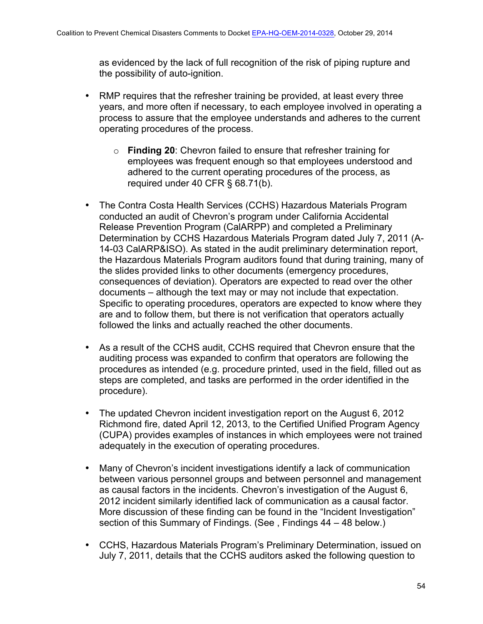as evidenced by the lack of full recognition of the risk of piping rupture and the possibility of auto-ignition.

- RMP requires that the refresher training be provided, at least every three years, and more often if necessary, to each employee involved in operating a process to assure that the employee understands and adheres to the current operating procedures of the process.
	- o **Finding 20**: Chevron failed to ensure that refresher training for employees was frequent enough so that employees understood and adhered to the current operating procedures of the process, as required under 40 CFR § 68.71(b).
- The Contra Costa Health Services (CCHS) Hazardous Materials Program conducted an audit of Chevron's program under California Accidental Release Prevention Program (CalARPP) and completed a Preliminary Determination by CCHS Hazardous Materials Program dated July 7, 2011 (A-14-03 CalARP&ISO). As stated in the audit preliminary determination report, the Hazardous Materials Program auditors found that during training, many of the slides provided links to other documents (emergency procedures, consequences of deviation). Operators are expected to read over the other documents – although the text may or may not include that expectation. Specific to operating procedures, operators are expected to know where they are and to follow them, but there is not verification that operators actually followed the links and actually reached the other documents.
- As a result of the CCHS audit, CCHS required that Chevron ensure that the auditing process was expanded to confirm that operators are following the procedures as intended (e.g. procedure printed, used in the field, filled out as steps are completed, and tasks are performed in the order identified in the procedure).
- The updated Chevron incident investigation report on the August 6, 2012 Richmond fire, dated April 12, 2013, to the Certified Unified Program Agency (CUPA) provides examples of instances in which employees were not trained adequately in the execution of operating procedures.
- Many of Chevron's incident investigations identify a lack of communication between various personnel groups and between personnel and management as causal factors in the incidents. Chevron's investigation of the August 6, 2012 incident similarly identified lack of communication as a causal factor. More discussion of these finding can be found in the "Incident Investigation" section of this Summary of Findings. (See , Findings 44 – 48 below.)
- CCHS, Hazardous Materials Program's Preliminary Determination, issued on July 7, 2011, details that the CCHS auditors asked the following question to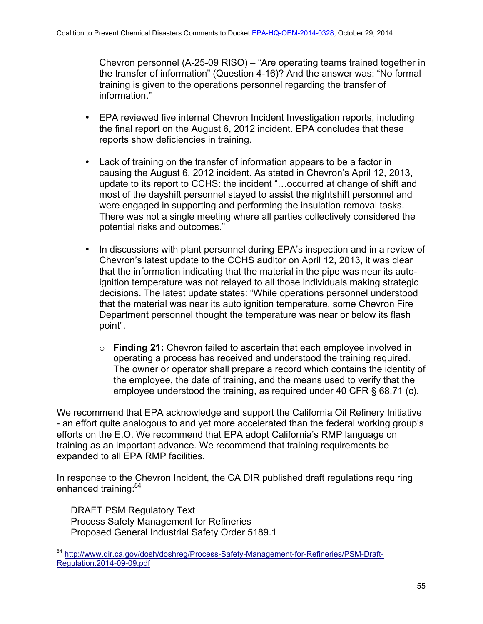Chevron personnel (A-25-09 RISO) – "Are operating teams trained together in the transfer of information" (Question 4-16)? And the answer was: "No formal training is given to the operations personnel regarding the transfer of information."

- EPA reviewed five internal Chevron Incident Investigation reports, including the final report on the August 6, 2012 incident. EPA concludes that these reports show deficiencies in training.
- Lack of training on the transfer of information appears to be a factor in causing the August 6, 2012 incident. As stated in Chevron's April 12, 2013, update to its report to CCHS: the incident "…occurred at change of shift and most of the dayshift personnel stayed to assist the nightshift personnel and were engaged in supporting and performing the insulation removal tasks. There was not a single meeting where all parties collectively considered the potential risks and outcomes."
- In discussions with plant personnel during EPA's inspection and in a review of Chevron's latest update to the CCHS auditor on April 12, 2013, it was clear that the information indicating that the material in the pipe was near its autoignition temperature was not relayed to all those individuals making strategic decisions. The latest update states: "While operations personnel understood that the material was near its auto ignition temperature, some Chevron Fire Department personnel thought the temperature was near or below its flash point".
	- o **Finding 21:** Chevron failed to ascertain that each employee involved in operating a process has received and understood the training required. The owner or operator shall prepare a record which contains the identity of the employee, the date of training, and the means used to verify that the employee understood the training, as required under 40 CFR § 68.71 (c).

We recommend that EPA acknowledge and support the California Oil Refinery Initiative - an effort quite analogous to and yet more accelerated than the federal working group's efforts on the E.O. We recommend that EPA adopt California's RMP language on training as an important advance. We recommend that training requirements be expanded to all EPA RMP facilities.

In response to the Chevron Incident, the CA DIR published draft regulations requiring enhanced training:<sup>84</sup>

DRAFT PSM Regulatory Text Process Safety Management for Refineries Proposed General Industrial Safety Order 5189.1

<sup>84</sup> http://www.dir.ca.gov/dosh/doshreg/Process-Safety-Management-for-Refineries/PSM-Draft-Regulation.2014-09-09.pdf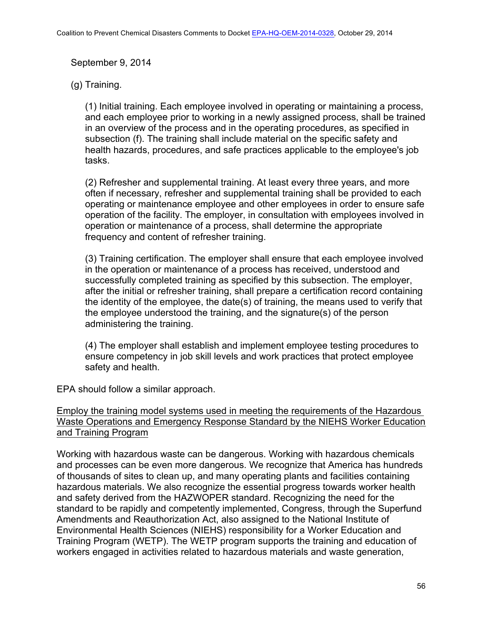September 9, 2014

# (g) Training.

(1) Initial training. Each employee involved in operating or maintaining a process, and each employee prior to working in a newly assigned process, shall be trained in an overview of the process and in the operating procedures, as specified in subsection (f). The training shall include material on the specific safety and health hazards, procedures, and safe practices applicable to the employee's job tasks.

(2) Refresher and supplemental training. At least every three years, and more often if necessary, refresher and supplemental training shall be provided to each operating or maintenance employee and other employees in order to ensure safe operation of the facility. The employer, in consultation with employees involved in operation or maintenance of a process, shall determine the appropriate frequency and content of refresher training.

(3) Training certification. The employer shall ensure that each employee involved in the operation or maintenance of a process has received, understood and successfully completed training as specified by this subsection. The employer, after the initial or refresher training, shall prepare a certification record containing the identity of the employee, the date(s) of training, the means used to verify that the employee understood the training, and the signature(s) of the person administering the training.

(4) The employer shall establish and implement employee testing procedures to ensure competency in job skill levels and work practices that protect employee safety and health.

EPA should follow a similar approach.

# Employ the training model systems used in meeting the requirements of the Hazardous Waste Operations and Emergency Response Standard by the NIEHS Worker Education and Training Program

Working with hazardous waste can be dangerous. Working with hazardous chemicals and processes can be even more dangerous. We recognize that America has hundreds of thousands of sites to clean up, and many operating plants and facilities containing hazardous materials. We also recognize the essential progress towards worker health and safety derived from the HAZWOPER standard. Recognizing the need for the standard to be rapidly and competently implemented, Congress, through the Superfund Amendments and Reauthorization Act, also assigned to the National Institute of Environmental Health Sciences (NIEHS) responsibility for a Worker Education and Training Program (WETP). The WETP program supports the training and education of workers engaged in activities related to hazardous materials and waste generation,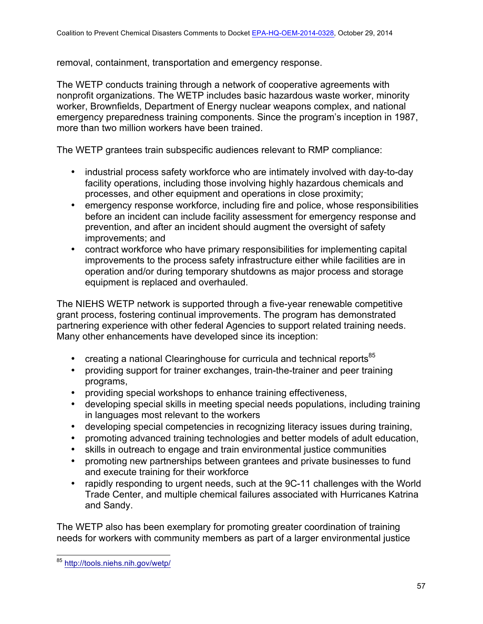removal, containment, transportation and emergency response.

The WETP conducts training through a network of cooperative agreements with nonprofit organizations. The WETP includes basic hazardous waste worker, minority worker, Brownfields, Department of Energy nuclear weapons complex, and national emergency preparedness training components. Since the program's inception in 1987, more than two million workers have been trained.

The WETP grantees train subspecific audiences relevant to RMP compliance:

- industrial process safety workforce who are intimately involved with day-to-day facility operations, including those involving highly hazardous chemicals and processes, and other equipment and operations in close proximity;
- emergency response workforce, including fire and police, whose responsibilities before an incident can include facility assessment for emergency response and prevention, and after an incident should augment the oversight of safety improvements; and
- contract workforce who have primary responsibilities for implementing capital improvements to the process safety infrastructure either while facilities are in operation and/or during temporary shutdowns as major process and storage equipment is replaced and overhauled.

The NIEHS WETP network is supported through a five-year renewable competitive grant process, fostering continual improvements. The program has demonstrated partnering experience with other federal Agencies to support related training needs. Many other enhancements have developed since its inception:

- creating a national Clearinghouse for curricula and technical reports $85$
- providing support for trainer exchanges, train-the-trainer and peer training programs,
- providing special workshops to enhance training effectiveness,
- developing special skills in meeting special needs populations, including training in languages most relevant to the workers
- developing special competencies in recognizing literacy issues during training,
- promoting advanced training technologies and better models of adult education,
- skills in outreach to engage and train environmental justice communities
- promoting new partnerships between grantees and private businesses to fund and execute training for their workforce
- rapidly responding to urgent needs, such at the 9C-11 challenges with the World Trade Center, and multiple chemical failures associated with Hurricanes Katrina and Sandy.

The WETP also has been exemplary for promoting greater coordination of training needs for workers with community members as part of a larger environmental justice

<sup>85</sup> http://tools.niehs.nih.gov/wetp/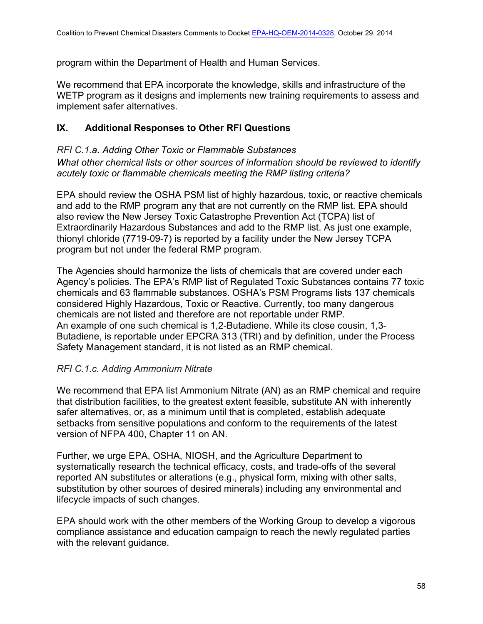program within the Department of Health and Human Services.

We recommend that EPA incorporate the knowledge, skills and infrastructure of the WETP program as it designs and implements new training requirements to assess and implement safer alternatives.

# **IX. Additional Responses to Other RFI Questions**

*RFI C.1.a. Adding Other Toxic or Flammable Substances What other chemical lists or other sources of information should be reviewed to identify acutely toxic or flammable chemicals meeting the RMP listing criteria?*

EPA should review the OSHA PSM list of highly hazardous, toxic, or reactive chemicals and add to the RMP program any that are not currently on the RMP list. EPA should also review the New Jersey Toxic Catastrophe Prevention Act (TCPA) list of Extraordinarily Hazardous Substances and add to the RMP list. As just one example, thionyl chloride (7719-09-7) is reported by a facility under the New Jersey TCPA program but not under the federal RMP program.

The Agencies should harmonize the lists of chemicals that are covered under each Agency's policies. The EPA's RMP list of Regulated Toxic Substances contains 77 toxic chemicals and 63 flammable substances. OSHA's PSM Programs lists 137 chemicals considered Highly Hazardous, Toxic or Reactive. Currently, too many dangerous chemicals are not listed and therefore are not reportable under RMP. An example of one such chemical is 1,2-Butadiene. While its close cousin, 1,3- Butadiene, is reportable under EPCRA 313 (TRI) and by definition, under the Process Safety Management standard, it is not listed as an RMP chemical.

## *RFI C.1.c. Adding Ammonium Nitrate*

We recommend that EPA list Ammonium Nitrate (AN) as an RMP chemical and require that distribution facilities, to the greatest extent feasible, substitute AN with inherently safer alternatives, or, as a minimum until that is completed, establish adequate setbacks from sensitive populations and conform to the requirements of the latest version of NFPA 400, Chapter 11 on AN.

Further, we urge EPA, OSHA, NIOSH, and the Agriculture Department to systematically research the technical efficacy, costs, and trade-offs of the several reported AN substitutes or alterations (e.g., physical form, mixing with other salts, substitution by other sources of desired minerals) including any environmental and lifecycle impacts of such changes.

EPA should work with the other members of the Working Group to develop a vigorous compliance assistance and education campaign to reach the newly regulated parties with the relevant guidance.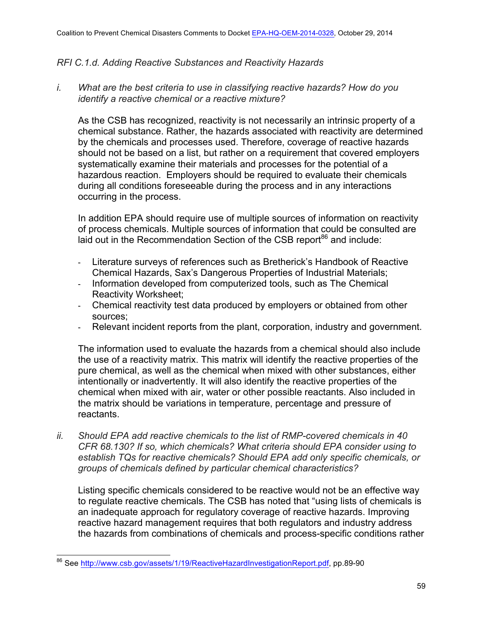### *RFI C.1.d. Adding Reactive Substances and Reactivity Hazards*

*i. What are the best criteria to use in classifying reactive hazards? How do you identify a reactive chemical or a reactive mixture?*

As the CSB has recognized, reactivity is not necessarily an intrinsic property of a chemical substance. Rather, the hazards associated with reactivity are determined by the chemicals and processes used. Therefore, coverage of reactive hazards should not be based on a list, but rather on a requirement that covered employers systematically examine their materials and processes for the potential of a hazardous reaction. Employers should be required to evaluate their chemicals during all conditions foreseeable during the process and in any interactions occurring in the process.

In addition EPA should require use of multiple sources of information on reactivity of process chemicals. Multiple sources of information that could be consulted are laid out in the Recommendation Section of the CSB report<sup>86</sup> and include:

- Literature surveys of references such as Bretherick's Handbook of Reactive Chemical Hazards, Sax's Dangerous Properties of Industrial Materials;
- Information developed from computerized tools, such as The Chemical Reactivity Worksheet;
- Chemical reactivity test data produced by employers or obtained from other sources;
- Relevant incident reports from the plant, corporation, industry and government.

The information used to evaluate the hazards from a chemical should also include the use of a reactivity matrix. This matrix will identify the reactive properties of the pure chemical, as well as the chemical when mixed with other substances, either intentionally or inadvertently. It will also identify the reactive properties of the chemical when mixed with air, water or other possible reactants. Also included in the matrix should be variations in temperature, percentage and pressure of reactants.

*ii. Should EPA add reactive chemicals to the list of RMP-covered chemicals in 40 CFR 68.130? If so, which chemicals? What criteria should EPA consider using to establish TQs for reactive chemicals? Should EPA add only specific chemicals, or groups of chemicals defined by particular chemical characteristics?*

Listing specific chemicals considered to be reactive would not be an effective way to regulate reactive chemicals. The CSB has noted that "using lists of chemicals is an inadequate approach for regulatory coverage of reactive hazards. Improving reactive hazard management requires that both regulators and industry address the hazards from combinations of chemicals and process-specific conditions rather

<sup>86</sup> See http://www.csb.gov/assets/1/19/ReactiveHazardInvestigationReport.pdf, pp.89-90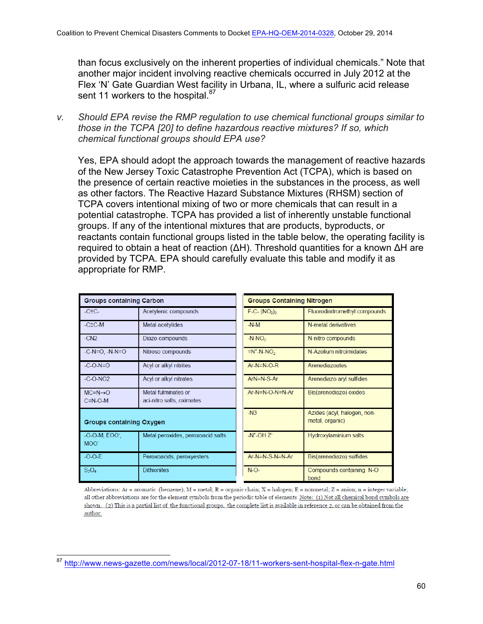than focus exclusively on the inherent properties of individual chemicals." Note that another major incident involving reactive chemicals occurred in July 2012 at the Flex 'N' Gate Guardian West facility in Urbana, IL, where a sulfuric acid release sent 11 workers to the hospital.<sup>87</sup>

*v. Should EPA revise the RMP regulation to use chemical functional groups similar to those in the TCPA [20] to define hazardous reactive mixtures? If so, which chemical functional groups should EPA use?*

Yes, EPA should adopt the approach towards the management of reactive hazards of the New Jersey Toxic Catastrophe Prevention Act (TCPA), which is based on the presence of certain reactive moieties in the substances in the process, as well as other factors. The Reactive Hazard Substance Mixtures (RHSM) section of TCPA covers intentional mixing of two or more chemicals that can result in a potential catastrophe. TCPA has provided a list of inherently unstable functional groups. If any of the intentional mixtures that are products, byproducts, or reactants contain functional groups listed in the table below, the operating facility is required to obtain a heat of reaction (ΔH). Threshold quantities for a known ΔH are provided by TCPA. EPA should carefully evaluate this table and modify it as appropriate for RMP.

| <b>Groups containing Carbon</b>                  |                                                  | <b>Groups Containing Nitrogen</b> |                                                |
|--------------------------------------------------|--------------------------------------------------|-----------------------------------|------------------------------------------------|
| $-C\equiv C-$                                    | Acetylenic compounds                             | $F-C - (NO2)2$                    | Fluorodinitromethyl compounds                  |
| $-C\equiv C$ -M                                  | Metal acetylides                                 | $-N-M$                            | N-metal derivatives                            |
| $-CN2$                                           | Diazo compounds                                  | $-N-NO2$                          | N-nitro compounds                              |
| $-C-N=O, -N-N=O$                                 | Nitroso compounds                                | $=N^+$ -N-NO <sub>2</sub>         | N-Azolium nitroimidates                        |
| $-C-O-N=O$                                       | Acyl or alkyl nitrites                           | $Ar-N=N-O-R$                      | Arenediazoates                                 |
| $-C-O-NO2$                                       | Acyl or alkyl nitrates                           | $ArN=N-S-Ar$                      | Arenediazo aryl sulfides                       |
| $MC = N \rightarrow O$<br>$C = N - O - M$        | Metal fulminates or<br>aci-nitro salts, oximates | $Ar-N=N-O-N=N-Ar$                 | Bis(arenediazo) oxides                         |
| <b>Groups containing Oxygen</b>                  |                                                  | $-N3$                             | Azides (acyl, halogen, non-<br>metal, organic) |
| $-O-O-M$ , $EOO^{\dagger}$ ,<br>MOO <sup>-</sup> | Metal peroxides, peroxoacid salts                | $-N^{\dagger}$ -OH $Z^{\dagger}$  | Hydroxylaminium salts                          |
| $-O-O-E$                                         | Peroxoacids, peroxyesters                        | Ar-N=N-S-N=N-Ar                   | Bis(arenediazo) sulfides                       |
| $S_2O_4$                                         | <b>Dithionites</b>                               | $N$ -O-                           | Compounds containing N-O<br>bond               |

Abbreviations: Ar = aromatic (benzene); M = metal; R = organic chain; X = halogen; E = nonmetal; Z = anion; n = integer variable; all other abbreviations are for the element symbols from the periodic table of elements Note: (1) Not all chemical bond symbols are shown. (2) This is a partial list of the functional groups, the complete list is available in reference 2, or can be obtained from the author.

<sup>87</sup> http://www.news-gazette.com/news/local/2012-07-18/11-workers-sent-hospital-flex-n-gate.html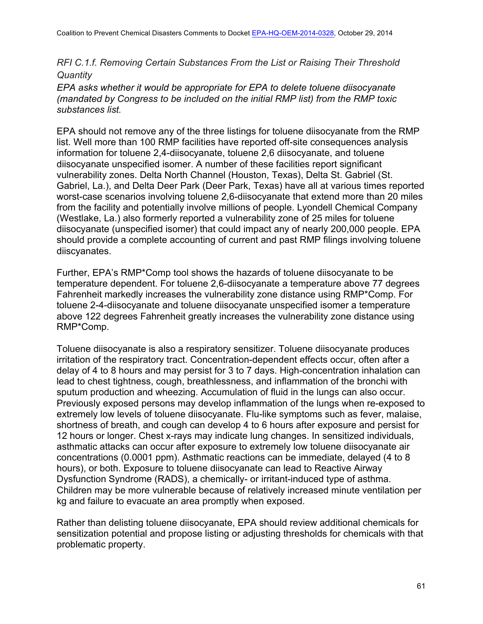*RFI C.1.f. Removing Certain Substances From the List or Raising Their Threshold Quantity*

*EPA asks whether it would be appropriate for EPA to delete toluene diisocyanate (mandated by Congress to be included on the initial RMP list) from the RMP toxic substances list.*

EPA should not remove any of the three listings for toluene diisocyanate from the RMP list. Well more than 100 RMP facilities have reported off-site consequences analysis information for toluene 2,4-diisocyanate, toluene 2,6 diisocyanate, and toluene diisocyanate unspecified isomer. A number of these facilities report significant vulnerability zones. Delta North Channel (Houston, Texas), Delta St. Gabriel (St. Gabriel, La.), and Delta Deer Park (Deer Park, Texas) have all at various times reported worst-case scenarios involving toluene 2,6-diisocyanate that extend more than 20 miles from the facility and potentially involve millions of people. Lyondell Chemical Company (Westlake, La.) also formerly reported a vulnerability zone of 25 miles for toluene diisocyanate (unspecified isomer) that could impact any of nearly 200,000 people. EPA should provide a complete accounting of current and past RMP filings involving toluene diiscyanates.

Further, EPA's RMP\*Comp tool shows the hazards of toluene diisocyanate to be temperature dependent. For toluene 2,6-diisocyanate a temperature above 77 degrees Fahrenheit markedly increases the vulnerability zone distance using RMP\*Comp. For toluene 2-4-diisocyanate and toluene diisocyanate unspecified isomer a temperature above 122 degrees Fahrenheit greatly increases the vulnerability zone distance using RMP\*Comp.

Toluene diisocyanate is also a respiratory sensitizer. Toluene diisocyanate produces irritation of the respiratory tract. Concentration-dependent effects occur, often after a delay of 4 to 8 hours and may persist for 3 to 7 days. High-concentration inhalation can lead to chest tightness, cough, breathlessness, and inflammation of the bronchi with sputum production and wheezing. Accumulation of fluid in the lungs can also occur. Previously exposed persons may develop inflammation of the lungs when re-exposed to extremely low levels of toluene diisocyanate. Flu-like symptoms such as fever, malaise, shortness of breath, and cough can develop 4 to 6 hours after exposure and persist for 12 hours or longer. Chest x-rays may indicate lung changes. In sensitized individuals, asthmatic attacks can occur after exposure to extremely low toluene diisocyanate air concentrations (0.0001 ppm). Asthmatic reactions can be immediate, delayed (4 to 8 hours), or both. Exposure to toluene diisocyanate can lead to Reactive Airway Dysfunction Syndrome (RADS), a chemically- or irritant-induced type of asthma. Children may be more vulnerable because of relatively increased minute ventilation per kg and failure to evacuate an area promptly when exposed.

Rather than delisting toluene diisocyanate, EPA should review additional chemicals for sensitization potential and propose listing or adjusting thresholds for chemicals with that problematic property.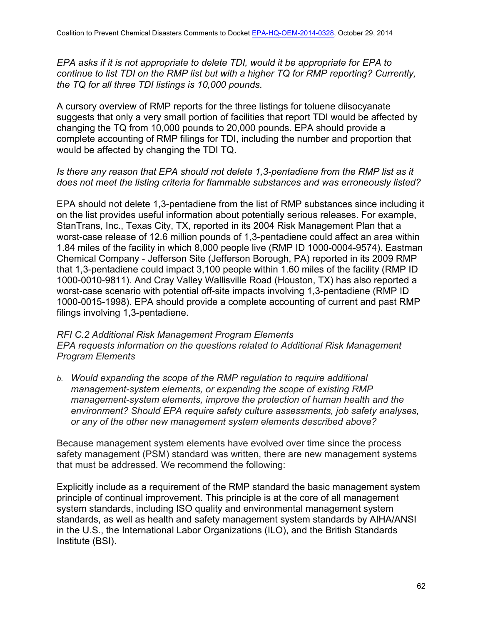*EPA asks if it is not appropriate to delete TDI, would it be appropriate for EPA to continue to list TDI on the RMP list but with a higher TQ for RMP reporting? Currently, the TQ for all three TDI listings is 10,000 pounds.*

A cursory overview of RMP reports for the three listings for toluene diisocyanate suggests that only a very small portion of facilities that report TDI would be affected by changing the TQ from 10,000 pounds to 20,000 pounds. EPA should provide a complete accounting of RMP filings for TDI, including the number and proportion that would be affected by changing the TDI TQ.

### *Is there any reason that EPA should not delete 1,3-pentadiene from the RMP list as it does not meet the listing criteria for flammable substances and was erroneously listed?*

EPA should not delete 1,3-pentadiene from the list of RMP substances since including it on the list provides useful information about potentially serious releases. For example, StanTrans, Inc., Texas City, TX, reported in its 2004 Risk Management Plan that a worst-case release of 12.6 million pounds of 1,3-pentadiene could affect an area within 1.84 miles of the facility in which 8,000 people live (RMP ID 1000-0004-9574). Eastman Chemical Company - Jefferson Site (Jefferson Borough, PA) reported in its 2009 RMP that 1,3-pentadiene could impact 3,100 people within 1.60 miles of the facility (RMP ID 1000-0010-9811). And Cray Valley Wallisville Road (Houston, TX) has also reported a worst-case scenario with potential off-site impacts involving 1,3-pentadiene (RMP ID 1000-0015-1998). EPA should provide a complete accounting of current and past RMP filings involving 1,3-pentadiene.

### *RFI C.2 Additional Risk Management Program Elements EPA requests information on the questions related to Additional Risk Management Program Elements*

*b. Would expanding the scope of the RMP regulation to require additional management-system elements, or expanding the scope of existing RMP management-system elements, improve the protection of human health and the environment? Should EPA require safety culture assessments, job safety analyses, or any of the other new management system elements described above?*

Because management system elements have evolved over time since the process safety management (PSM) standard was written, there are new management systems that must be addressed. We recommend the following:

Explicitly include as a requirement of the RMP standard the basic management system principle of continual improvement. This principle is at the core of all management system standards, including ISO quality and environmental management system standards, as well as health and safety management system standards by AIHA/ANSI in the U.S., the International Labor Organizations (ILO), and the British Standards Institute (BSI).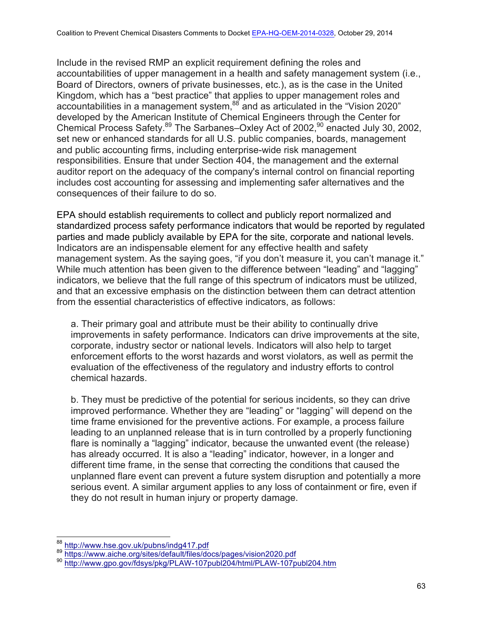Include in the revised RMP an explicit requirement defining the roles and accountabilities of upper management in a health and safety management system (i.e., Board of Directors, owners of private businesses, etc.), as is the case in the United Kingdom, which has a "best practice" that applies to upper management roles and accountabilities in a management system, $88$  and as articulated in the "Vision 2020" developed by the American Institute of Chemical Engineers through the Center for Chemical Process Safety.<sup>89</sup> The Sarbanes–Oxley Act of 2002,<sup>90</sup> enacted July 30, 2002, set new or enhanced standards for all U.S. public companies, boards, management and public accounting firms, including enterprise-wide risk management responsibilities. Ensure that under Section 404, the management and the external auditor report on the adequacy of the company's internal control on financial reporting includes cost accounting for assessing and implementing safer alternatives and the consequences of their failure to do so.

EPA should establish requirements to collect and publicly report normalized and standardized process safety performance indicators that would be reported by regulated parties and made publicly available by EPA for the site, corporate and national levels. Indicators are an indispensable element for any effective health and safety management system. As the saying goes, "if you don't measure it, you can't manage it." While much attention has been given to the difference between "leading" and "lagging" indicators, we believe that the full range of this spectrum of indicators must be utilized, and that an excessive emphasis on the distinction between them can detract attention from the essential characteristics of effective indicators, as follows:

a. Their primary goal and attribute must be their ability to continually drive improvements in safety performance. Indicators can drive improvements at the site, corporate, industry sector or national levels. Indicators will also help to target enforcement efforts to the worst hazards and worst violators, as well as permit the evaluation of the effectiveness of the regulatory and industry efforts to control chemical hazards.

b. They must be predictive of the potential for serious incidents, so they can drive improved performance. Whether they are "leading" or "lagging" will depend on the time frame envisioned for the preventive actions. For example, a process failure leading to an unplanned release that is in turn controlled by a properly functioning flare is nominally a "lagging" indicator, because the unwanted event (the release) has already occurred. It is also a "leading" indicator, however, in a longer and different time frame, in the sense that correcting the conditions that caused the unplanned flare event can prevent a future system disruption and potentially a more serious event. A similar argument applies to any loss of containment or fire, even if they do not result in human injury or property damage.

<sup>&</sup>lt;sup>88</sup> http://www.hse.gov.uk/pubns/indg417.pdf<br><sup>89</sup> https://www.aiche.org/sites/default/files/docs/pages/vision2020.pdf<br><sup>90</sup> http://www.gpo.gov/fdsys/pkg/PLAW-107publ204/html/PLAW-107publ204.htm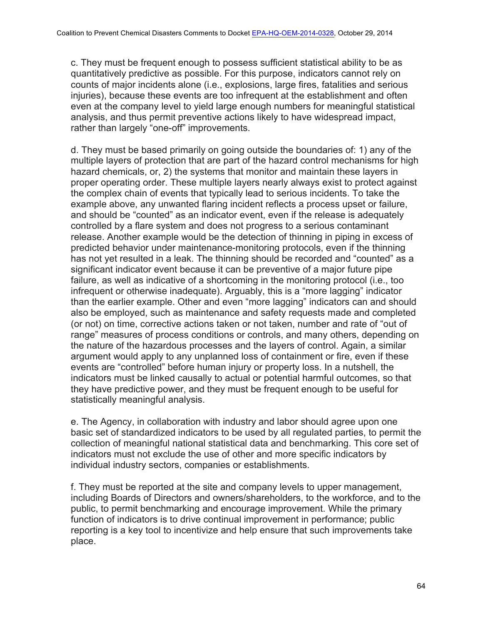c. They must be frequent enough to possess sufficient statistical ability to be as quantitatively predictive as possible. For this purpose, indicators cannot rely on counts of major incidents alone (i.e., explosions, large fires, fatalities and serious injuries), because these events are too infrequent at the establishment and often even at the company level to yield large enough numbers for meaningful statistical analysis, and thus permit preventive actions likely to have widespread impact, rather than largely "one-off" improvements.

d. They must be based primarily on going outside the boundaries of: 1) any of the multiple layers of protection that are part of the hazard control mechanisms for high hazard chemicals, or, 2) the systems that monitor and maintain these layers in proper operating order. These multiple layers nearly always exist to protect against the complex chain of events that typically lead to serious incidents. To take the example above, any unwanted flaring incident reflects a process upset or failure, and should be "counted" as an indicator event, even if the release is adequately controlled by a flare system and does not progress to a serious contaminant release. Another example would be the detection of thinning in piping in excess of predicted behavior under maintenance-monitoring protocols, even if the thinning has not yet resulted in a leak. The thinning should be recorded and "counted" as a significant indicator event because it can be preventive of a major future pipe failure, as well as indicative of a shortcoming in the monitoring protocol (i.e., too infrequent or otherwise inadequate). Arguably, this is a "more lagging" indicator than the earlier example. Other and even "more lagging" indicators can and should also be employed, such as maintenance and safety requests made and completed (or not) on time, corrective actions taken or not taken, number and rate of "out of range" measures of process conditions or controls, and many others, depending on the nature of the hazardous processes and the layers of control. Again, a similar argument would apply to any unplanned loss of containment or fire, even if these events are "controlled" before human injury or property loss. In a nutshell, the indicators must be linked causally to actual or potential harmful outcomes, so that they have predictive power, and they must be frequent enough to be useful for statistically meaningful analysis.

e. The Agency, in collaboration with industry and labor should agree upon one basic set of standardized indicators to be used by all regulated parties, to permit the collection of meaningful national statistical data and benchmarking. This core set of indicators must not exclude the use of other and more specific indicators by individual industry sectors, companies or establishments.

f. They must be reported at the site and company levels to upper management, including Boards of Directors and owners/shareholders, to the workforce, and to the public, to permit benchmarking and encourage improvement. While the primary function of indicators is to drive continual improvement in performance; public reporting is a key tool to incentivize and help ensure that such improvements take place.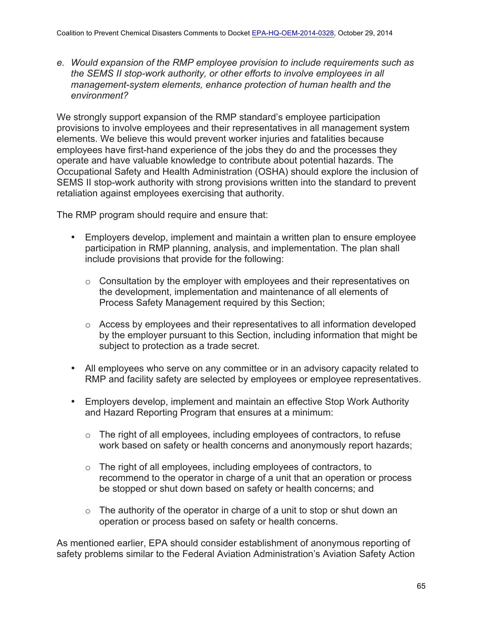*e. Would expansion of the RMP employee provision to include requirements such as the SEMS II stop-work authority, or other efforts to involve employees in all management-system elements, enhance protection of human health and the environment?*

We strongly support expansion of the RMP standard's employee participation provisions to involve employees and their representatives in all management system elements. We believe this would prevent worker injuries and fatalities because employees have first-hand experience of the jobs they do and the processes they operate and have valuable knowledge to contribute about potential hazards. The Occupational Safety and Health Administration (OSHA) should explore the inclusion of SEMS II stop-work authority with strong provisions written into the standard to prevent retaliation against employees exercising that authority.

The RMP program should require and ensure that:

- Employers develop, implement and maintain a written plan to ensure employee participation in RMP planning, analysis, and implementation. The plan shall include provisions that provide for the following:
	- o Consultation by the employer with employees and their representatives on the development, implementation and maintenance of all elements of Process Safety Management required by this Section;
	- o Access by employees and their representatives to all information developed by the employer pursuant to this Section, including information that might be subject to protection as a trade secret.
- All employees who serve on any committee or in an advisory capacity related to RMP and facility safety are selected by employees or employee representatives.
- Employers develop, implement and maintain an effective Stop Work Authority and Hazard Reporting Program that ensures at a minimum:
	- o The right of all employees, including employees of contractors, to refuse work based on safety or health concerns and anonymously report hazards;
	- o The right of all employees, including employees of contractors, to recommend to the operator in charge of a unit that an operation or process be stopped or shut down based on safety or health concerns; and
	- $\circ$  The authority of the operator in charge of a unit to stop or shut down an operation or process based on safety or health concerns.

As mentioned earlier, EPA should consider establishment of anonymous reporting of safety problems similar to the Federal Aviation Administration's Aviation Safety Action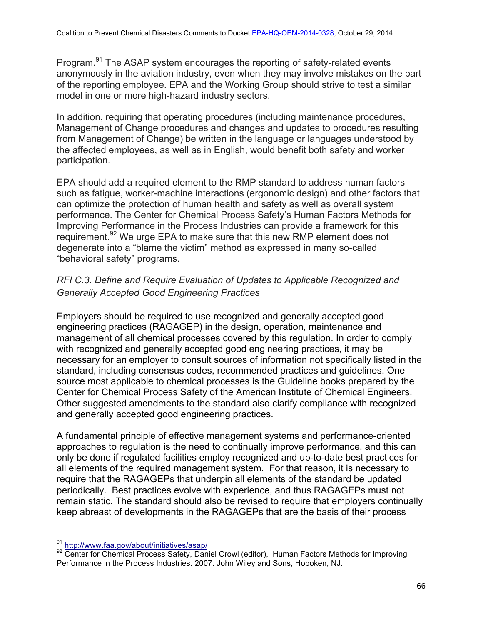Program.<sup>91</sup> The ASAP system encourages the reporting of safety-related events anonymously in the aviation industry, even when they may involve mistakes on the part of the reporting employee. EPA and the Working Group should strive to test a similar model in one or more high-hazard industry sectors.

In addition, requiring that operating procedures (including maintenance procedures, Management of Change procedures and changes and updates to procedures resulting from Management of Change) be written in the language or languages understood by the affected employees, as well as in English, would benefit both safety and worker participation.

EPA should add a required element to the RMP standard to address human factors such as fatigue, worker-machine interactions (ergonomic design) and other factors that can optimize the protection of human health and safety as well as overall system performance. The Center for Chemical Process Safety's Human Factors Methods for Improving Performance in the Process Industries can provide a framework for this requirement.<sup>92</sup> We urge EPA to make sure that this new RMP element does not degenerate into a "blame the victim" method as expressed in many so-called "behavioral safety" programs.

# *RFI C.3. Define and Require Evaluation of Updates to Applicable Recognized and Generally Accepted Good Engineering Practices*

Employers should be required to use recognized and generally accepted good engineering practices (RAGAGEP) in the design, operation, maintenance and management of all chemical processes covered by this regulation. In order to comply with recognized and generally accepted good engineering practices, it may be necessary for an employer to consult sources of information not specifically listed in the standard, including consensus codes, recommended practices and guidelines. One source most applicable to chemical processes is the Guideline books prepared by the Center for Chemical Process Safety of the American Institute of Chemical Engineers. Other suggested amendments to the standard also clarify compliance with recognized and generally accepted good engineering practices.

A fundamental principle of effective management systems and performance-oriented approaches to regulation is the need to continually improve performance, and this can only be done if regulated facilities employ recognized and up-to-date best practices for all elements of the required management system. For that reason, it is necessary to require that the RAGAGEPs that underpin all elements of the standard be updated periodically. Best practices evolve with experience, and thus RAGAGEPs must not remain static. The standard should also be revised to require that employers continually keep abreast of developments in the RAGAGEPs that are the basis of their process

<sup>&</sup>lt;sup>91</sup> http://www.faa.gov/about/initiatives/asap/<br><sup>92</sup> Center for Chemical Process Safety, Daniel Crowl (editor), Human Factors Methods for Improving Performance in the Process Industries. 2007. John Wiley and Sons, Hoboken, NJ.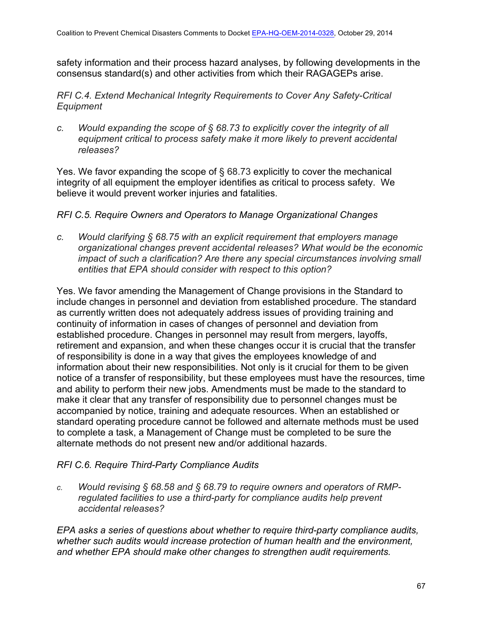safety information and their process hazard analyses, by following developments in the consensus standard(s) and other activities from which their RAGAGEPs arise.

*RFI C.4. Extend Mechanical Integrity Requirements to Cover Any Safety-Critical Equipment*

*c. Would expanding the scope of § 68.73 to explicitly cover the integrity of all equipment critical to process safety make it more likely to prevent accidental releases?*

Yes. We favor expanding the scope of § 68.73 explicitly to cover the mechanical integrity of all equipment the employer identifies as critical to process safety. We believe it would prevent worker injuries and fatalities.

### *RFI C.5. Require Owners and Operators to Manage Organizational Changes*

*c. Would clarifying § 68.75 with an explicit requirement that employers manage organizational changes prevent accidental releases? What would be the economic impact of such a clarification? Are there any special circumstances involving small entities that EPA should consider with respect to this option?*

Yes. We favor amending the Management of Change provisions in the Standard to include changes in personnel and deviation from established procedure. The standard as currently written does not adequately address issues of providing training and continuity of information in cases of changes of personnel and deviation from established procedure. Changes in personnel may result from mergers, layoffs, retirement and expansion, and when these changes occur it is crucial that the transfer of responsibility is done in a way that gives the employees knowledge of and information about their new responsibilities. Not only is it crucial for them to be given notice of a transfer of responsibility, but these employees must have the resources, time and ability to perform their new jobs. Amendments must be made to the standard to make it clear that any transfer of responsibility due to personnel changes must be accompanied by notice, training and adequate resources. When an established or standard operating procedure cannot be followed and alternate methods must be used to complete a task, a Management of Change must be completed to be sure the alternate methods do not present new and/or additional hazards.

## *RFI C.6. Require Third-Party Compliance Audits*

*c. Would revising § 68.58 and § 68.79 to require owners and operators of RMPregulated facilities to use a third-party for compliance audits help prevent accidental releases?* 

*EPA asks a series of questions about whether to require third-party compliance audits, whether such audits would increase protection of human health and the environment, and whether EPA should make other changes to strengthen audit requirements.*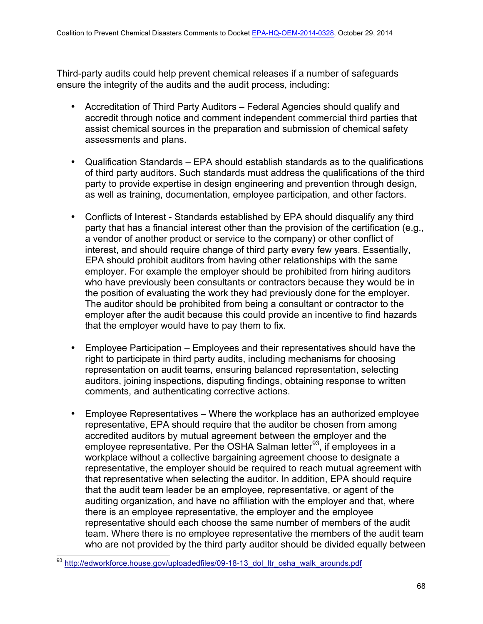Third-party audits could help prevent chemical releases if a number of safeguards ensure the integrity of the audits and the audit process, including:

- Accreditation of Third Party Auditors Federal Agencies should qualify and accredit through notice and comment independent commercial third parties that assist chemical sources in the preparation and submission of chemical safety assessments and plans.
- Qualification Standards EPA should establish standards as to the qualifications of third party auditors. Such standards must address the qualifications of the third party to provide expertise in design engineering and prevention through design, as well as training, documentation, employee participation, and other factors.
- Conflicts of Interest Standards established by EPA should disqualify any third party that has a financial interest other than the provision of the certification (e.g., a vendor of another product or service to the company) or other conflict of interest, and should require change of third party every few years. Essentially, EPA should prohibit auditors from having other relationships with the same employer. For example the employer should be prohibited from hiring auditors who have previously been consultants or contractors because they would be in the position of evaluating the work they had previously done for the employer. The auditor should be prohibited from being a consultant or contractor to the employer after the audit because this could provide an incentive to find hazards that the employer would have to pay them to fix.
- Employee Participation Employees and their representatives should have the right to participate in third party audits, including mechanisms for choosing representation on audit teams, ensuring balanced representation, selecting auditors, joining inspections, disputing findings, obtaining response to written comments, and authenticating corrective actions.
- Employee Representatives Where the workplace has an authorized employee representative, EPA should require that the auditor be chosen from among accredited auditors by mutual agreement between the employer and the employee representative. Per the OSHA Salman letter<sup>93</sup>, if employees in a workplace without a collective bargaining agreement choose to designate a representative, the employer should be required to reach mutual agreement with that representative when selecting the auditor. In addition, EPA should require that the audit team leader be an employee, representative, or agent of the auditing organization, and have no affiliation with the employer and that, where there is an employee representative, the employer and the employee representative should each choose the same number of members of the audit team. Where there is no employee representative the members of the audit team who are not provided by the third party auditor should be divided equally between<br>
<sup>93</sup> http://edworkforce.house.gov/uploadedfiles/09-18-13\_dol\_ltr\_osha\_walk\_arounds.pdf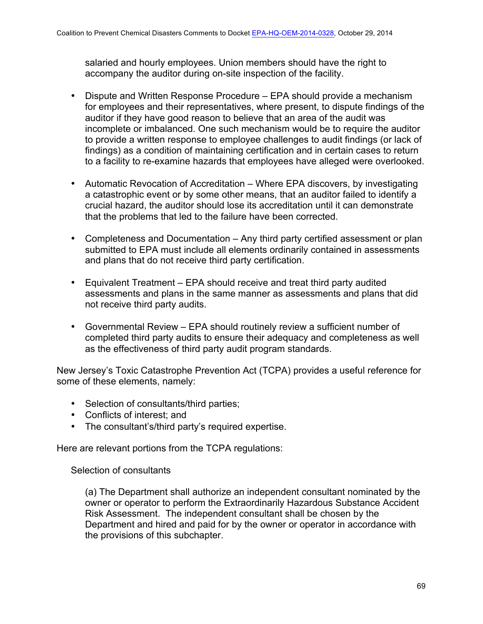salaried and hourly employees. Union members should have the right to accompany the auditor during on-site inspection of the facility.

- Dispute and Written Response Procedure EPA should provide a mechanism for employees and their representatives, where present, to dispute findings of the auditor if they have good reason to believe that an area of the audit was incomplete or imbalanced. One such mechanism would be to require the auditor to provide a written response to employee challenges to audit findings (or lack of findings) as a condition of maintaining certification and in certain cases to return to a facility to re-examine hazards that employees have alleged were overlooked.
- Automatic Revocation of Accreditation Where EPA discovers, by investigating a catastrophic event or by some other means, that an auditor failed to identify a crucial hazard, the auditor should lose its accreditation until it can demonstrate that the problems that led to the failure have been corrected.
- Completeness and Documentation Any third party certified assessment or plan submitted to EPA must include all elements ordinarily contained in assessments and plans that do not receive third party certification.
- Equivalent Treatment EPA should receive and treat third party audited assessments and plans in the same manner as assessments and plans that did not receive third party audits.
- Governmental Review EPA should routinely review a sufficient number of completed third party audits to ensure their adequacy and completeness as well as the effectiveness of third party audit program standards.

New Jersey's Toxic Catastrophe Prevention Act (TCPA) provides a useful reference for some of these elements, namely:

- Selection of consultants/third parties;
- Conflicts of interest; and
- The consultant's/third party's required expertise.

Here are relevant portions from the TCPA regulations:

# Selection of consultants

(a) The Department shall authorize an independent consultant nominated by the owner or operator to perform the Extraordinarily Hazardous Substance Accident Risk Assessment. The independent consultant shall be chosen by the Department and hired and paid for by the owner or operator in accordance with the provisions of this subchapter.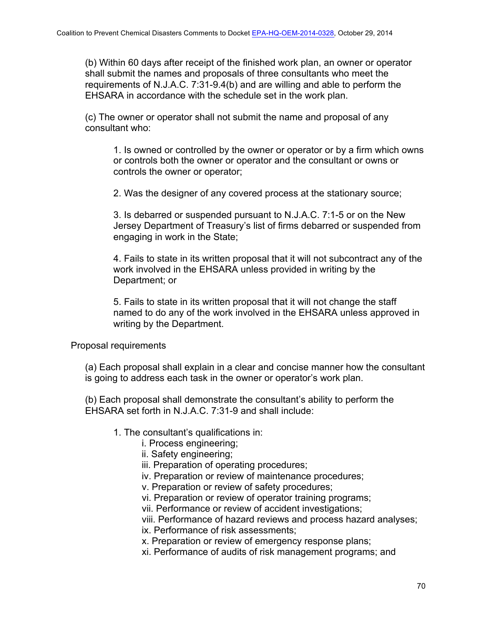(b) Within 60 days after receipt of the finished work plan, an owner or operator shall submit the names and proposals of three consultants who meet the requirements of N.J.A.C. 7:31-9.4(b) and are willing and able to perform the EHSARA in accordance with the schedule set in the work plan.

(c) The owner or operator shall not submit the name and proposal of any consultant who:

1. Is owned or controlled by the owner or operator or by a firm which owns or controls both the owner or operator and the consultant or owns or controls the owner or operator;

2. Was the designer of any covered process at the stationary source;

3. Is debarred or suspended pursuant to N.J.A.C. 7:1-5 or on the New Jersey Department of Treasury's list of firms debarred or suspended from engaging in work in the State;

4. Fails to state in its written proposal that it will not subcontract any of the work involved in the EHSARA unless provided in writing by the Department; or

5. Fails to state in its written proposal that it will not change the staff named to do any of the work involved in the EHSARA unless approved in writing by the Department.

Proposal requirements

(a) Each proposal shall explain in a clear and concise manner how the consultant is going to address each task in the owner or operator's work plan.

(b) Each proposal shall demonstrate the consultant's ability to perform the EHSARA set forth in N.J.A.C. 7:31-9 and shall include:

- 1. The consultant's qualifications in:
	- i. Process engineering;
	- ii. Safety engineering;
	- iii. Preparation of operating procedures;
	- iv. Preparation or review of maintenance procedures;
	- v. Preparation or review of safety procedures;
	- vi. Preparation or review of operator training programs;

vii. Performance or review of accident investigations;

viii. Performance of hazard reviews and process hazard analyses; ix. Performance of risk assessments;

x. Preparation or review of emergency response plans;

xi. Performance of audits of risk management programs; and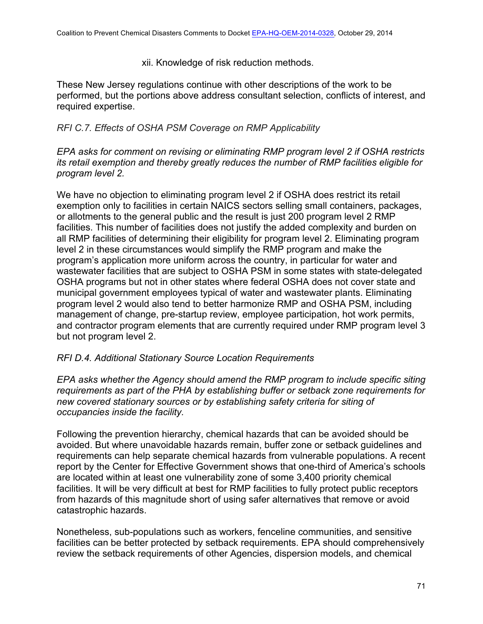xii. Knowledge of risk reduction methods.

These New Jersey regulations continue with other descriptions of the work to be performed, but the portions above address consultant selection, conflicts of interest, and required expertise.

# *RFI C.7. Effects of OSHA PSM Coverage on RMP Applicability*

*EPA asks for comment on revising or eliminating RMP program level 2 if OSHA restricts its retail exemption and thereby greatly reduces the number of RMP facilities eligible for program level 2.*

We have no objection to eliminating program level 2 if OSHA does restrict its retail exemption only to facilities in certain NAICS sectors selling small containers, packages, or allotments to the general public and the result is just 200 program level 2 RMP facilities. This number of facilities does not justify the added complexity and burden on all RMP facilities of determining their eligibility for program level 2. Eliminating program level 2 in these circumstances would simplify the RMP program and make the program's application more uniform across the country, in particular for water and wastewater facilities that are subject to OSHA PSM in some states with state-delegated OSHA programs but not in other states where federal OSHA does not cover state and municipal government employees typical of water and wastewater plants. Eliminating program level 2 would also tend to better harmonize RMP and OSHA PSM, including management of change, pre-startup review, employee participation, hot work permits, and contractor program elements that are currently required under RMP program level 3 but not program level 2.

## *RFI D.4. Additional Stationary Source Location Requirements*

*EPA asks whether the Agency should amend the RMP program to include specific siting requirements as part of the PHA by establishing buffer or setback zone requirements for new covered stationary sources or by establishing safety criteria for siting of occupancies inside the facility.*

Following the prevention hierarchy, chemical hazards that can be avoided should be avoided. But where unavoidable hazards remain, buffer zone or setback guidelines and requirements can help separate chemical hazards from vulnerable populations. A recent report by the Center for Effective Government shows that one-third of America's schools are located within at least one vulnerability zone of some 3,400 priority chemical facilities. It will be very difficult at best for RMP facilities to fully protect public receptors from hazards of this magnitude short of using safer alternatives that remove or avoid catastrophic hazards.

Nonetheless, sub-populations such as workers, fenceline communities, and sensitive facilities can be better protected by setback requirements. EPA should comprehensively review the setback requirements of other Agencies, dispersion models, and chemical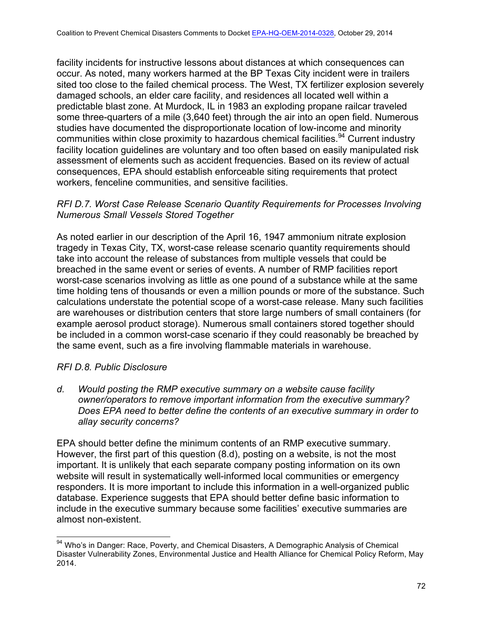facility incidents for instructive lessons about distances at which consequences can occur. As noted, many workers harmed at the BP Texas City incident were in trailers sited too close to the failed chemical process. The West, TX fertilizer explosion severely damaged schools, an elder care facility, and residences all located well within a predictable blast zone. At Murdock, IL in 1983 an exploding propane railcar traveled some three-quarters of a mile (3,640 feet) through the air into an open field. Numerous studies have documented the disproportionate location of low-income and minority communities within close proximity to hazardous chemical facilities.<sup>94</sup> Current industry facility location guidelines are voluntary and too often based on easily manipulated risk assessment of elements such as accident frequencies. Based on its review of actual consequences, EPA should establish enforceable siting requirements that protect workers, fenceline communities, and sensitive facilities.

## *RFI D.7. Worst Case Release Scenario Quantity Requirements for Processes Involving Numerous Small Vessels Stored Together*

As noted earlier in our description of the April 16, 1947 ammonium nitrate explosion tragedy in Texas City, TX, worst-case release scenario quantity requirements should take into account the release of substances from multiple vessels that could be breached in the same event or series of events. A number of RMP facilities report worst-case scenarios involving as little as one pound of a substance while at the same time holding tens of thousands or even a million pounds or more of the substance. Such calculations understate the potential scope of a worst-case release. Many such facilities are warehouses or distribution centers that store large numbers of small containers (for example aerosol product storage). Numerous small containers stored together should be included in a common worst-case scenario if they could reasonably be breached by the same event, such as a fire involving flammable materials in warehouse.

## *RFI D.8. Public Disclosure*

*d. Would posting the RMP executive summary on a website cause facility owner/operators to remove important information from the executive summary? Does EPA need to better define the contents of an executive summary in order to allay security concerns?*

EPA should better define the minimum contents of an RMP executive summary. However, the first part of this question (8.d), posting on a website, is not the most important. It is unlikely that each separate company posting information on its own website will result in systematically well-informed local communities or emergency responders. It is more important to include this information in a well-organized public database. Experience suggests that EPA should better define basic information to include in the executive summary because some facilities' executive summaries are almost non-existent.

<sup>&</sup>lt;sup>94</sup> Who's in Danger: Race, Poverty, and Chemical Disasters, A Demographic Analysis of Chemical Disaster Vulnerability Zones, Environmental Justice and Health Alliance for Chemical Policy Reform, May 2014.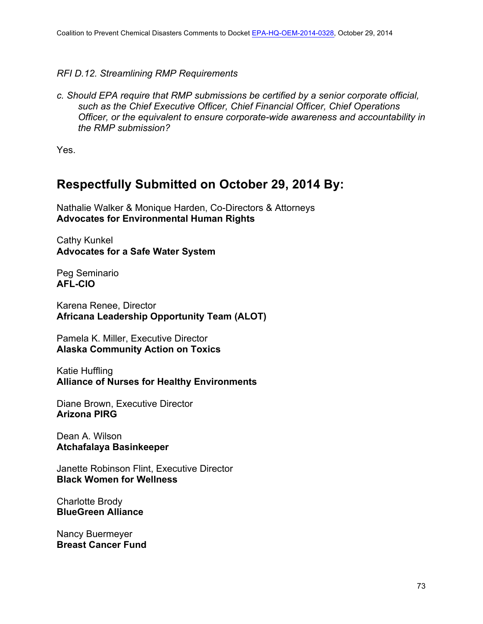## *RFI D.12. Streamlining RMP Requirements*

*c. Should EPA require that RMP submissions be certified by a senior corporate official, such as the Chief Executive Officer, Chief Financial Officer, Chief Operations Officer, or the equivalent to ensure corporate-wide awareness and accountability in the RMP submission?*

Yes.

# **Respectfully Submitted on October 29, 2014 By:**

Nathalie Walker & Monique Harden, Co-Directors & Attorneys **Advocates for Environmental Human Rights**

Cathy Kunkel **Advocates for a Safe Water System**

Peg Seminario **AFL-CIO**

Karena Renee, Director **Africana Leadership Opportunity Team (ALOT)**

Pamela K. Miller, Executive Director **Alaska Community Action on Toxics**

Katie Huffling **Alliance of Nurses for Healthy Environments**

Diane Brown, Executive Director **Arizona PIRG**

Dean A. Wilson **Atchafalaya Basinkeeper**

Janette Robinson Flint, Executive Director **Black Women for Wellness**

Charlotte Brody **BlueGreen Alliance**

Nancy Buermeyer **Breast Cancer Fund**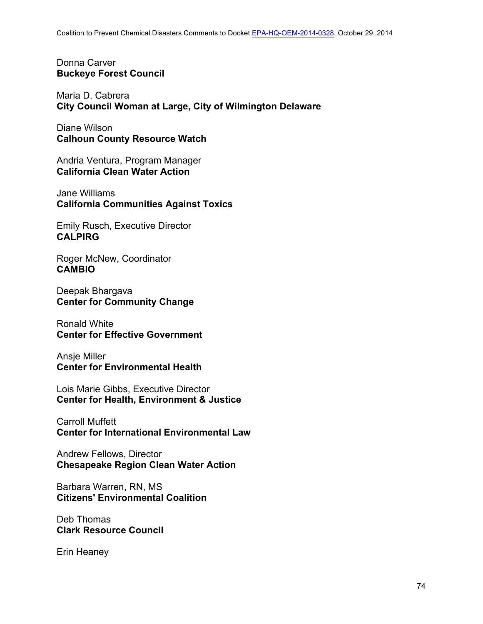Donna Carver **Buckeye Forest Council**

Maria D. Cabrera **City Council Woman at Large, City of Wilmington Delaware**

Diane Wilson **Calhoun County Resource Watch**

Andria Ventura, Program Manager **California Clean Water Action**

Jane Williams **California Communities Against Toxics**

Emily Rusch, Executive Director **CALPIRG**

Roger McNew, Coordinator **CAMBIO**

Deepak Bhargava **Center for Community Change**

Ronald White **Center for Effective Government**

Ansje Miller **Center for Environmental Health**

Lois Marie Gibbs, Executive Director **Center for Health, Environment & Justice**

Carroll Muffett **Center for International Environmental Law**

Andrew Fellows, Director **Chesapeake Region Clean Water Action**

Barbara Warren, RN, MS **Citizens' Environmental Coalition**

Deb Thomas **Clark Resource Council**

Erin Heaney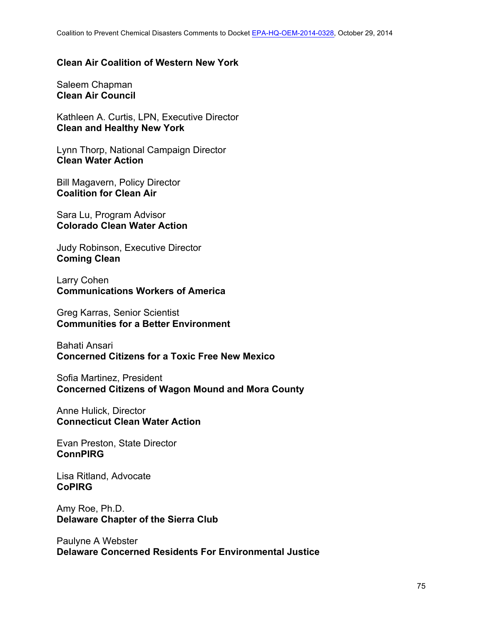#### **Clean Air Coalition of Western New York**

Saleem Chapman **Clean Air Council**

Kathleen A. Curtis, LPN, Executive Director **Clean and Healthy New York**

Lynn Thorp, National Campaign Director **Clean Water Action**

Bill Magavern, Policy Director **Coalition for Clean Air**

Sara Lu, Program Advisor **Colorado Clean Water Action**

Judy Robinson, Executive Director **Coming Clean**

Larry Cohen **Communications Workers of America**

Greg Karras, Senior Scientist **Communities for a Better Environment**

Bahati Ansari **Concerned Citizens for a Toxic Free New Mexico**

Sofia Martinez, President **Concerned Citizens of Wagon Mound and Mora County**

Anne Hulick, Director **Connecticut Clean Water Action**

Evan Preston, State Director **ConnPIRG**

Lisa Ritland, Advocate **CoPIRG**

Amy Roe, Ph.D. **Delaware Chapter of the Sierra Club**

Paulyne A Webster **Delaware Concerned Residents For Environmental Justice**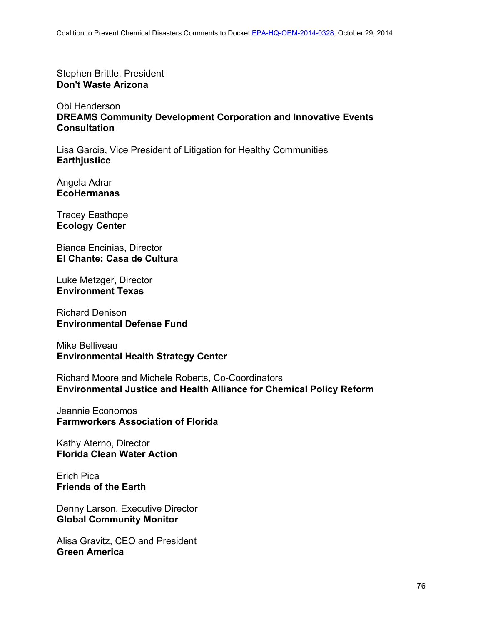Stephen Brittle, President **Don't Waste Arizona**

Obi Henderson **DREAMS Community Development Corporation and Innovative Events Consultation**

Lisa Garcia, Vice President of Litigation for Healthy Communities **Earthjustice**

Angela Adrar **EcoHermanas**

Tracey Easthope **Ecology Center**

Bianca Encinias, Director **El Chante: Casa de Cultura**

Luke Metzger, Director **Environment Texas**

Richard Denison **Environmental Defense Fund**

Mike Belliveau **Environmental Health Strategy Center**

Richard Moore and Michele Roberts, Co-Coordinators **Environmental Justice and Health Alliance for Chemical Policy Reform**

Jeannie Economos **Farmworkers Association of Florida**

Kathy Aterno, Director **Florida Clean Water Action**

Erich Pica **Friends of the Earth**

Denny Larson, Executive Director **Global Community Monitor**

Alisa Gravitz, CEO and President **Green America**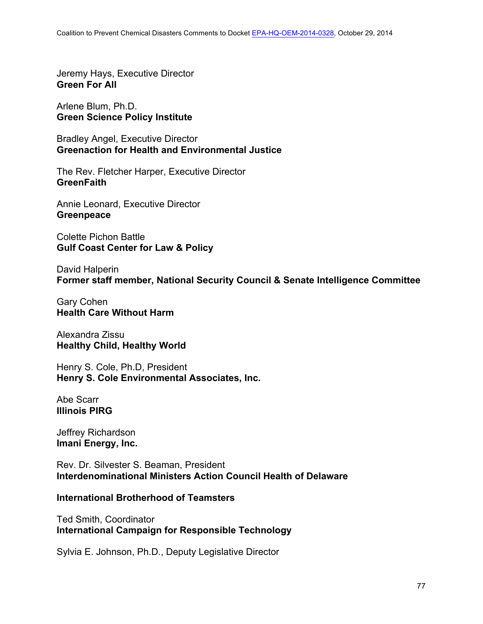Jeremy Hays, Executive Director **Green For All**

Arlene Blum, Ph.D. **Green Science Policy Institute**

Bradley Angel, Executive Director **Greenaction for Health and Environmental Justice**

The Rev. Fletcher Harper, Executive Director **GreenFaith**

Annie Leonard, Executive Director **Greenpeace**

Colette Pichon Battle **Gulf Coast Center for Law & Policy**

David Halperin **Former staff member, National Security Council & Senate Intelligence Committee**

Gary Cohen **Health Care Without Harm**

Alexandra Zissu **Healthy Child, Healthy World**

Henry S. Cole, Ph.D, President **Henry S. Cole Environmental Associates, Inc.**

Abe Scarr **Illinois PIRG**

Jeffrey Richardson **Imani Energy, Inc.**

Rev. Dr. Silvester S. Beaman, President **Interdenominational Ministers Action Council Health of Delaware**

### **International Brotherhood of Teamsters**

Ted Smith, Coordinator **International Campaign for Responsible Technology**

Sylvia E. Johnson, Ph.D., Deputy Legislative Director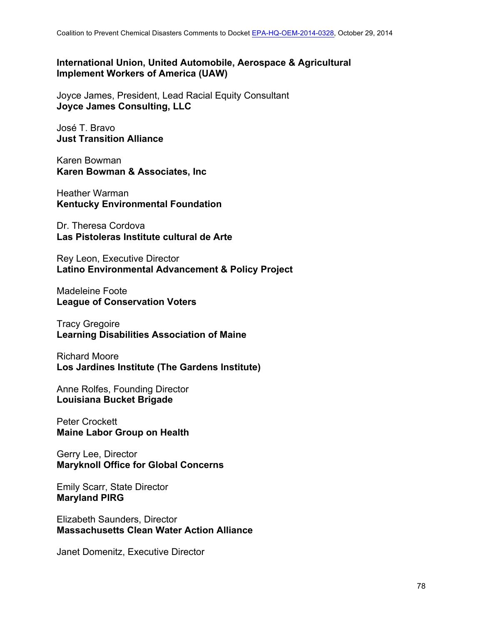### **International Union, United Automobile, Aerospace & Agricultural Implement Workers of America (UAW)**

Joyce James, President, Lead Racial Equity Consultant **Joyce James Consulting, LLC**

José T. Bravo **Just Transition Alliance**

Karen Bowman **Karen Bowman & Associates, Inc**

Heather Warman **Kentucky Environmental Foundation**

Dr. Theresa Cordova **Las Pistoleras Institute cultural de Arte**

Rey Leon, Executive Director **Latino Environmental Advancement & Policy Project**

Madeleine Foote **League of Conservation Voters**

Tracy Gregoire **Learning Disabilities Association of Maine**

Richard Moore **Los Jardines Institute (The Gardens Institute)**

Anne Rolfes, Founding Director **Louisiana Bucket Brigade**

Peter Crockett **Maine Labor Group on Health**

Gerry Lee, Director **Maryknoll Office for Global Concerns**

Emily Scarr, State Director **Maryland PIRG**

Elizabeth Saunders, Director **Massachusetts Clean Water Action Alliance**

Janet Domenitz, Executive Director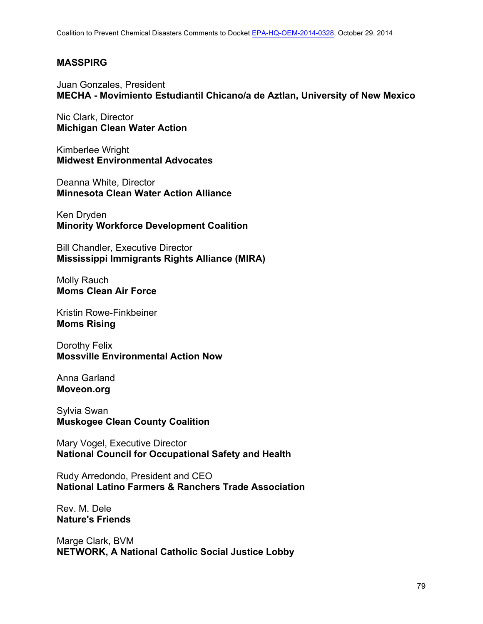### **MASSPIRG**

Juan Gonzales, President **MECHA - Movimiento Estudiantil Chicano/a de Aztlan, University of New Mexico**

Nic Clark, Director **Michigan Clean Water Action**

Kimberlee Wright **Midwest Environmental Advocates**

Deanna White, Director **Minnesota Clean Water Action Alliance**

Ken Dryden **Minority Workforce Development Coalition**

Bill Chandler, Executive Director **Mississippi Immigrants Rights Alliance (MIRA)**

Molly Rauch **Moms Clean Air Force**

Kristin Rowe-Finkbeiner **Moms Rising**

Dorothy Felix **Mossville Environmental Action Now**

Anna Garland **Moveon.org**

Sylvia Swan **Muskogee Clean County Coalition** 

Mary Vogel, Executive Director **National Council for Occupational Safety and Health**

Rudy Arredondo, President and CEO **National Latino Farmers & Ranchers Trade Association**

Rev. M. Dele **Nature's Friends**

Marge Clark, BVM **NETWORK, A National Catholic Social Justice Lobby**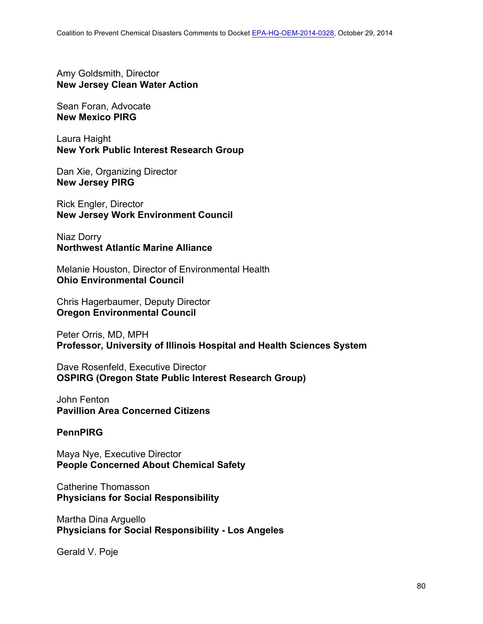Amy Goldsmith, Director **New Jersey Clean Water Action**

Sean Foran, Advocate **New Mexico PIRG**

Laura Haight **New York Public Interest Research Group**

Dan Xie, Organizing Director **New Jersey PIRG**

Rick Engler, Director **New Jersey Work Environment Council**

Niaz Dorry **Northwest Atlantic Marine Alliance**

Melanie Houston, Director of Environmental Health **Ohio Environmental Council**

Chris Hagerbaumer, Deputy Director **Oregon Environmental Council**

Peter Orris, MD, MPH **Professor, University of Illinois Hospital and Health Sciences System**

Dave Rosenfeld, Executive Director **OSPIRG (Oregon State Public Interest Research Group)**

John Fenton **Pavillion Area Concerned Citizens**

### **PennPIRG**

Maya Nye, Executive Director **People Concerned About Chemical Safety**

Catherine Thomasson **Physicians for Social Responsibility**

Martha Dina Arguello **Physicians for Social Responsibility - Los Angeles**

Gerald V. Poje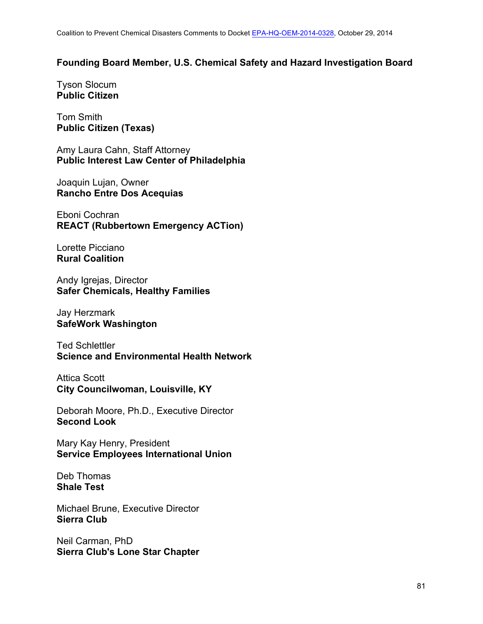#### **Founding Board Member, U.S. Chemical Safety and Hazard Investigation Board**

Tyson Slocum **Public Citizen**

Tom Smith **Public Citizen (Texas)**

Amy Laura Cahn, Staff Attorney **Public Interest Law Center of Philadelphia**

Joaquin Lujan, Owner **Rancho Entre Dos Acequias**

Eboni Cochran **REACT (Rubbertown Emergency ACTion)**

Lorette Picciano **Rural Coalition**

Andy Igrejas, Director **Safer Chemicals, Healthy Families**

Jay Herzmark **SafeWork Washington**

Ted Schlettler **Science and Environmental Health Network**

Attica Scott **City Councilwoman, Louisville, KY**

Deborah Moore, Ph.D., Executive Director **Second Look**

Mary Kay Henry, President **Service Employees International Union**

Deb Thomas **Shale Test**

Michael Brune, Executive Director **Sierra Club**

Neil Carman, PhD **Sierra Club's Lone Star Chapter**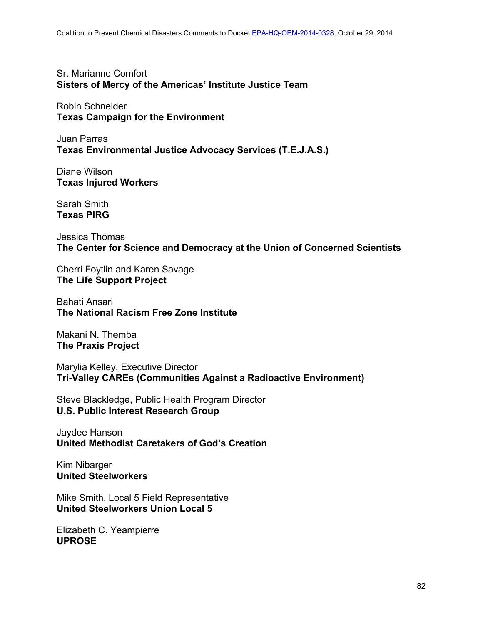Sr. Marianne Comfort **Sisters of Mercy of the Americas' Institute Justice Team**

Robin Schneider **Texas Campaign for the Environment**

Juan Parras **Texas Environmental Justice Advocacy Services (T.E.J.A.S.)**

Diane Wilson **Texas Injured Workers**

Sarah Smith **Texas PIRG**

Jessica Thomas **The Center for Science and Democracy at the Union of Concerned Scientists**

Cherri Foytlin and Karen Savage **The Life Support Project**

Bahati Ansari **The National Racism Free Zone Institute**

Makani N. Themba **The Praxis Project**

Marylia Kelley, Executive Director **Tri-Valley CAREs (Communities Against a Radioactive Environment)**

Steve Blackledge, Public Health Program Director **U.S. Public Interest Research Group**

Jaydee Hanson **United Methodist Caretakers of God's Creation**

Kim Nibarger **United Steelworkers**

Mike Smith, Local 5 Field Representative **United Steelworkers Union Local 5**

Elizabeth C. Yeampierre **UPROSE**